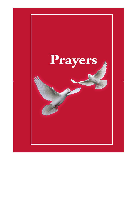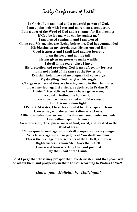"Daily Confession of Faith"

**In Christ I am anointed and a powerful person of God. I am a joint-heir with Jesus and more than a conqueror. I am a doer of the Word of God and a channel for His blessings. If God be for me, who can be against me? I am blessed coming in and I am blessed Going out. My enemies are fleeing before me. God has commanded His blessing on my storehouses. He has opened His Good treasures and I shall lend and not borrow. I am the head and not the tail. He has given me power to make wealth. I dwell in the secret place I have His protection and provision. God is my refuge, my fortress I am not afraid of the snare of the fowler. No Evil shall befall me and no plague shall come nigh My dwelling. God has given his angels Charge over me and they are bearing me up in their hands lest I dash my foot against a stone, as declared in Psalms 91. I Peter 2:9 establishes I am a chosen generation, A royal priesthood, a holy nation. I am a peculiar person called out of darkness Into His marvelous light. I Peter 2:24 states, I have been healed by the stripes of Jesus. Cancer, sugar diabetes, heart disease, sickness, Afflictions, infections, or any other disease cannot enter my body. I am without spot or blemish, An intercessor, the righteousness of God, saved, and washed in the Blood of Jesus. "No weapon formed against me shall prosper, and every tongue Which rises against me in judgment You shall condemn. This is the heritage of the servants of the LORD, and their Righteousness is from Me," Says the LORD. I am saved from wrath by Him and justified by the Blood of the Lamb.** 

**Lord I pray that those may prosper that love Jerusalem and that peace will be within them and prosperity in their houses according to Psalms 122:6-9.** 

*Hallelujah, Hallelujah, Hallelujah!*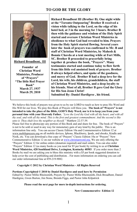### **TO GOD BE THE GLORY**



**Richard Broadbent, III Founder of Christian Word Ministries, Producer of "Prayers" "The little Red Prayer Book"** 

> **March 27, 1937 March 29, 2010**

**Richard Broadbent III (Brother B). One night while at the "Toronto Outpouring" Brother B received a vision while talking to the Lord, on the edge of his hotel bed, at 3 in the morning for 3 hours. Brother B then with the guidance and wisdom of the Holy Spirit started and oversaw Christian Word Ministries in obedience to what God had revealed to him. Prayers from the Holy Spirit started flowing. Several years later the book of prayers was confirmed to Mr. B and staff of Christian Word Ministries, by Mahesh & Bonnie Chavda at a tent meeting while at Fort Mills, SC. Brother B proceeded to prayerfully bring together & produce the book, "Prayers". Many testimonies started and continue today to flow forth from this little red anointed book of prayers. Brother B always helped others, and spoke of the goodness, and mercy of God. Brother B had a deep love for the Lord, his wife, his children, grandchildren, the staff of Christian Word Ministries, and a deep loyalty to his friends. Most of all, Brother B gave God the Glory for His Son Jesus Christ! Submitted By: Daniel Hardigree , his friend.** 

We believe this book of prayers was given to us by our LORD to teach us how to pray His Word and His Will for our lives. We pray this Book of Prayers will bless you. **The book of "Prayers" is not intended to take the place of the Bible, GOD'S Holy Word, nor is it to keep you from your personal time with your Heavenly Father.** *"Love the Lord thy God with all thy heart, and with all thy soul, and with all thy mind. This is the first and greatest commandment. And the second is like unto it. Thou shalt love thy neighbor as thyself."* Matthew 22:37-39.

Please feel free to photocopy any portion of this Book and and share for free. The book of "Prayers" is not to be sold or used in any way for mmonetary gain of any kind by the public. This is an information line only. You can access Classic Edition 10a and Commemorative Edition 12 at www.mobileprayers.org.on all mobile devices, Iphone, Blackberry, Ipods, and ebooks, Kindle and Nook, etc. You can download a free copy of "Prayers" Classic Edition 10a or "Prayers" New Commemorative Edition 12 on our website at [www.christianword.org.](http://www.christianword.org/) We are only offering the "Prayers" Edition 12 for online orders (donation required) and mail orders. You can also order "Prayers" Edition 12 (as many books as you need for \$5 per book) by writing to us at **Christian Word Ministries, 428 Southland Drive, Lexington, Kentucky 40503**. If you order more than 2 Books by mail we are asking you to bless this ministry with a \$5 per book suggested donation to help cover the cost of publishing and distribution. . For more information on ordering you can call our order informational line at 859-219-9082.

#### **Copyright © 2012 by Christian Word Ministries - All Rights Reserved**

**Portions Copyrighted © 2010 by Daniel Hardigree and used here by Permission**  Edited by: Pastor Millie Rheinsmith, Prayers by: Pastor Millie Rheinsmith, Dick Broadbent, Daniel Hardigree, Gwen Burton, Jim Stone, Brenda Figgs, and Pastor John Kilpatrick

#### **Please read the next page for more in-depth instructions for ordering.**

#### **New Commemorative Edition 12**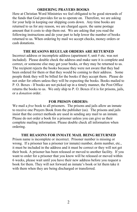### **ORDERING PRAYERS BOOKS**

Here at Christian Word Ministries we feel obligated to be good stewards of the funds that God provides for us to operate on. Therefore, we are asking for your help in keeping our shipping costs down. Any time books are returned to us for any reason, we are charged *again,* the same postage amount that it costs to ship them out. We are asking that you read the following instructions and do your part to help lower the number of books returned to us. When ordering by mail we accept checks, money orders or cash donations.

### **THE REASONS REGULAR ORDERS ARE RETURNED**

Incorrect address or incomplete address (apartment #, unit # etc. was not included). Please double check the address and make sure it is complete and correct, or someone else may get your books, or they may be returned to us. The recipient rejects the books because they were not aware that they had been ordered for them or that they would be coming to their address. Some people think they will be billed for the books if they accept them. Please do not order for others unless they will be expecting the books. Books mailed to P. O. Boxes - If books are not picked up in a timely manner, the Post Office returns the books to us. We only ship to P. O. Boxes if it is for prisons, jails, or a *donation* order.

#### **FOR PRISON ORDERS:**

We mail a *free* book to all prisoners. The prisons and jails allow an inmate to receive one Prayers Book from the publisher (us). The prisons and jails insist that the correct methods are used in sending any mail to an inmate. Please do not order a book for a prisoner unless you can give us their complete mailing information. Please double check all information when ordering.

#### **THE REASONS FOR INMATE MAIL BEING RETURNED**

Prison name is incomplete or incorrect. Prisoner number is missing or wrong. If a prisoner has a prisoner (or inmate) number, dorm number, etc., it must be included in the address and it must be correct or they will not get their book. A prisoner has been released or moved to another facility. If you want to order for a prisoner that you know will be released or moved within 6 weeks, please wait until you have their new address before you request a book for them. They will not forward an inmate's book or let them take it with them when they are being discharged or transferred.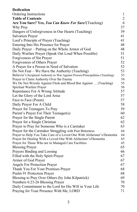| <b>Dedication</b>                                                               |                |
|---------------------------------------------------------------------------------|----------------|
| Ordering Instructions                                                           | $\mathbf{1}$   |
| <b>Table of Contents</b>                                                        | $\overline{2}$ |
| Are You Sure? Yes, You Can Know For Sure! (Teaching)                            | 6              |
| Why Pray                                                                        | 37             |
| Dangers of Unforgiveness in Our Hearts (Teaching)                               | 39             |
| <b>Salvation Prayer</b>                                                         | 41             |
| Lord's Principle of Prayer (Teaching)                                           | 41             |
| Entering Into His Presence for Prayer                                           | 48             |
| Daily Prayer – Putting on the Whole Armor of God                                | 48             |
| Daily Warfare Prayer (Speak Out Loud When Possible)                             | 51             |
| Forgiveness of Sin Prayer                                                       | 51             |
| Forgiveness of Others Prayer                                                    | 52             |
| A Prayer for a Person in Need of Salvation                                      | 52             |
| Do Not Fear – We Have the Authority (Teaching)                                  | 53             |
| Believer's Scriptural Authority to War Against Powers/Principalities (Teaching) | 53             |
| Prayer to Claim Authority Over the Enemy                                        | 54             |
| We Do Not Wrestle Against Flesh and Blood But Against  (Teaching)               | 55             |
| Spiritual Warfare Prayer                                                        | 56             |
| Repentance For A Wrong Attitude                                                 | 57             |
| Let the Glory of the Lord Arise                                                 | 57             |
| Face to Face (Poem)                                                             | 57             |
| Daily Prayer For A Child                                                        | 58             |
| Prayer for Teenagers To Pray                                                    | 59             |
| Parent's Prayer For Their Teenager(s)                                           | 60             |
| Prayer for the Single Parent                                                    | 62             |
| Prayer for a Single Christian                                                   | 62             |
| Prayer to Pray for Someone Who is a Caretaker                                   | 63             |
| Prayer for the Caretaker Struggling with Past Bitterness                        | 64             |
| Prayer to Help You Take Care of a Loved One With Alzheimer's/Dementia           | 64             |
| Prayer for Dealing With a Loved One With Alzheimer's/Dementia                   | 65             |
| Prayer for Those Who are in Managed Care Facilities                             | 65             |
| <b>Blessing Prayer</b>                                                          | 65             |
| Prayers Binding and Loosing                                                     | 66             |
| Filled with the Holy Spirit Prayer                                              | 67             |
| Armor of God Prayer                                                             | 67             |
| Angels For Protection Prayer                                                    | 67             |
| Thank You For Your Promises Prayer                                              | 68             |
| Psalm 91 Protection Prayer                                                      | 68             |
| Blessing to Pray Over Others (by John Kilpatrick)                               | 69             |
| Numbers 6:23-26 Blessing Prayer                                                 | 70             |
| Daily Commitment to the Lord for His Will in Your Life                          | 70             |
| Praying for Your Presence With Me, LORD                                         | 71             |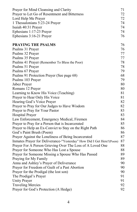| Prayer for Mind Cleansing and Clarity                                | 71 |
|----------------------------------------------------------------------|----|
| Prayer to Let Go of Resentment and Bitterness                        | 72 |
| Lord Help Me Prayer                                                  | 72 |
| 1 Thessalonians 5:23-24 Prayer                                       | 74 |
| Isaiah 40:31 Prayer                                                  | 74 |
| Ephesians 1:17-23 Prayer                                             | 74 |
| Ephesians 3:16-21 Prayer                                             | 76 |
| <b>PRAYING THE PSALMS</b>                                            | 76 |
| Psalms 31 Prayer                                                     | 76 |
| Psalms 32 Prayer                                                     | 77 |
| Psalms 35 Prayer                                                     | 77 |
| Psalms 41 Prayer (Remember To Bless the Poor)                        | 78 |
| Psalms 51 Prayer                                                     | 78 |
| Psalms 67 Prayer                                                     | 79 |
| Psalms 91 Protection Prayer (See page 68)                            | 68 |
| Psalms 103 Prayer                                                    | 79 |
| Jabez Prayer                                                         | 80 |
| Romans 12 Prayer                                                     | 80 |
| Learning to Know His Voice (Teaching)                                | 81 |
| Prayer to Hear Only His Voice                                        | 81 |
| Hearing God's Voice Prayer                                           | 82 |
| Prayer to Pray for Our Judges to Have Wisdom                         | 82 |
| Prayer to Pray for Your Pastor                                       | 83 |
| <b>Hospital Prayer</b>                                               | 83 |
| Law Enforcement, Emergency Medical, Firemen                          | 84 |
| Prayer to Pray for a Person that is Incarcerated                     | 85 |
| Prayer to Help an Ex-Convict to Stay on the Right Path               | 86 |
| God's Paint Brush (Poem)                                             | 86 |
| Prayer Against the Loneliness of Being Incarcerated                  | 87 |
| Inmates Prayer for Deliverance-"Yesterday" How Did I Get Here?(Poem) | 87 |
| Prayer For A Person Grieving Over The Loss of A Loved One            | 88 |
| Prayer for Someone Who Has Lost a Spouse                             | 88 |
| Prayer for Someone Missing a Spouse Who Has Passed                   | 89 |
| Praying for My Family                                                | 89 |
| Anna and Ashley's Prayer of Deliverance                              | 90 |
| Prayer for Freedom of Guilt of a Past Abortion                       | 90 |
| Prayer for the Prodigal (the lost son)                               | 90 |
| The Prodigal's Prayer                                                | 91 |
| <b>Unity Prayer</b>                                                  | 91 |
| <b>Traveling Mercies</b>                                             | 92 |
| Prayer for God's Protection (A Hedge)                                | 92 |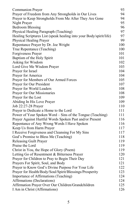| <b>Communion Prayer</b>                                            | 93  |
|--------------------------------------------------------------------|-----|
| Prayer of Freedom from Any Strongholds in Our Lives                | 94  |
| Prayer to Keep Strongholds From Me After They Are Gone             | 94  |
| Night Prayer                                                       | 95  |
| <b>Bedroom Blessing</b>                                            | 96  |
| Physical Healing Paragraph (Teaching)                              | 97  |
| Healing Scriptures List (speak healing into your Body/spirit/life) | 97  |
| Physical Healing Prayer                                            | 99  |
| Repentance Prayer by Dr. Joe Wright                                | 100 |
| True Repentance (Teaching)                                         | 100 |
| Forgiveness Prayer                                                 | 101 |
| Baptism of the Holy Spirit                                         | 101 |
| Asking for Wisdom                                                  | 102 |
| Lord Give Me Wisdom Prayer                                         | 103 |
| Prayer for Israel                                                  | 104 |
| Prayer for America                                                 | 104 |
| Prayer for Members of Our Armed Forces                             | 105 |
| Prayer for Our President                                           | 107 |
| Prayer for World Leaders                                           | 108 |
| Prayer for Our Missionaries                                        | 108 |
| Prayer for the Lost                                                | 109 |
| Abiding In His Love Prayer                                         | 109 |
| Job 22:27-28 Prayer                                                | 110 |
| Prayer to Dedicate a Home to the Lord                              | 111 |
| Power of Your Spoken Word – Sins of the Tongue (Teaching)          | 111 |
| Prayer Against Hurtful Words Spoken Past and/or Present            | 116 |
| Repentance of Any Wrong Words I Have Spoken                        | 116 |
| Keep Us from Harm Prayer                                           | 117 |
| I Receive Forgiveness and Cleansing For My Sins                    | 117 |
| God's Promise to Bless Me (Teaching)                               | 118 |
| <b>Releasing Guilt Prayer</b>                                      | 119 |
| Praise the Lord                                                    | 119 |
| Christ in You, the Hope of Glory (Poem)                            | 119 |
| Letting Go of Resentment & Bitterness Prayer                       | 120 |
| Prayer for Children to Pray to Begin Their Day                     | 121 |
| Prayers For Spirit, Soul, and Body                                 | 121 |
| Prayer to Know God's Divine Purpose For Your Life                  | 122 |
| Prayer for Health/Body/Soul/Spirit/Blessings/Prosperity            | 123 |
| Importance of Affirmations (Teaching)                              | 124 |
| Affirmations (Declarations)                                        | 124 |
| Affirmation Prayer Over Our Children/Grandchildren                 | 125 |
| I Am in Christ (Affirmations)                                      | 126 |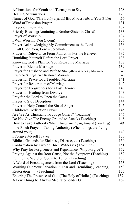| Affirmations for Youth and Teenagers to Say                            | 128 |
|------------------------------------------------------------------------|-----|
| <b>Healing Affirmations</b>                                            | 128 |
| Names of God (This is only a partial list. Always refer to Your Bible) | 130 |
| Word of Provision Prayer                                               | 131 |
| Prayer of Impartation                                                  | 132 |
| Priestly Blessing (Anointing a Brother/Sister in Christ)               | 133 |
| Prayer of Worship                                                      | 134 |
| I Will Worship You (Poem)                                              | 136 |
| Prayer Acknowledging My Commitment to the Lord                         | 136 |
| I Call Upon You, Lord - Jeremiah 33:3                                  | 137 |
| Prayer of Deliverance From Addiction For the Believer                  | 137 |
| Humbling Yourself Before the Lord Prayer                               | 138 |
| Knowing God's Plan for You Regarding Marriage                          | 138 |
| Prayer to Bless a Marriage                                             | 139 |
| Prayer for Husband and Wife to Strengthen A Rocky Marriage             | 140 |
| Prayer to Strengthen a Restored Marriage                               | 140 |
| Prayer for Peace for a Troubled Marriage                               | 141 |
| Prayer for Restoration of Marriage                                     | 142 |
| Prayer for Forgiveness for a Past Divorce                              | 143 |
| Prayer for Healing from Divorce                                        | 143 |
| Pray for the Lord to Open the Gates                                    | 144 |
| Prayer to Stop Deception                                               | 144 |
| Prayer to Help Control the Sin of Anger                                | 145 |
| Children's Dedication Prayer                                           | 145 |
| Are We As Christians To Judge Others? (Teaching)                       | 146 |
| Do Not Give The Enemy Ground to Attack (Teaching)                      | 148 |
| How to Take Authority When Things are Flying Around (Teaching)         | 149 |
| In A Pinch Prayer - Taking Authority (When things are flying           |     |
| around you!)                                                           | 149 |
| I Forgive Myself Prayer                                                | 150 |
| Biblical Grounds for Sickness, Disease, etc (Teaching)                 | 150 |
| Confirmation by Two or Three Witnesses (Teaching)                      | 151 |
| Why Pray for Forgiveness and Repentance (Why Forgive?)                 | 152 |
| Praying Against the Root Cause, Not the Symptom (Teaching)             | 152 |
| Putting the Word of God into Action (Teaching)                         | 153 |
| A Word of Encouragement from the Lord (Teaching)                       | 153 |
| Working Out Your Salvation in Fear and Trembling (Teaching)            | 153 |
| (Teaching)<br>Restoration                                              | 155 |
| Entering The Presence of God (The Holy of Holies) (Teaching)           | 157 |
| A Few Things to Always Meditate/Ponder On                              | 169 |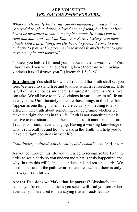## **ARE YOU SURE?**  *YES, YOU CAN KNOW FOR SURE!*

*What our Heavenly Father has openly intended for you to have received through a church, a loved one or friend, but has not been heard or presented to you in a simple manner He wants you to read and know, so You Can Know For Sure. I invite you to hear afresh, God's invitation from His heart to yours! I come to you and give to you, as He gave me these words from His heart to give to you, simple, and forward!*

"I knew you before I formed you in your mother's womb…" "Yes, I have loved you with an everlasting love; therefore with lovingkindness **have I drawn you**." (Jeremiah 1:5, 31:3)

**Introduction** You shall know the Truth and the Truth shall set you free. We need to stand free and to know what true freedom is. Life is full of many choices and there is a sure path (Jeremiah 6:16) we can take. We all have to make decisions in various areas of life on a daily basis. Unfortunately there are those things in this life that "appear as one thing" when they are actually something totally different. The truth about something can determine whether we make the right choices in this life. Truth is not something that is relative to one situation and then changes to fit another situation. Truth is constant, never changing. Having a working knowledge of what Truth really is and how to walk in the Truth will help you to make the right decisions in your life.

*"Multitudes, multitudes in the valley of decision!"* Joel 3:14 NKJV

As you go through this life you will need to recognize the Truth in order to see clearly so you understand what is truly happening and why. In turn this will help us to understand and reason clearly. We need to be sure of the path we are on and realize that there is only one way meant for us.

**Are the Decisions we Make that Important?** Absolutely, the course you're on, the decisions you select will lead you somewhere eventually. There used to be a saying that all roads lead to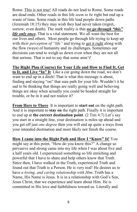Rome. This is not true! All roads do not lead to Rome. Some roads are dead ends. Other roads in this life *seem to be* right but end up a waste of time. Some roads in this life lead people down paths (Jeremiah 18:15) they may wish they had never taken (regret, sorrow, even death). The stark reality is that *we go through "this" life only once***.** That is a vital statement. We all want the best for our lives and others. Most people go through life trying to keep up with *their perception of "life"* and trying to get it right along with the flow (ways) of humanity and its challenges. Sometimes our decisions can tend to weigh us down even when they are not all that serious. That is not to say that some aren't!

**The Right Plan (Course) for Your Life and How to Find It, Get to It, and Live "In" It** Like a car going down the road, we don't want to end up in a ditch! That is what this message is about, finding and staying "on" that sure path for your life. Wouldn't it be sad to be thinking that things are really going well and believing things are okay when actually you could be headed straight for trouble, or be in it and not realize it?

**From Here to There** It is important to **start out** on the right path. And it is important to **stay on** the right path. Finally it is important to end up at **the correct destination point**. (2 Tim 4:7) Let's say you start in a straight line, your destination is miles up ahead and you get off just *one degree* then you will end up quite a ways from your intended destination and most likely not finish the course.

**How I came into the Right Path and How I "Know" It!** You might say at this point, "How do you know this?" A change so pervasive and strong came into my life when I was about five and a half years old. I experienced something so life enriching and powerful that I have to share and help others know that Truth. Since then, I have walked in the Truth, experienced Truth and found out that Truth is a Person. He is very real! He desires us to have *a loving, and caring relationship with Him*. Truth has a Name, His Name is Jesus. It is in a relationship with God's Son, Jesus Christ, that we experience and learn about Him. He is committed in His love and faithfulness toward us. Literally and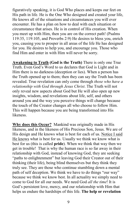figuratively speaking, it is God Who places and keeps our feet on His path in life. He is the One Who designed and created your life, He knows all of the situations and circumstances you will ever encounter. He has a plan on how to deal with each situation or circumstance that arises. He is in control of His creation. When you meet up with Him, then you are on the correct path! (Psalms 119:35, 119:105, and Proverbs 2:9) He desires to bless you, enrich you, causing you to prosper in all areas of the life He has designed for you. He desires to help you, and encourage you. Those who find Him and enter in with Him will never be sorry.

**Awakening to Truth (God is the Truth)** There is only one True Truth. Even God's Word to us declares that God is Light and in Him there is no darkness (deception or lies). When a person has the Truth opened up to them; then they can say the Truth has been revealed. True revelation can only come through *those who have a relationship with God through Jesus Christ*. The Truth will not only reveal new aspects about God but He will also open up new insights, wisdom, and revelations about life, self, and others around you and the way you perceive things will change because the touch of the Creator changes all who choose to follow Him. This will happen because you are being transformed into His likeness.

**Why does this Occur?** Mankind was originally made in His likeness, and in the likeness of His Precious Son, Jesus. We are of His design and He knows what is best for each of us. Notice I said He knows what is best for us. Usually we think we know what is best for us (this is called **pride**). When we think that way then we get in trouble! That is why the human race is so far away in their relationship with God, instead of knowing God, they are seeking "paths to enlightenment" but leaving God their Creator out of their thinking (their life), being blind themselves but they think they truly see. They are those who continue stumbling down a mental path of self deception. We think we have to do things "our way" because we think we know best. In all actuality we simply need to come to God for all our needs. We need God *all the time*! It is God's persistent love, mercy, and our relationship with Him that helps us endure the hardships of this life. **The help or revelation**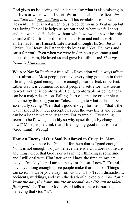**God gives us is**: seeing and understanding what is also missing in our lives or where we fall short. We are then able to realize "*the condition that our condition is in*!" This revelation from our Heavenly Father is not given to us to condemn us or beat us up but as a loving Father He helps us see our need, where we fall short and that we need His help, without which we would never be able to make it! Our true need is to come to Him and embrace Him and all He has for us; Himself, Life Eternal through His Son Jesus the Christ. Our Heavenly Father dearly loves us ! Yes, He loves and cares for you! Even when we were in darkness (ignorance) and opposed to Him, He loved us and gave His life for us! *That my friend is True Love!*

**We Are Not So Perfect After All -** Revelation will always affect our realization. Most people perceive everything going on in their life as good, good enough, close enough, near perfect, or perfect. Either way it is common for most people to settle for what seems to work well or is comfortable. Being comfortable or being at ease can be a major deception. Falling short of a mature or complete outcome by thinking you are "close enough to what it should be" is essentially saying "Well that's good enough for me" or "that's the way it should be." Our perception about the way life is and going can be a lie that we readily accept. For example, "Everything seems to be flowing smoothly so why upset things by changing it now!" Most people think that if life is going good it has to be a "God thing!" Wrong!

**How An Enemy of Our Soul Is Allowed to Creep In** Many people believe there is a God and for them that is "good enough." No, it is not enough! To just believe there is a God does not insure anything except that God is or was in their thinking at sometime and I will deal with Him later when I have the time, things are okay, "I'm okay", or "I am too busy for this stuff now." **Friend**, I have lived long enough to see people make that mistake. Things can so easily drive you away from God and His Truth: distractions, accidents, weddings, and even the death of a loved one. *You don't know the day, the hour, minute or second your life can be taken from you!* The Truth is God's Word tells us there is more to just believing that God "is".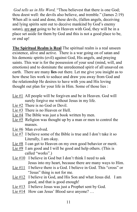*God tells us in His Word,* "Thou believest that there is one God; thou doest well: the devils also believe, and tremble." (James 2:19) When all is said and done, these devils, (fallen angels, deceiving and lying spirits sent out to deceive mankind by God's enemy satan), are *not* going to be in Heaven with God, they will be in a place set aside for them by God and this is not a good place to be, or end up!

**The Spiritual Realm is Real** The spiritual realm is a real unseen existence, alive and active. There is a war going on of satan and his demonic spirits (evil) against God, His angels, and praying saints. This war is for the possession of your soul (mind, will, and emotions) and to dominate the unredeemed spirit of all unsaved on earth. There are many **lies** out there. Let me give you insight as to how these lies work to seduce and draw you away from God and the relationship He desires to have with you and His loving thought out plan for your life in Him. Some of those lies :

- Lie #1 All people will be forgiven and be in Heaven. God will surely forgive me without Jesus in my life.
- Lie #2 There is no God or Devil.
- Lie #3 There is no Heaven or Hell.
- Lie #4 The Bible was just a book written by men.
- Lie #5 Religion was thought up by a man or men to control the masses.
- Lie #6 Man evolved.
- Lie #7 I believe some of the Bible is true and I don't take it so Literally, I am okay.
- Lie #8 I can get to Heaven on my own good behavior or merit.
- Lie #9 I am good and I will be good and help others. (This is called "works".)
- Lie #10 I believe in God but I don't think I need to ask Jesus into my heart, because there are many ways to Him.
- Lie #11 I believe there is a God. I believe in God. This "cross" or "Jesus" thing is not for me.
- Lie #12 I believe in God, and His Son and what Jesus did. I am good, and that is good enough!
- Lie #13 I believe Jesus was just a Prophet sent by God.
- Lie #14 How can Jesus' Blood save anyone? ...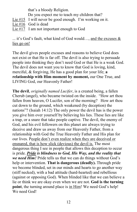that's a bloody Religion.

- Do you expect me to teach my children that?
- Lie #15 I will never be good enough. I'm working on it.
- Lie #16 God is dead
- Lie #17 I am not important enough to God

... it's God's fault, what kind of God would…, and the excuses & lies go on!

The devil gives people excuses and reasons to believe God does not exist or that He is far off. The devil is also trying to persuade people into thinking they don't need God or that He is a weak God. The devil does not want you to know that God is loving, kind, merciful, & forgiving, He has a good plan for your life; **a relationship with Him moment by moment,** our One True, and LIVING God, our Heavenly Father!

**The devil**, *originally named Lucifer*, is a created being, a fallen Cherub (angel), who became twisted on the inside. "How art thou fallen from heaven, O Lucifer, son of the morning? How art thou cut down to the ground, which weakened (by deception) the nations"? (Isaiah 14:12) The only power the devil has is the power you give him over yourself by believing his lies. These lies are like a trap, or a snare that take people captive. The devil, the enemy of God, and his evil followers on this planet are always trying to deceive and draw us away from our Heavenly Father, from a relationship with God the True Heavenly Father and His plan for our lives. People don't even realize when they are deceived or ensnared, that is how slick (devious) the devil is. The most dangerous thing I see in people that allows this deception to occur is pride. *Pride is blindness to God, His Way, and the reality that we need Him!* Pride tells us that we can do things without God's help or intervention. **That is dangerous (deadly).** Through pride we become blinded, set in our minds and hearts to go another way (stiff necked), with a bad attitude (hard-hearted) and rebellious (against or opposing God). When blinded like that we can believe a lie or think we are okay even when we are not. **God is the turning point**, the turning around place is in Him! We need God's help! We need God!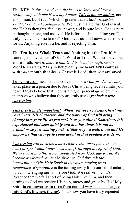**The KEY** *As for me and you, the key is to know and have a relationship with our Heavenly Father. This is not an option*, nor an opinion, but Truth (which is greater than a fact)! *Experience Truth!!! I did and continue to!!!* We must realize that God is real and He has thoughts, feelings, power, and is pure love. God is pure in thought, intent, and motive! He is for us! He is telling you "I truly love you, come to me." God loves us and knows what is best for us. Anything else is a lie, and is rejecting Him.

**The Truth, the Whole Truth and Nothing but the Truth!** You cannot just have a part of God's Word or Truth. We must have the entire Truth. *Just to believe that God is, is not enough!* God's Word to us states, "**As** *you* **believe in** *your* **heart AND confess with** *your* **mouth that Jesus Christ is Lord, then** *you* **are saved.**"

**To be "saved"** means that a conversion or *a God-produced change* takes place in a person due to Jesus Christ being received into your heart. I truly believe that there is a higher percentage of church members who believe that they are truly saved *yet lack a true conversion*.

*This is extremely important! When you receive Jesus Christ into your heart, His character, and the power of God will bring change into your life as you seek it, as you allow! Sometimes it is experienced and seen quickly and at other times it is not as evident or so fast coming forth. Either way we walk it out and He empowers that change to come about in that obedience to Him!* 

*Conversion can be defined as a change that takes place in our heart or spirit-man (inner most being), through the Spirit of God. We are born into this world, separated from God, due to sin. We become awakened or "made alive" to God through the intervention of His Holy Spirit in our lives, moving us to repentance. Repentance* is the turning away from our sinful nature, by acknowledging our sin before God. We realize in God's Presence that we fall short of being Holy like Him, and then turning to God we receive His help, mercy and grace by His Holy Spirit **to empower us to turn** from our old ways and be changed **into God's likeness (being)***.* You know you have truly repented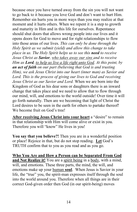because once you have turned away from the sin you will not want to go back to it because you love God and don't want to hurt Him. Remember sin hurts you in more ways than you may realize at that moment and it hurts others. When we repent it is a step to growth and maturity in Him and in this life for ourselves. Repentance should shut doors that allows wrong people into our lives and it opens doors for God to move and for right relationships to flow into those areas of our lives. *This can only be done through the Holy Spirit as we submit (yield) and allow this change to take place in us. The Holy Spirit helps us to see this need to receive Jesus Christ as Savior, who takes away our sins and to receive Him as Lord, to help us live a life right unto God. At this point, by an act of faith on our part (believing that God is and trusting Him), we ask Jesus Christ into our heart (inner man) as Savior and Lord. This is the process of giving our lives to God and receiving Jesus Christ as our Savior and Lord.* When we are born into the Kingdom of God as his dear sons or daughters there is an inward change that takes place and we need to allow that to flow through our mind, will, and emotions to the world outside! Over time it will go forth naturally. Then are we becoming that light of Christ the Lord desires to be seen in the earth for others to partake thereof! We become fruit on God's tree!

**After receiving Jesus Christ into your heart** a "desire" to remain in that relationship with Him will come alive or exist in you. Therefore you will "know" He lives in you!

**You say that you believe?!** Then you are in a wonderful position or place! Rejoice in that, but do not stop reading. **Let** God's TRUTH confirm that to you as you read and as you go.

**Who You Are and How a Person can be Separated From God and Not Realize it!** You are a spirit being in a body, with a mind, will, and emotions. These three parts, the mind, the will, and emotions make up your human **soul**. When Jesus is Savior in your life, the "true" you, the spirit-man expresses itself through the soul into the world around you. Therefore when all things are in their correct God-given order then God (in our spirit-being) moves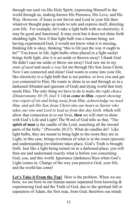through our soul via His Holy Spirit; expressing Himself to the world through us; making known His Presence, His Love, and His Way. However, if Jesus is not Savior and Lord in your life then whatever thought pops up tends to rule and express itself, directing your life. For example, let's take a light bulb with no electricity; it may be good and functional. It may exist but it does not shine forth shedding light. Now if that light bulb was a human being, not having experienced God, it would not know what it is missing, thinking life is okay, thinking "this is life just the way it ought to be!" You know in life, light bulbs when placed in a light socket brings forth light, else it is set aside or thrown away! I thank God He didn't cast me aside or throw me away! God saw me in my *state of need* and *made a way* for me through His Son Jesus Christ. Now I am connected and shine! God wants to come into your life, like electricity to a light bulb that is not perfect, to love you and get you connected to Him. He wants to shine in us and through us in a darkened (blinded and ignorant of God) and dying world that truly needs Him. The only thing we have to do is *make the right choice (Deuteronomy 30:19, Joel 3:14) to come to Him, repent showing true regret of sin and being away from Him, acknowledge we need Him, and ask His Son Jesus Christ into our heart as Savior who takes our sins and Lord to lead us from this day forth,* which will allow that connection in to our lives, **then** we will start to shine with God's Life and Light! The Word of God tells us that, "The **spirit of man** is the candle of the Lord, searching all the inward parts of the belly." (Proverbs 20:27). What do candles do? Like light bulbs, they are meant to bring light to the room they are in. Light, in this case, brings revelation of what is in the room (person) and understanding (revelation) takes place, God's Truth is brought forth. Just like a light being turned on in a darkened place, you will then see and understand exactly what is before you concerning God, you, and this world. Ignorance (darkness) flees when God's Light comes in. Change of the way you perceive God, your life, and the world has come!

Let's Take it From the Top! Here is the problem. When we are born, we are born in our human nature separated from knowing & experiencing God and the Truth of God, due to the spiritual fall or separation of Adam, the first man, from God; therefore our minds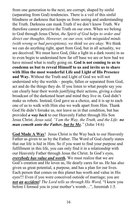from one generation to the next, are corrupt, shaped by sinful (separating from God) tendencies. There is a veil of this sinful blindness or darkness that keeps us from seeing and understanding the Truth. Darkness can mask Truth if we don't know Truth. We therefore cannot perceive the Truth on our own. When we belong to God through Jesus Christ, *the Spirit of God helps to order and direct our thoughts. However, on our own, with misguided minds (with wrong or bad perceptions), we think we are okay.* We think we can do anything right, apart from God, but in all actuality, we are deceived. We must have God, (like a light in a dark room) in us to even begin to understand how far off base we are or how bad we have missed what is really going on. **God is not coming to us to condemn us but to reveal Himself to us and invite us to share with Him the most wonderful Life and Light of His Presence and Way.** Without the Truth and Light of God we will not understand why the worlds – people, fallen or separated from God, act and do the things they do. If you listen to what people say you can clearly hear their words justifying their actions, giving a clear broadcast of the darkened heart and mind they live in. God didn't make us robots. Instead, God gave us a choice, and it is up to each one of us to walk with Him else we walk apart from Him. Thank God He didn't forsake us, nor leave us in that condition, but has provided *a way back* to our Heavenly Father through His Son Jesus Christ. *Jesus said, "I am the Way, the Truth, and the Life: no man cometh unto the Father, but by Me."* (John 14:6)

**God Made A Way**! Jesus Christ is the Way back to our Heavenly Father as given to us by the Father. The Word of God clearly states that our life is hid in Him. So if you want to find your purpose and fulfillment in this life, you can only find it in a relationship with our Heavenly Father through Jesus the Christ. In God's eyes, *everybody has value and worth.* We must realize that we are God's creation and He loves us, He dearly cares for us. He has also given us great potential, a purpose, and has a plan for our lives. Each person that comes on this planet has worth and value in His eyes!!! Even if you were conceived outside of marriage; you are *not an accident! The Lord tells us through His Word,* "I knew you before I formed you in your mother's womb…", Jeremiah 1:5.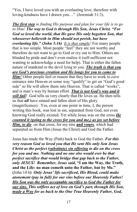"Yes, I have loved you with an everlasting love; therefore with loving-kindness have I drawn you…" (Jeremiah 31:3).

*The first step in finding His purpose and plan for your life is to go to Him! The way to God is through His Son, Jesus Christ. "For God so loved the world, that He gave His only begotten Son, that whosoever believeth in Him should not perish, but have everlasting life." (John 3:16) It is that simple!* For many people that is too simple. Most people "feel" they are not worthy and therefore do not want to go to God or cry out to Him. Others are blinded by pride and don't even realize it (self-sufficient not wanting to acknowledge a need for help). That is either the fallen nature of mankind or the devil lying to you. *The truth is that you are God's precious creation and He longs for you to come to Him!* Other people feel or reason that they have to work to *earn* entrance into Heaven or some way "qualify" to get on "God's good side" so He will allow them into Heaven. That is called "works", and is man's way by human effort. *That is not God's way and it will fail!* God tells us very clearly that He loves us. He then tells us that *all* have sinned and fallen short of His glory (magnificence). Yes, even at one point in time, I, the person writing this book, was lost in sin, separated from God, not even knowing God really existed. Yet while Jesus was on the cross *He counted it (going to the cross for you and me,) as joy set before Him, to die* on that cross, for my sins **and yours**, which had separated us from Him (Jesus the Christ) and God the Father.

Jesus has made the Way (Path) back to God the Father. *For this very reason God so loved you that He sent His only Son Jesus Christ as the perfect (substitute) sin offering to die on the cross for you and me. Nothing and no one else would ever be that perfect sacrifice that would bridge that gap back to the Father, only JESUS! Remember, Jesus said,* **"I am the Way, the Truth, and the Life: no man cometh unto the Father, but by Me." (**John 14:6**)** *Only Jesus' life sacrificed, His Blood, could make atonement (pay in full) for our sins before our Heavenly Father! His Son was the only acceptable sacrifice to God the Father for our sins. This selfless act of love on God's part, through His Son, made a Way for us back to the One True Heavenly Father, God,*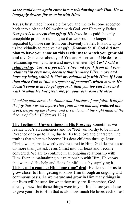## *so we could once again enter into a relationship with Him. He so longingly desires for us to be with Him!*

Jesus Christ made it possible for you and me to become accepted back into a place of fellowship with God, our Heavenly Father. *Our part is to accept that gift of His love.* Jesus paid the only acceptable price for our sins, so that we would no longer be separated by those sins from our Heavenly Father. It is now up to us individually to receive that *gift.* (Romans 5:18) **God did not plan to have you come on this earth just to watch you grow old and die.** God cares about you! You are His creation! He desires a relationship with you here and now, then eternity! *Yes! I said a relationship! Yes, it is possible; I live and speak from that very relationship even now, because that is where I live, move and have my being, which is "in" my relationship with Him! If I can then since God is "not a respecter of persons", which means He doesn't come to me to get approval, then you too can have and walk in what He has given me, for your very own life also!*

"*Looking unto Jesus the Author and Finisher of our faith; Who for the joy that was set before Him [that is you and me] endured the cross, despising the shame, and is set down at the right hand of the throne of God."* (Hebrews 12:2)

**The Feeling of Unworthiness in His Presence** Sometimes we realize God's awesomeness and we "feel" unworthy to be in His Presence or to go to Him, due to His true love and character. The truth is that when we become His dear children through Jesus Christ, we are made worthy and restored to Him. God desires us to do more than just ask Jesus Christ into our heart and become converted. We are to continue in an ongoing relationship with Him. Even in maintaining our relationship with Him, He knows that we need His help and He is faithful to us by supplying it! **This is not a come to Him "one time" deal!** He desires for us to grow closer to Him, getting to know Him through an ongoing and continuous basis. As we mature and grow in Him many things in our lives will be seen for what they truly are. Remember, God already knew that those things were in your life before you chose to give your life to Him that is also how much He loves each of us!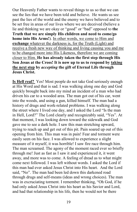Our Heavenly Father wants to reveal things to us so that we can see the lies that we have been told and believe. He wants us see past the lies of the world and the enemy we have believed and to be set free in areas of our lives where we are deceived (believe a lie and thinking we are okay or "good" or "bad" opposed to **the Truth that we are simply His children and need to come/go home into His Arms!**). In other words, we come to Him and **exchange** whatever the darkness is, for the Truth (Light) and receive a fresh new way of thinking and living causing you and me to be changed more into His Likeness, therefore we are coming closer to Him. **He has already taken the first step through His Son Jesus at the Cross! It is now up to us to respond by taking the next step by** *accepting* **the gift of Eternal Life through Jesus Christ.** 

**Is Hell real?** Yes! Most people do not take God seriously enough at His Word and that is sad. I was walking along one day and God quickly brought back into my mind an incident of a man who had driven his car to a wooded area. The man got out of his car, went into the woods, and using a gun, killed himself. The man had a history of drugs and work-related problems. I was walking along the street where I lived one day, and I asked the Lord "Is the man in Hell, Lord?" The Lord clearly and recognizably said, "Yes". At that moment, I was looking down toward the sidewalk and God gave me to see a dark hole. I saw this man stretching upward, trying to reach up and get out of this pit. Pain soared up out of this opening from him. This man was in pain! Fear and torment were easily seen on his face. I was allowed to experience a slight measure of it myself, it was horrible! I saw fire race through him. The man screamed. The agony of the moment raced ever so briefly through me! Just as fast as I saw it and experienced it, it went away, and more was to come. A feeling of dread as to what might come next followed. I was left without words. I asked the Lord if this man had ever asked Jesus Christ into His heart. And the Lord said, "No". The man had been led down this darkened road through drugs and self-means (ideas and wrong choices). The man was in excruciating torment. I remember thinking, "Oh God, if he had only asked Jesus Christ into his heart as his Savior and Lord, and had that relationship in his life, then he would not be there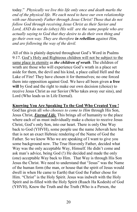today." *Physically we live this life only once and death marks the end of the physical life. We each need to have our own relationship with our Heavenly Father through Jesus Christ! Those that do not follow God through receiving Jesus Christ as their Savior and Lord, AND do not do (obey) His will are the same people who are actually saying to God that they desire to do their own thing and go their own way. They are therefore in rebellion against Him, and are following the way of the devil.* 

All of this is plainly depicted throughout God's Word in Psalms 9:17. God's Holy and Righteous children will not be subject to the same place in eternity as *the children of wrath*. The children of wrath are those who will experience God's wrath in a place set aside for them, the devil and his kind, a place called Hell and the Lake of Fire! They have chosen it for themselves; no one forced them into opposition against God. We have all been given **a free will** by God and the right to make our own decision (choice) to receive Jesus Christ as our Savior (Who takes away our sins), and Lord (Who leads us in Life Eternal).

### **Knowing You Are Speaking To the God Who Created You !**

God has given all *who chooses to come to Him* through His Son, Jesus Christ, *Eternal Life.* This brings all of humanity to the place where each of us must individually make a choice to receive Jesus Christ, God's only Son, into our heart. There is only One Way back to God (YHVH), some people use the name Jehovah here but that is not an exact Hebraic rendering of the Name of God the Father. So we know Who we are speaking of I want to give you some background now. The True Heavenly Father, decided what Way was the only acceptable Way, Himself. He didn't come and ask man's advice, being God (!) He decided and made the only (one) acceptable Way back to Him. That Way is through His Son Jesus the Christ. We need to understand that "Jesus" was the Name of the human form (the man, or house that the spirit of Jesus would dwell in when He came to Earth) that God the Father chose for Him. "Christ" is the Holy Spirit. Jesus was indwelt with the Holy Spirit and in-filled with the Holy Spirit (Ruach Ha Kodesh) of God (YHVH), Know the Truth and the Truth (Who is a Person, the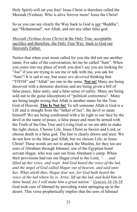Holy Spirit) will set you free! Jesus Christ is therefore called the Messiah (Yeshua). Who is alive forever more! Jesus the Christ!

So as you can see clearly the Way back to God is not "Buddha", not "Mohammad", not Allah, and not any other false god.

## *Messiah (Yeshua-Jesus Christ) is* the Only True, acceptable sacrifice and therefore, the Only True Way back to God our Heavenly Father.

Notice that when your mom called for you she did not use another name. For sake of the conversation, let me be called "Sam". When you come into my place of work you don't say you are looking for "Joe" if you are trying to see me or talk with me, you ask for "Sam"! It is sad to say, but *many are deceived* thinking that "YHVH" and "Allah" are one in the same. **Not so!** Many are being deceived with a demonic doctrine and are being given a bill of false peace, false unity, and a false sense of safety. Many are being sold out to the guise (deception) of "political correctness". Many are being taught wrong that Allah is another name for the True God of Heaven. **This Is Not So!** To tell someone Allah is God is a LIE and is straight from the "father of lies", the devil or satan himself! We are being confronted with a lie right to our face by the devil in the name of peace, a false peace and must be armed with the Truth of the One True and Living God so we are able to make the right choice. Choose Life, Jesus Christ as Savior and Lord, or choose death in a false god. The line is clearly drawn and seen. We do not bow to the false god Allah, but we choose Life, in Jesus Christ! These words are not to attack the Muslim, for they too are sons of Abraham through Ishmael, son of the Egyptian bond servant Hagar, who was cast out from Abraham's camp. When their provisions had run out Hagar cried to the Lord, *". . . and lifted up her voice, and wept. And God heard the voice of the lad, and the angel of God called Hagar out of heaven, and said unto her, What aileth thee, Hagar fear not; for God hath heard the voice of the lad where he is. Arise, lift up the lad, and hold him in thine hand; for I will make him a great nation." Genesis 16:16-18.*  God took care of Ishmael by providing water springing up in the desert. This verse prophetically implies that the sons of Ishmael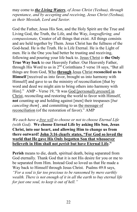may come to *the Living Waters*, *of Jesus Christ (Yeshua), through repentance, and by accepting and receiving, Jesus Christ (Yeshua), as their Messiah, Lord and Savior.* 

God the Father, Jesus His Son, and the Holy Spirit are the True and Living God, the Truth, the Life, and the Way, *longsuffering, and compassionate,* Creator of all things that exist. All things consists and are held together by Them. Jesus Christ has the fullness of the God-head. He is the Truth. He is Life Eternal. He is the Light of men. He is the One you had better be trusting and receiving, following and pouring your life back to. Jesus Christ *is* **the Only True Way back** to our Heavenly Father. Our Heavenly Father, through His Word to us in 2<sup>nd</sup> Corinthians 5 verse 18 says, "But all things are from God, Who **through** Jesus Christ **reconciled us to Himself** [received us into favor, brought us into harmony with Himself] and gave to us the ministry of reconciliation [that by word and deed we might aim to bring others into harmony with Him]." AMP - Verse 19, "It was God [*personally present*] in Christ, reconciling and restoring the world to favor with Himself, **not** counting up and holding against [men] their trespasses [*but canceling them*] , and committing to us the message of reconciliation (of the restoration of favor)." AMP

*We each have a free will to choose or not to choose Eternal Life (with God).* **We choose Eternal Life by asking His Son, Jesus Christ, into our heart, and allowing Him to change us from there outward! John 3:16 clearly states, "For God so loved the world that He gave His Only begotten Son that whosoever believeth in Him shall not** *perish* **but have Eternal Life."** 

**Perish** means to die, death, spiritual death, being separated from God eternally. Thank God that it is not His desire for you or me to be separated from Him. Instead God so loved us that He made a Way back to Himself through Jesus Christ. Psalms 49:8 says, *"For a soul is far too precious to be ransomed by mere earthly* 

*wealth. There is not enough of it in all the earth to buy eternal life for just one soul, to keep it out of hell."*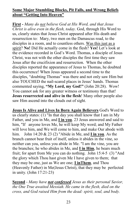# **Some Major Stumbling Blocks, Pit Falls, and Wrong Beliefs about "Getting Into Heaven"**

**First -** *Many do not believe God at His Word, and that Jesus Christ is alive even in the flesh, today.* God, through His Word to us, clearly states that Jesus Christ appeared after His death and resurrection to: Mary, two men on the Damascus road, to the disciples in a room, and to countless others. Was this just as a spirit? **No!** Did He actually come in the flesh? **Yes!** Let's look at the evidence recorded in God's Word. Thomas, a disciple of Jesus Christ, was not with the other disciples the first time they saw Jesus after the crucifixion and resurrection. When the other disciples reported the appearance of Jesus to Thomas, he doubted this occurrence! When Jesus appeared a second time to the disciples, "doubting Thomas" was there and not only saw Him but also TOUCHED the nail-scared places in Jesus' hands. Thomas commented saying, **"My Lord, my God!"** (John 20:28). Wow! You cannot ask for any greater witness or testimony than that! **Jesus resurrected and alive in the flesh**! Many other people also saw Him ascend into the clouds out of sight.

**Jesus Is Alive and Lives In Born Again Believers** God's Word to us clearly states: (1) "In that day you shall know that I am in My Father, and you in Me, and **I in you**. 23 Jesus answered and said to him, "If anyone loves Me, he will keep My word; and My Father will love him, and We will come to him, and make Our abode with him. John 14:20 & 23 (2) "Abide in Me, and **I in you**. As the branch cannot bear fruit of itself, unless it abides in the vine, so neither can you, unless you abide in Me. "I am the vine, you are the branches; he who abides in Me, and **I in Him**, he bears much fruit; for apart from Me you can do nothing. John 15:4-5 (3) "And the glory which Thou hast given Me I have given to them; that they may be one, just as We are one; **I inThem**, and Thou (Heavenly Father) in Me(Jesus Christ), that they may be perfected in unity. (John 17:21-23)

**Second** - *Many have not confessed Jesus as their personal Savior, the One True awaited Messiah. He came in the flesh, died on the cross, and God raised Him from the dead: spirit, soul, and body.*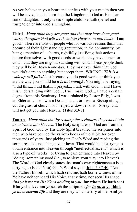As you believe in your heart and confess with your mouth then you will be saved, that is, born into the Kingdom of God as His dear son or daughter. It only takes simple childlike faith (belief and trust) to enter into God's Kingdom.

**Third** - *Many think they are good and that they have done good works, therefore God will let them into Heaven on that basis.* "I am good." There are tons of people who for various reasons think that because of their right standing (reputation) in the community, by being a member of a church, rightfully justifying their actions before themselves with good deeds or works they have done "for God", that they are in good-standing with God. These people think they will be in Heaven one day. They may even think that God wouldn't dare do anything but accept them. WRONG! *This is a wakeup call folks!* Just because you do good works or think you are the way you should be *it is not enough***.** You might be saying "I did this..., I did that..., I prayed..., I talk with God..., and I have this understanding with God..., I will make God..., I have a certain degree from this Seminary, I was ordained by Pastor Billy, I was an Elder at …, or I was a Deacon at …, or I was a Bishop at …, I cut the grass at church, or I helped widow Jenkins." **Sorry**, that will not get you into Heaven. (Titus 3:3-7)

**Fourth** - *Many think that by reading the scriptures they can obtain an entrance into Heaven.* The Holy scriptures of God are from the Spirit of God. God by His Holy Spirit breathed the scriptures into men who have penned the various books of the Bible for over thousands of years. Just picking up God's Word and reading the scriptures does not change your heart. That would be like trying to obtain entrance into Heaven through "intellectual ascent", which is also a type of "works" or trying to gain entrance into Heaven by "doing" something good (i.e., to achieve your way into Heaven). The Word of God clearly states that man's own righteousness is as dirty rags. (Isaiah 64:6) God's Word says in John 5:37-40, "And the Father Himself, which hath sent me, hath borne witness of me. Ye have neither heard His Voice at any time, nor seen His shape. *And ye have not His Word abiding in you:* **for whom He hath sent Him ye believe not ye** search the scriptures *for in them* **ye think** *ye have eternal life* and they are they which testify of me. **And ye**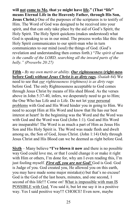**will not come to Me, that ye might have life." (That "life" means Eternal Life in the Heavenly Father, through His Son, Jesus Christ.)** One of the purposes of the scriptures is to testify of Him. The Word of God was designed to be received into your spirit, and that can only take place by the aid of God's Spirit, the Holy Spirit. The Holy Spirit quickens (makes understood) what God is speaking to us in our mind. The process works like this: the Holy Spirit communicates to our spirit-man who in turn communicates to our mind (soul) the things of God. (God's revelation and understanding then comes forth.) "*The spirit of man is the candle of the LORD, searching all the inward parts of the belly." (Proverbs 20:27)*

**Fifth -** *By my own merit or ability. Our righteousness* **(right-ness before God)** *without Jesus Christ is as dirty rags. (Isaiah 64)* We need to see that *our righteousness (rightness) is as dirty rags*  before God. The only Righteousness acceptable to God comes through Jesus Christ by means of His shed Blood. As the verses above in John 5:37-40, infers, we desperately need to go to Him; the One Who has Life and *is* Life. Do not let your personal problems with God and His Word hinder you in going to Him. We need to accept Him at His Word and know that He has our best interest at heart! In the beginning was the Word and the Word was with God and the Word was God (John 1:1). God and His Word are inseparable! The Word is as much a part of Him as Jesus His Son and His Holy Spirit is. The Word was made flesh and dwelt among us, the Son of God, Jesus Christ. (John 1:14) Only through Jesus Christ and His Blood can we be deemed as right before God.

**Sixth** – Many believe **"I've blown it now** and there is no possible way God could love me, or that I could change it or make it right with Him or others, I'm done for, why am I even reading this, I'm just fooling myself. *First off, you are not God!* God is God. God is Judge of you. God created you, He allowed you on this earth, you may have made some major mistake(s) but that's no excuse! God is the God of the last hours, minutes, and one second, 1 second of this life!!! Come on! What is impossible with man IS POSSIBLE with God. You said it, but let me say it in a positive way. Yes I said positive way!!! CHOICE! Even now, maybe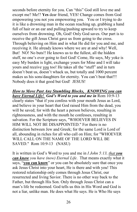seconds before eternity for you. Can "this" God still love me and except me? Me!? **Yes** dear friend, YES! Change comes from God empowering you not you empowering you. You or I trying to do it is like a drowning man in the ocean reaching up, grabbing a hand full of hair or an ear and pulling/pushing upward to try to keep ourselves from drowning. Oh, God! Only God saves. Our part is to receive the gift Jesus Christ gave us from going to the cross. Through believing on Him and in what He did for you and me, and receiving it. He already knows where we are at and why! Well, But! NO! No buts!! He knows us to the fullest, all the hidden stuff, no one's ever going to fool God! Come, He says, My yoke is easy My burden is light, exchange yours for Mine and I will take yours and receive you too! He takes all the "stuff" and in turn doesn't beat us, doesn't whack us, but totally and 1000 percent makes us his sons/daughters for eternity. You can't beat that!!! Nobody does it that good but God! JESUS!

# *How to Move Past Any Stumbling Blocks, KNOWING you can have Eternal Life! God's Word to you and me in* Rom 10:9-13

clearly states "that if you confess with your mouth Jesus as Lord, and believe in your heart that God raised Him from the dead, you will be saved; for with the heart a person believes, resulting in righteousness, and with the mouth he confesses, resulting in salvation. For the Scripture says, "WHOEVER BELIEVES IN HIM WILL NOT BE DISAPPOINTED." For there is no distinction between Jew and Greek; for the same Lord is Lord of all, abounding in riches for all who call on Him; for "WHOEVER WILL CALL ON THE NAME OF THE LORD WILL BE SAVED." Rom 10:9-13 (NASU)

It is written in God's Word to you and me in *I John 5:13, that you can know you have (now) Eternal Life*. That means exactly what it says, "**you can know**" or you can be absolutely sure that once you ask Jesus Christ into your heart, He is there and with you! This restored relationship only comes through Jesus Christ, our resurrected and living Savior. There is no other way back to the Father, but through His Son. Only through Jesus Christ can a man's life be redeemed. God tells us this in His Word and God is not a liar, unlike man. He does what He says. He is Who He says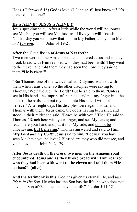He is. (Hebrews 6:18) God is love. (1 John 4:16) Just know it!! It's decided, it is done!!

# **He is ALIVE! JESUS is ALIVE!!!**

Jesus speaking said, "After a little while the world will no longer see Me, but you will see Me; **because I live, you will live also**. "In that day you will know that I am in My Father, and you in Me, *and I in you*." John 14:19-21

# **After the Crucifixion of Jesus of Nazareth:**

Two men were on the Amaeus road encountered Jesus and as they brook bread with Him realized who they had been with! They went to the eleven and told them they had seen the Lord, they said to them **"He is risen!"** 

"But Thomas, one of the twelve, called Didymus, was not with them when Jesus came. So the other disciples were saying to Thomas, "We have seen the Lord!" But he said to them, "Unless I see in His hands the imprint of the nails, and put my finger into the place of the nails, and put my hand into His side, I will not believe." After eight days His disciples were again inside, and Thomas with them. Jesus came, the doors having been shut, and stood in their midst and said, "Peace be with you." Then He said to Thomas, "Reach here with your finger, and see My hands; and reach here your hand and put it into My side; and do not be unbelieving, **but believing**." Thomas answered and said to Him, "*My Lord and my God*!" Jesus said to him, "Because you have seen Me, have you believed? Blessed are they who did not see, and yet believed." John 20:24-29

**After Jesus death on the cross, two men on the Amaeus road encountered Jesus and as they broke bread with Him realized who they had been with went to the eleven and told them "He is risen!", (alive)** 

**And the testimony is this,** God has given us eternal life, and *this life is in His Son.* He who has the Son has the life; he who does not have the Son of God does not have the life." 1 John 5:11-12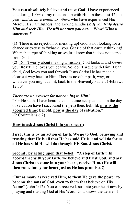**You can absolutely believe and trust God!** I have experienced that during 100% of my relationship with Him in these last 42 plus years *and so have countless others* who have experienced His Mercy, His Faithfulness, and Loving Kindness! *If you truly desire Him and seek Him, He will not turn you out!* Wow! What a statement!!!

**(1)** There is no rejection or messing up! God is not looking for a chance or excuse to "whack" you. Get rid of that earthly thinking! When that type of thinking arises just know that it does not come from God.

**(2)** Don't worry about making a mistake. God looks at and *knows* your **heart**. He loves you dearly. So, don't argue with Him! Dear child, God loves you and through Jesus Christ He has made a clear-cut way back to Him. There is no other path, way, or whatever you might call it, back to the Heavenly Father. (Hebrews 12:13)

# *There are no excuses for not coming to Him!*

"For He saith, I have heard thee in a time accepted, and in the day of salvation have I succoured (helped) thee: **behold, now is the accepted time; behold, now is the day of salvation.**"

(2 Corinthians 6:2)

# **How to ask Jesus Christ into your heart:**

**First , this is by an action of faith. We go to God, believing and trusting that He is all that He has said He is, and will do for us all He has said He will do through His Son, Jesus Christ.** 

**Second , by acting upon that belief.** (**"A step of faith") In accordance with your faith, we believe and trust God, and ask Jesus Christ to come into your heart, receive Him. (He will then come into your heart just as He has promised!)** 

"**But as many as received Him, to them He gave the power to become the sons of God, even to them that believe on His Name**" (John 1:12). You can receive Jesus into your heart now by praying and trusting God at His Word. God knows the desire of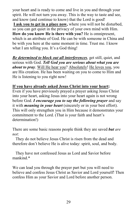your heart and is ready to come and live in you and through your spirit. He will not turn you away. This is the way to taste and see, and know (and continue to know) that the Lord is good! **I ask you to get in a place now,** where you will not be disturbed, so you can get quiet in the privacy of your own mind with Him. **How do you know He is there with you?** He is omnipresent, which is an attribute of God. He can be with someone in China and be with you here at the same moment in time. Trust me. I know what I am telling you. It's a God thing!

*Be determined to block out all interferences*, get still, quiet, and serious with God. *Tell God you are serious about what you are about to pray*. Will He hear you? Absolutely! He loves you, you are His creation. He has been waiting on you to come to Him and He is listening to you right now!

# **If you have already asked Jesus Christ into your heart:**

Even if you have previously prayed a prayer asking Jesus Christ into your heart, asking Jesus into your heart again is not wrong before God. *I encourage you to say the following prayer* and say it with *meaning in your heart* (sincerely or in your best effort). This will only strengthen you in Him because it demonstrates your commitment to the Lord. (That is your faith and heart's determination!)

There are some basic reasons people think they are saved *but are not*:

 They do not believe Jesus Christ is risen from the dead and therefore don't believe He is alive today: spirit, soul, and body.

 They have not confessed Jesus as Lord and Savior before mankind.\*

We can lead you through the prayer part but you will need to believe and confess Jesus Christ as Savior and Lord yourself! Then confess Him as your Savior and Lord before another person.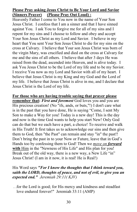# **Please Pray asking Jesus Christ to Be Your Lord and Savior (Sinners Prayer) (Please Pray Out Loud) :**

Heavenly Father I come to You now in the name of Your Son Jesus Christ. I confess that I am a sinner and that I have sinned against You. I ask You to forgive me for all of my sins and I repent for my sins and I choose to follow and obey and accept Your Son Jesus Christ as my Lord and Savior. I believe in my heart that You sent Your Son Jesus Christ to die for my sins on the cross at Calvary. I believe that Your son Jesus Christ was born of the virgin Mary, was crucified and died on the cross at Calvary for me and the sins of all others. I believe that after 3 days He was raised from the dead, ascended into Heaven, and is alive today. I ask You Jesus Christ to be the Lord of my life and to be my Savior. I receive You now as my Lord and Savior with all of my heart. I believe that Jesus Christ is my King and my God and the Lord of my life. I believe that Jesus Christ is alive in me, and I declare that Jesus Christ is the Lord of my life.

**For those who are having trouble saying that prayer please remember that:** *First and foremost* God loves you and you are His precious creation! (No "ifs, ands, or buts,"!) I don't care what is in the past that you have done, He is saying "Come, I sent My Son to make a Way for you! Today is a new day! This is the day and now is the time God wants to help you start New! Only God can do that but we each have a part, a choice! To receive and walk in His Truth! It first takes us to acknowledge our sins and then give them to God, then "the Past" can remain and stay "in" the past!! Don't bring the past in to your Now or Future, leave that in God's Hands too by confessing them to God! Then we *move on forward* **with** Him in the "Newness of His Life" and His plan for you! Break out of the old way, there is a new way, a New Life "in" Jesus Christ! (I am in it now, it is real! He is Real!)

# His Word says *"For I know the thoughts that I think toward you, saith the LORD, thoughts of peace, and not of evil, to give you an expected end." Jeremiah 29:11( KJV)*

 . .for the Lord is good; for His mercy and kindness and steadfast love endured forever!" Jeremiah 33:11 (AMP)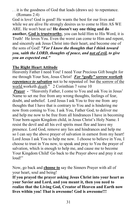. . it is the goodness of God that leads (draws us) to repentance. (Romans 2:4)

God is love! God is good! He wants the best for our lives and while we are alive He strongly desires us to come to Him AS WE ARE. He won't beat us! **He doesn't say one thing and do another, God is trustworthy**, you can hold Him to His Word, it is Truth! He loves You. Even the worst can come to Him and repent, and sincerely ask Jesus Christ into their heart, and become one of the sons of God! *"For I know the thoughts that I think toward you, saith the LORD, thoughts of peace, and not of evil, to give you an expected end."* 

# **The Right Heart Attitude**

Heavenly Father I need You! I need Your Precious Gift bought for me through Your Son, Jesus Christ! *For "godly" sorrow worketh repentance to salvation* not to be repented of: but the sorrow of the world worketh *death*." 2 Corinthian 7 verse 10

*Prayer -* "Heavenly Father, I come to You and ask You in Jesus' Name to set me free from any wrong thoughts, feelings of fear, doubt, and unbelief. Lord Jesus I ask You to free me from any thoughts that I have that is contrary to You and is hindering me now from coming to You. I ask You, Father God, to deliver me and help me now to be free from all hindrances I have in becoming Your born-again Kingdom child, in Jesus Christ's Holy Name. I resist the devil and all his evil spirits must flee and leave my presence. Lord God, remove any lies and hindrances and help me so I can say the above prayer of salvation in earnest from my heart! Lord Jesus I ask You to help me now. I choose to believe in You, I choose to trust in You now, to speak and pray to You the prayer of salvation, which is enough to help me, and cause me to become Your Kingdom Child! Go back to the Prayer above and pray it out loud!"

Now, go back and **choose to** say the Sinners Prayer with all of your heart, soul and being!

**If you prayed the prayer asking Jesus Christ into your heart as your Savior and Lord, and you meant it, then you need to realize that the Living God, Creator of Heaven and Earth now lives within you! That is awesome! God is awesome!!!**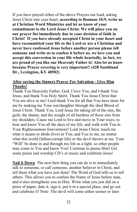If you have prayed either of the above Prayers out loud, asking Jesus Christ into your heart, **according to Romans 10:9, write us at Christian Word Ministries and let us know of your commitment to the Lord Jesus Christ. We will place you on our prayer list immediately due to your decision of faith in Christ! If you have already accepted Christ in your heart and have recommitted your life to the Lord or are a Christian and never have confessed Jesus before another person please tell someone and write us to confess it before us, we love you and accept this conversion in your life whole heartedly, in fact, we are proud of you like our Heavenly Father is! Also let us know because Prayer covering is very important!! (428 Southland Dr., Lexington, KY 40502)** 

# **After saying the Sinners Prayer For Salvation - Give Him Thanks!**

Thank You Heavenly Father, God. I love You, and I thank You Jesus, and thank You Holy Spirit. Thank You Jesus Christ that You are alive in me! Lord thank You for all that You have done for me by making me Your son/daughter through the shed Blood of Jesus Christ. Thank You, Lord Jesus for taking all of the sins, the guilt, the shame, and the weight of all burdens of those sins from my shoulders. Cause me Lord to live and move in Your ways, to hear and know You all the days of my life, and walk with You in Your Righteousness forevermore! Lord Jesus Christ, teach me what it means to abide (live) in You, and You in me, no matter what this world (fallen/corrupt life) or the devil throws at me. Your "Will" be done in and through my life as a light, so other people may come to You and know You! Continue to praise Him! Get some praise and worship CD's or music and celebrate Jesus!

**Nail it Down** The next best thing you can do is to immediately talk to someone, or call someone, another believer in Christ, and tell them what you have just done! The Word of God tells us to tell others. This allows you to confess the Name of Jesus before man, and it also strengthens you in Him. Write what you just did on a piece of paper, date it, sign it, put it in a special place, and go out and celebrate it! Note: The devil will come either sooner or later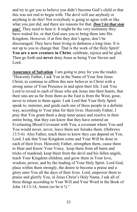and try to get you to believe you didn't become God's child or that this was not real to begin with. The devil will use anybody or anything to do this! Not everybody is going to agree with or like what you just did, and there are reasons for that. *Don't let that stop you!* They need to hear it. It might be the very testimony they have waited for, or that God uses you to bring them into His Kingdom. However, if at first they don't agree, don't be discouraged. They have been living in darkness a long time. It is not up to you to change that. That is the work of the Holy Spirit! **You are a new creature in Christ**, celebrate, rejoice and be glad. Then go forth and **never** deny Jesus as being Your Savior and Lord.

**Assurance of Salvation** I am going to pray for you the reader, "Heavenly Father, I ask You in the Name of Your Son Jesus Christ, to continue to affirm this new believer in Christ with a strong sense of Your Presence in and upon their life. I ask You Lord to reveal to each of those who ask Jesus into their hearts, that their sins are as far from them as the East is from the West, gone, never to return to them again. I ask Lord that Your Holy Spirit speak to, minister, and guide each one of these people in a definite way, according to Your plan for their lives. Heavenly Father, I pray that You grant them a deep inner peace and resolve in their entire being, that they can know that they have entered an Everlasting Blood Covenant with You, a covenant where You said You would never, never, leave them nor forsake them. (Hebrews 13:5-6) Also Father, teach them to know they can depend on You. Lord, I ask that Your Kingdom come and Your Will be done in each of their lives. Heavenly Father, strengthen them, cause them to Hear and Know Your Voice, keep them from all harm and tricks of mankind, keep them from the devil and his fallen angels, teach Your Kingdom children, and grow them in Your love, wisdom, power, and by the leading of Your Holy Spirit. Lord God, place within them strongly, the desire to become a praise and a glory unto You all the days of their lives. Lord, empower them to praise and glorify You, in Jesus Christ's Holy Name, I ask all of these things according to Your Will and Your Word in the Book of John 14:13-14, Amen (so be it !)."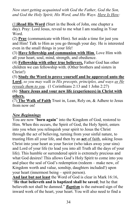*Now start getting acquainted with God the Father, God the Son, and God the Holy Spirit, His Word, and His Ways. Here Is How:*

(1)**Read His Word** (Start in the Book of John, one chapter a day). Pray: Lord Jesus, reveal to me what I am reading in Your Word.

(2) **Pray** (communicate with Him). Set aside a time for just you and Him! Talk to Him as you go through your day. He is interested even in the small things in your life!

(3) **Have fellowship and communion with Him**. Love Him with all your heart, soul, mind, strength, and obedience.

(4) **Fellowship with other true believers.** Father God has other children we can fellowship with. (Other brothers and sisters in Christ!)

(5) **Study the Word to prove yourself and be approved unto the Lord**, *so you may walk in His precepts, principles, and ways as He reveals them to you.* (1 Corinthians 2:13 and 1 John 2:27)

(6) **Share Jesus and your new life (experiences) in Christ with others.**

(7) **The Walk of Faith** Trust in, Lean, Rely on, & Adhere to Jesus from now on!

# *New Beginnings*

You are now "**born again**" into the Kingdom of God, restored to Him. When this occurs, the Spirit of God, the Holy Spirit, enters into you when you relinquish your spirit to Jesus the Christ through the act of believing, turning from your sinful nature, to trusting Him all your life, and then by an **act** of faith, asking Jesus Christ into your heart as your Savior (who takes away your sins) and Lord of your life (to lead you into all Truth all the days of your life). This humble or surrendered spirit is extremely precious and what God desires! This allows God's Holy Spirit to come into you and place the seal of God's redemption (redeem – make new, of Kingdom worth and value, sonship, daughters included!) upon your heart (innermost being – spirit person).

**And last but not least** the Word of God is clear in Mark 16:16, "**He that believeth and is baptized shall be saved**; but he that believeth not shall be damned." *Baptism* is the outward sign of the inward work of the heart, your heart. You will also need to find a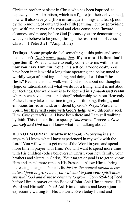Christian brother or sister in Christ who has been baptized, to baptize you. "And baptism, which is a figure [of their deliverance], now will also save you [from inward questionings and fears], not by the removing of outward body filth [bathing], but by [providing you with] the answer of a good and clear conscience (inward cleanness and peace) before God [because you are demonstrating what you believe to be yours] through the resurrection of Jesus Christ." 1 Peter 3:21 (\*Amp. Bible)

**Feelings -** Some people do feel something at this point and some people don't. *Don't worry about that!* **If you meant it then don't question it!** What you have to really come to terms with is that **now you have Him "in" you!** It is settled, a "done deal". You have been in this world a long time operating and being tuned to worldly ways of thinking, feeling, and doing. I call that **"the flesh."** Realize this, our walk with God is not about our thoughts (logic or rationalization) what we do for a living, and it is not about our feelings. Our walk now is to be focused in **a** *faith-***based realm** wherein we have a "trust and obey" relationship with our Heavenly Father. It may take some time to get your thinking, feelings, and emotions turned around, or ordered by God's Ways, Word and Spirit, **but they will come with God's help**, as we diligently seek Him. *Give yourself time*! I have been there and I am still walking by faith. This is not a fast or speedy *"microwave"* process. *Give yourself and God time*. I know what I am talking about!

**DO NOT WORRY! (Matthew 6:25-34)** (Worrying is a sin anyway.) I know what I have experienced in my walk with the Lord! You will want to get more of the Word in you, and spend more time in prayer with Him. You will want to spend more time with His children (other believers in Christ, your new family, your brothers and sisters in Christ). Your target or goal is to get to know Him and spend more time in His Presence. Allow Him to bring increasing change in Your Life. *Just as the natural person needs natural food to grow; now you will want to feed your spirit-man spiritual food and drink to continue to grow*. (John 6:54-56) Feed before Him in prayer on the Book of John. Ask Him to reveal His Word and Himself to You! Ask Him questions and keep a journal, expectantly waiting for His answers. Even today I thirst and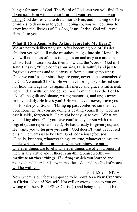hunger for more of God. The Word of God says you will find Him if you seek Him with all your heart, all your soul, and all your being. God desires you to draw near to Him, and in doing so, He promises to draw near to you! In doing so, you will continue to grow into the likeness of His Son, Jesus Christ. God will reveal Himself to you.

#### **What If I Sin Again After Asking Jesus Into My Heart?**

We are not to deliberately sin. After becoming one of His dear children you will still make mistakes and get into sin. Hopefully you will not sin as often as time goes on and as you mature in Christ. Just in case you do, then know that the Word of God in 1 John 1:9 says, "If we confess our sins, He is faithful and just to forgive us our sins and to cleanse us from all unrighteousness." Once we confess our sins, they are gone, never to be remembered by God (Jeremiah 31:34). He will never bring up confessed sins, nor hold them against us again. His mercy and grace is sufficient. He will deal with you and deliver you from that! Ask the Lord to take all the guilt and shame, wrong memories, and urges away from you daily. He loves you!!! He will never, never, leave you nor forsake you! So, don't bring up past confessed sin that has been forgiven. All you are doing is beating yourself up. God has cast it aside, forgotten it. He might be saying to you, "What are you talking about?" If you have confessed your sin **with true regret** (a true repentant heart), He has already forgiven you, and He wants you to **forgive yourself**! God doesn't want us focused on sin. He wants us to be Him (God) conscious (focused). "Finally, brethren, whatever things are true, whatever things are noble, whatever things are just, whatever things are pure , whatever things are lovely, whatever things are of good report, if there is any virtue and if there is anything praiseworthy **meditate on these things**. *The things* which you learned and received and heard and saw in me, these do, and the God of peace will be with you."

Phil 4:8-9 NKJV

Now where is our focus supposed to be now! As a **New Creature in Christ**! Not sin! Not self! Not evil or wrong done to you or wrong of others, But JESUS Christ (!) and being made into His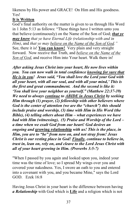likeness by His power and GRACE! On Him and His goodness. Yes!

# **It is Written**

God's final authority on the matter is given to us through His Word in 1 John 5:13 as follows: "These things have I written unto you that believe (continuously) on the Name of the Son of God; *that ye may know that ye have Eternal Life (relationship with and in Him)*, and *that ye may believe on the Name of the Son of God."*  See, there it is! **You can know!** Very plain and very straight forward. Now receive that Truth, and *believe on the Name of the Son of God*, and receive Him into Your heart. Walk there in!

*After asking Jesus Christ into your heart, He now lives within you. You can now walk in total confidence knowing for sure that He is in you! Jesus said, "You shall love the Lord your God with all your heart, with all our soul, and with all your mind,' This is the first and great commandment. And the second is like it: 'You shall love your neighbor as yourself." (Matthew 22:37-39) We need to always continue to ABIDE in Jesus Christ by seeking Him through (1) prayer, (2) fellowship with other believers where God is the center of attention (we are the "church") this should include praise and worship, (3) time with Him in His Word (the Bible), (4) telling others about Him – what experiences we have had with Him (witnessing), (5) Praise and Worship of the Lord – a time when we exalt God from our heart! God desires an ongoing and* **growing relationship** *with us! This is the place, in Him, you are to "be" from now on, and not stray from! Jesus Christ is our resting place in God! Finally, continue to believe in, trust in, lean on, rely on, and cleave to the Lord Jesus Christ with all of your heart growing in Him. (Proverbs 3:5-7)* 

"When I passed by you again and looked upon you, indeed your time was the time of love; so I spread My wings over you and covered your nakedness. Yes, I swore an oath to you and entered into a covenant with you, and you became Mine," says the Lord GOD. Ezek 16:8

Having Jesus Christ in your heart is the difference between having *a Relationship* with God which is **Life** and a religion which is not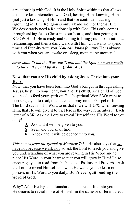a relationship with God. It is the Holy Spirit within us that allows this close knit interaction with God, hearing Him, knowing Him (not just a knowing of Him) and that we continue maturing (growing) in Him. Religion is only a band aid, not Eternal Life. We desperately need a Relationship with God. This only comes through asking Jesus Christ into our hearts, and **then** getting to KNOW Him! He is ready and willing to bring you into an intimate relationship, and then a daily walk with Him. God wants to spend time and Eternity with you. Y*ou can know for sure* He is always with you when you are awake or asleep, moment by moment!

*Jesus said, "I am the Way, the Truth, and the Life: no man cometh unto the Father, but by Me."* **(**John 14:6**)** 

## **Now, that you are His child by asking Jesus Christ into your Heart**

Now, that you have been born into God's Kingdom through asking Jesus Christ into your heart, **you are His child**. As a child of God you need to feed your spirit on God's spiritual Word! We want to encourage you to read, meditate, and pray on the Gospel of John. The Lord says in His Word to us that if we will *ASK*, when seeking Him, that He will give it to us. Here is the way I remember it: Each letter of ASK. Ask the Lord to reveal Himself and His Word to you daily!

- **A A**sk and it will be given to you.
- **Seek and you shall find.**
- $\overline{K}$  Knock and it will be opened unto you.

*This comes from the gospel of Matthew 7:7*. He also says that we have not because we ask not, so ask the Lord to teach you and give you understanding of what you are reading in His Word and to place His Word in your heart so that you will grow in Him! I also encourage you to read from the books of Psalms and Proverbs. Ask the Lord to reveal Himself and what He wants you to learn or possess in His Word to you daily. **Don't ever quit reading the word of God.** 

**Why?** After He lays one foundation and area of life into you then He desires to reveal more of Himself in the same or different areas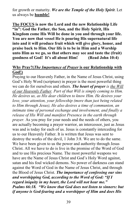for growth or maturity. *We are the Temple of the Holy Spirit*. Let us always be **humble!**

**The FOCUS is now the Lord and the new Relationship Life "in": God the Father, the Son, and the Holy Spirit, His Kingdom come His Will be done in you and through your life. You are now that vessel He is pouring His supernatural life into and it will produce fruit which will give glory, honor, and praise back to Him. Our life is to be in Him and a Worship unto Him as we go, so that others may see and taste the (fruit) goodness of God! It's all about Him! (Read John 10:4)** 

#### **Why Pray?(***The Importance of Prayer* **is our Relationship with God!)**

Praying to our Heavenly Father, in the Name of Jesus Christ, using God's Holy Word (scripture) in prayer is the most powerful thing we can do for ourselves and others. *The heart of prayer is the Will of our Heavenly Father. Part of that Will is simply coming to Him. He desires us, as His dear children to know Him. He desires your love, your attention, your fellowship (more than just being related to Him through Jesus), He also desires a time of communion, an intimate time of personal exchange and involvement, and finally a release of His Will and manifest Presence in the earth through prayer.* As you pray for your needs and the needs of others, you are actually becoming a prayer warrior, an intercessor, just as Jesus was and is today for each of us. Jesus is constantly interceding for us to our Heavenly Father. It is written that Jesus was sent to destroy the works of the devil, 1 John 3:8. We are to do the same. We have been given to us the power and authority through Jesus Christ. All we have to do is live in the promise of the Word of God and to use His precious Name. The most powerful weapons we have are the Name of Jesus Christ and God's Holy Word against, satan and his foul wicked demons. No power of darkness can stand against the Word of God in the Name of Jesus Christ, and through the Blood of Jesus Christ. *The importance of confessing our sins and worshipping God, according to the Word of God: "If I regard iniquity in my heart, the Lord will not hear me." Psalms 66:18. "We know that God does not listen to sinners: but if anyone is God-fearing and a worshipper of Him and does His*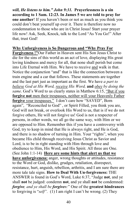*will, He listens to him." John 9:31.* **Prayerlessness is a sin according to 1 Sam. 12:23. In James 5 we are told to pray for one another**! If you haven't been or not as much as you think you could don't beat yourself up over it. There is therefore now no condemnation to those who are in Christ Jesus! Start your prayer life now! Ask, Seek, Knock, talk to the Lord "As You Go!" After that, trust God!

**Why Unforgiveness is So Dangerous and "Why Pray For Forgiveness !"**Our Father in Heaven sent His Son Jesus Christ to die for the sins of this world as an act of love, displaying His great loving kindness and mercy for all, that none shall perish but come into Life Eternal with Him. We have to receive and walk in that. Notice the conjunction "and" that is like the connection between a train engine and a car that follows. These statements are together and the last part just as important as the first. We have *a part to believe God at His Word, receive His Word,* **and** *obey by doing the same*. God's Word to us clearly states in Matthew 6:15, "But if you **forgive not** men their trespasses, neither will your Heavenly Father **forgive** your trespasses." I don't care how "SAVED", Born again", "Reconciled to God" , or Spirit Filled, you think you are, God will not break, or overlook His Word to us, that is if we do not forgive others, He will not forgive us! God is not a respecter of persons, in other words, we all go the same way, with Him or we are opposed to Him. Remember this if you have a controversy with God, try to keep in mind that He is always right, and He is God, and there is no shadow of turning in Him. Your "rights", when you became His child through receiving Jesus Christ as Savior and Lord, is to be in right standing with Him through love and obedience to Him, His Word, and His Spirit. All three are One. (See John 1:1-14) **Here are some hints that alert us that we have unforgiveness:** anger, wrong thoughts or attitudes, resistance to the Word or God, dislike, grudges, retaliation, disrespect, resistance, hurt, anguish, rebellion, arthritis, and I am sure there are more tale tale signs. **How to Deal With Un-forgiveness:** THE ANSWER is found in God's Word, Luke 6:37, "Judge **not**, and ye shall **not** be judged: condemn **not**, and ye shall **not** be condemned: *forgive, and ye shall be forgiven:*" One of the **greatest hindrances** to forgiving is "*self".* (1) I am right I can't be wrong. (2) They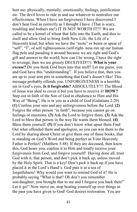hurt me: physically, mentally, emotionally, feelings, justification etc. The devil loves to ride in and use whatever to neutralize our effectiveness. When I have un-forgiveness I have discovered I don't hear God as correctly as I thought I have. (That is scary, troubling and bothers me!) IT IS NOT WORTH IT!!! We are called to be a kernel of wheat that falls into the Earth, and dies to itself and allow God to bring forth New Life, the Life of a Heavenly kind, but when we have the "mote" or beam or spear of "self", "I", of self righteousness (self-right- ness run up our human flag pole and parading it around because we are right and God's gift and answer to the world, how can I be wrong, I have the right to revenge, then we are grossly DECEIVED!!!) **What is your excuse?** Do you think God buys into that stuff? Let me guess, you and God have this "understanding". If you believe that, then you are up to your arm pits in something that God's doesn't like! This message probably offends you. UNFORGIVENESS is a horrible sin in God's eyes. **Is it forgivable?** ABSOLUTELY!!! The Blood of Jesus was shed to cover it but you have to receive it! **HOW?** Step out in faith of the Son of God in obedience to Him and His Way of "Being", He is in you as a child of God (Galatians 2:20) **(1)** Confess your sins and any unforgiveness before the Lord. **(2)** Forgive the other person "in faith", because you cannot go on feelings or emotions. **(3)** Ask the Lord to forgive them. **(3)** Ask the Lord to bless that person in the way He wants them blessed. **(4)** Bless them yourself. **(5)** If you don't know what upset them Find Out what offended them and apologize, so you can win them to the Lord by sharing about Christ or give them one of these books, that is standing on God's Word and being perfect as Your Heavenly Father is Perfect! (Matthew 5:48) If they are deceased, then know this, God hears you, confess it to Him and totally receive your forgiveness from God, and forgive yourself! Having done all, trust God with it, that person, and don't pick it back up, unless moved by the Holy Spirit. That is a key! Don't pick it back up if you have placed it in the Lord's Hand's. God puts it in a sea of forgetfulness! Why would you want to remind God of it? He is probably saying "What is that? Oh don't you remember son/daughter, you brought that to me and I forgave you back then!" Let it go!" Now move on, stop beating yourself up over things in the past you have given to God! God desires restoration. You are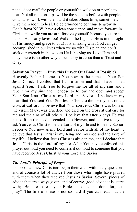not a "door mat" for people or yourself to walk on or people to beat! Not all relationships will be the same as before with people. God has to work with them and it takes others time, sometimes. Give them room to heal. Be determined to continue to grow in God's favor NOW, have a clean conscience, and move forward in Christ and while you are at it forgive yourself, because you are a person He dearly loves too! Walk in the Light as He is in the Light of His mercy and grace to you! It is amazing what God can get accomplished in our lives when we go with His plan and don't stick our wrench in the way as He is helping us. Love Him and obey, there is no other way to be happy in Jesus than to Trust and Obey!

## **Salvation Prayer (Pray this Prayer Out Loud if Possible)**

Heavenly Father I come to You now in the name of Your Son Jesus Christ. I confess that I am a sinner and that I have sinned against You. I ask You to forgive me for all of my sins and I repent for my sins and I choose to follow and obey and accept Your Son Jesus Christ as my Lord and Savior. I believe in my heart that You sent Your Son Jesus Christ to die for my sins on the cross at Calvary. I believe that Your son Jesus Christ was born of the virgin Mary, was crucified and died on the cross at Calvary for me and the sins of all others. I believe that after 3 days He was raised from the dead, ascended into Heaven, and is alive today. I ask You Jesus Christ to be the Lord of my life and to be my Savior. I receive You now as my Lord and Savior with all of my heart. I believe that Jesus Christ is my King and my God and the Lord of my life. I believe that Jesus Christ is alive in me, and I declare that Jesus Christ is the Lord of my life. After You have confessed this prayer out loud you need to confess it out loud to someone that you have received Jesus Christ as your Lord and Savior.

#### *The Lord's Principle of Prayer*

I suppose all new Christians begin their walk with many questions, and of course a lot of advice from those who might have prayed with them when they received Jesus as Savior. Several pieces of advice that are always given, and of course, good advice it is, starts with; "Be sure to read your Bible and of course don't forget to pray". The first of these is not so hard if you can read, but the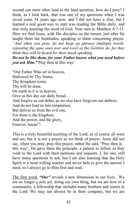second can most often lead to the hard question, how do I pray? I think, as I look back, that was one of my questions when I was saved some 34 years ago now, and I did not have a clue, but I learned a real good way to start was reading the Bible daily, and also truly learning the word of God. Now turn to Matthew 6:7-13. Here we find Jesus, with His disciples on the mount, just after He taught them the beatitudes, speaking to them concerning prayer. *"And when you pray, do not heap up phrases (multiply words, repeating the same ones over and over) as the Gentiles do, for they think they will be heard for their much speaking. Do not be like them, for your Father knows what you need before* 

*you ask Him."* Pray then in this way:

"Our Father Who art in heaven, Hallowed be Thy Name, Thy Kingdom come, Thy will be done. On earth as it is in heaven, Give us this day our daily bread, And forgive us our debts, as we also have forgiven our debtors. And do not lead us into temptation, But deliver us from the evil one, For thine is the kingdom, And the power, and the glory, Forever, Amen"!

This is a truly beautiful teaching of the Lord, as of course all were and are, but it is not a prayer as we think of prayer. Jesus did not say, when you pray, pray this prayer, rather He said, "Pray then in this way". He gave them the principle, a pattern to follow as they went to the Lord with their petitions and requests. I, for one, still have many questions to ask, but I am also learning that the Holy Spirit is a most willing teacher and never fails to give the answer I need, so I always go to Him first and wait.

The first word, *"Our"* reveals a new dimension in our lives. We are no longer a solo act, doing our own thing, but we are now in a community, a fellowship that includes many brothers and sisters in the Lord. We may not always be in their company, but we are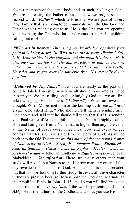always members of the same body and as such, no longer alone. We are addressing the Father of us all. Now we progress to the second word, *"Father"*, which tells us that we are part of a very large family that is seeking to communicate with the One God and Father who is reaching out to us. He is the One you are opening your heart to; the One who has tender ears to hear His children calling out to Him.

*"Who art in heaven" This is a given knowledge, of where your petition is being heard. He Who sits in the heavens [Psalm 2:4a], is He Who resides in His kingdom and sits upon His throne. He is also the One who has sent His Son to redeem us and we are now not our own, but we are His property (1st Corinthians 6:19-20). He rules and reigns over the universe from His eternally divine position.* 

*"Hallowed be Thy Name"*, now you are really at the part that could be labeled worship, which we all should move into as we go into prayer. We are calling on the Almighty God and we are first acknowledging His holiness ('*hallowed*'); What an awesome thought. When Moses met Him at the burning bush (*the hallowed ground*), he asked Him, "Who should I tell them is sending me?" God spoke and said that he should tell them that *I AM* is sending you. Paul wrote of Jesus in Philippians that God had highly exalted Him and had given Him a Name that is higher than any other, that at the Name of Jesus every knee must bow and every tongue confess that Jesus Christ is Lord to the glory of God. As we go back into the Old Testament we *find many of the compound Names of God: Jehovah Nissi – Strength – Jehovah Rohi – Shepherd – Jehovah Shalom – Peace – Jehovah Rapha – Healer – Jehovah Jireh – Provider* – Jehovah Tsidkenu – *Righteousness* – Jehovah Makaddesh – *Sanctification***.** There are many others that your study will reveal, but Names to the Hebrew man or woman of that day revealed the character of God. His character is much broader, but that is to be found in further study. In Jesus, all these character virtues are present, because He was born the Godhead incarnate. In the Amplified Bible, in John 14, 15, and 16 you will find bracketed behind the phrase, *"In My Name"* the words [presenting all that *I AM*]. He is the fullness of the Godhead and so as you use His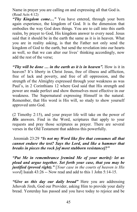Name in prayer you are calling on and expressing all that God is. (Read Acts 4:12)

*"Thy Kingdom come…"* You have entered, through your born again experience, the kingdom of God. It is the dimension that embodies the way God does things. You are to call into this earth realm, by prayer to God, His kingdom answer to every need. Jesus said that it should be in the earth the same as it is in heaven. What you are in reality asking, is that the Father not only send the kingdom of God to the earth, but send the revelation into our hearts as well, so that we can alter our lives' thinking accordingly, now add the rest of the verse;

*"Thy will be done … in the earth as it is in heaven".* How is it in heaven? It's liberty in Christ Jesus, free of illness and affliction, free of lack and poverty, and free of all oppression, and the strength of the Almighty expressed through your weakness as was Paul's, in 2 Corinthians 12 where God said that His strength and power are made perfect and show themselves most effective in our weakness. The Supernatural expressing Himself in the natural. Remember, that His word is His will, so study to show yourself approved unto God.

(2 Timothy 2:15), and your prayer life will take on the power of *His* answers. Find in the Word, scriptures that apply to your requests and pray those scriptures as prayer. There are several verses in the Old Testament that address this powerfully.

 Jeremiah 23:29 *"Is not my Word like fire that consumes all that cannot endure the test? Says the Lord, and like a hammer that breaks in pieces the rock [of most stubborn resistance]?"*

*"Put Me in remembrance [remind Me of your merits]: let us plead and argue together. Set forth your case, that you may be justified (proved right)."* [*Your case in the courts of heaven is His word*] Isaiah 43:26 -- Now read and add to this 1 John 5:14-15.

*"Give us this day our daily bread"* Here you are addressing Jehovah Jireh, God our Provider, asking Him to provide your daily bread. Yesterday has passed and you have today to rejoice and be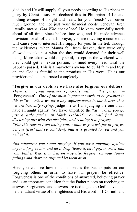glad in and He will supply all your needs according to His riches in glory by Christ Jesus. He declared this in Philippians 4:19, and nothing escapes His sight and heart, for your 'needs' can cover much ground, and not just your financial needs. Jehovah Jireh literally means, *God Who sees ahead*. He knew your daily needs ahead of all time, since before time was, and He made advance provision for all of them. In prayer, you are traveling a course that will cause you to intersect His supply for you. In the trek through the wilderness, when Manna fell from heaven, they were only allowed to take just what the day would demand for their well being. More taken would only spoil, except on the weekend when they could get an extra portion, to meet every need until the Sabbath passed. This is a marvelous avenue to build faith and trust on and God is faithful to the promises in His word. He is our provider and is to be trusted completely.

**"Forgive us our debts as we have also forgiven our debtors"** *There is a great measure of God's will in this portion –*  'Forgiveness'*. One of the most important words to be grasped in this is* "as". *When we have any* un*forgiveness in our hearts, then we are basically saying;* judge me as I am judging the one that I have an aught against. We have amplified the "as". *When you go just a little further in Mark 11:24-25, you will find Jesus, discussing this with His disciples, and relating it to prayer;* 

*"For this reason I am telling you, whatever you ask for in prayer, believe (trust and be confident) that it is granted to you and you will get it.* 

*And whenever you stand praying, if you have anything against anyone, forgive him and let it drop (leave it, let it go), in order that your Father Who is in heaven may also forgive you your [own] failings and shortcomings and let them drop."* 

Here you can see how much emphasis the Father puts on our forgiving others in order to have our prayers be effective. Forgiveness is one of the conditions of answered, believing prayer and is an important condition that the Father places on receiving an answer. Forgiveness and answers are tied together. God's love is to be the radiant virtue of the righteous and His word in 1 Corinthians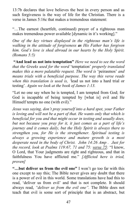13:7b declares that love believes the best in every person and as such forgiveness is the way of life for the Christian. There is a verse in James 5:16c that makes a tremendous statement:

"…The earnest (heartfelt, continued) prayer of a righteous man makes tremendous power available [dynamic in it's working]."

*One of the key virtues displayed in the righteous man's life is walking in the attitude of forgiveness as His Father has forgiven him. God's love is shed abroad in our hearts by the Holy Spirit. (Romans 5:5)* 

 **"And lead us not into temptation"** *Here we need to see the word that the Greeks used for the word* 'temptation' *properly translated makes this a more palatable request. The word is* 'peirasmos' *and means trials with a beneficial purpose. The way this verse reads when this translation is used is, '*lead us not into a hard trial or testing'*. Again we look at the book of James 1:13.* 

"Let no one say when he is tempted, I am tempted from God; for God is incapable of being tempted by [what is] evil and He Himself tempts no one (with evil)."

*Jesus was saying, don't pray yourself into a hard spot, your Father is loving and will not be a part of that. He wants only that which is beneficial for you and that might occur in testing and usually does, but not because you pray for it, it just comes as a part of life's journey and it comes daily, but the Holy Spirit is always there to strengthen you, for He is the strengthener. Spiritual testing is always a growing experience and mature growth is a most desperate need in the body of Christ. John 14:26 Amp . Just for the record, look at Psalms 119:67, 71 and 75: verse 75:* "I know, O Lord, that Your judgments are right and righteous, and that in faithfulness You have afflicted me." *[Afflicted here is tried, proven]* 

**"…but deliver us from the evil one"** I won't go too far with this one except to say this; The Bible never gives any doubt that there is a power of evil in this world. Some translations have had this to read, 'deliver us from evil' and that is not complete. It should always read, *"deliver us from the evil one".* The Bible does not teach that evil is some sort of principle that is an abstract, but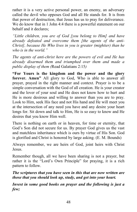rather it is a very active personal power, an enemy, an adversary called the devil who opposes God and all He stands for. It is from that power of destruction, that Jesus has us to pray for deliverance. We do know that in 1 John 4:4 there is a powerful statement on our behalf and it declares;

*"Little children, you are of God [you belong to Him] and have already defeated and overcome them [the agents of the anti-Christ], because He Who lives in you is greater (mightier) than he who is in the world."* 

*The agents of anti-christ here are the powers of evil and He has already disarmed them and triumphed over them and made a public display of them (*Read Galatians 2:15*)* 

**"For Yours is the kingdom and the power and the glory forever. Amen"** All glory to God, Who is able to answer all prayer, prayed in the right manner and context. Prayer is to be a simple conversation with the God of all creation. He is your creator and the lover of your soul and He does not know how to hurt and He is more desirous and willing to answer than you are to pray. Look to Him, seek His face and not His hand and He will meet you at the intersection of any need you have and any desire your heart longs for. Sit down and talk to Him, He is so easy to know and He desires that you know Him well.

There is nothing on earth or in heaven, for time or eternity, that God's Son did not secure for us. By prayer God gives us the vast and matchless inheritance which is ours by virtue of His Son. God is glorified and Christ is honored by large asking. (E. M. Bounds)

Always remember, we are heirs of God, joint heirs with Christ Jesus.

Remember though, all we have been sharing is not a prayer, but rather it is the "Lord's Own Principle" for praying, it is a rich pattern to follow.

*The scriptures that you have seen in this that are now written are those that you should look up, study, and get into your heart.* 

*Invest in some good books on prayer and the following is just a few;*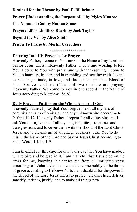**Destined for the Throne by Paul E. Billheimer**

**Prayer [Understanding the Purpose of...] by Myles Munroe** 

**The Names of God by Nathan Stone** 

**Prayer: Life's Limitless Reach by Jack Taylor** 

**Beyond the Veil by Alice Smith** 

**Prison To Praise by Merlin Carrothers** 

 **\*\*\*\*\*\*\*\*\*\*\*\*\*\*\*\*\*** 

## **Entering Into His Presence for Prayer**

Heavenly Father, I come to You now in the Name of my Lord and Savior Jesus Christ. Heavenly Father, I bow and worship before You. I come to You with praise and with thanksgiving. I come to You in humility, in fear, and in trembling and seeking truth. I come to You in gratitude, in love, and through the precious Blood of Your Son Jesus Christ. (Note - if two or more are praying: Heavenly Father, We come to You in one accord in the Name of Jesus according to Matthew 18:19)

## **Daily Prayer - Putting on the Whole Armor of God**

Heavenly Father, I pray that You forgive me of all my sins of commission, sins of omission and any unknown sins according to Psalms 19:12. Heavenly Father, I repent for all of my sins and I ask You to forgive me of all my sins, iniquities, trespasses and transgressions and to cover them with the Blood of the Lord Christ Jesus, and to cleanse me of all unrighteousness. I ask You to do this in the Name of the Lord and Savior Jesus Christ according to Your Word, 1 John 1:9.

I am thankful for this day; for this is the day that You have made. I will rejoice and be glad in it. I am thankful that Jesus died on the cross for me, knowing it cleanses me from all unrighteousness according to 1 John 1:9 and allows me to come boldly to the throne of grace according to Hebrews 4:16. I am thankful for the power in the Blood of the Lord Jesus Christ to protect, cleanse, heal, deliver, sanctify, redeem, justify, and to make all things new.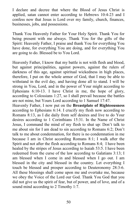I declare and decree that where the Blood of Jesus Christ is applied, satan cannot enter according to Hebrews 10:4-23 and I confess now that Jesus is Lord over my family, church, finances, businesses, jobs, and possessions.

Thank You Heavenly Father for Your Holy Spirit. Thank You for being present with me always. Thank You for the gifts of the Spirit: Heavenly Father, I praise and thank You for everything You have done, for everything You are doing, and for everything You are going to do. Blessed be to You Lord.

Heavenly Father, I know that my battle is not with flesh and blood, but against principalities, against powers, against the rulers of darkness of this age, against spiritual wickedness in high places, therefore, I put on the whole armor of God, that I may be able to withstand in the evil day, and having done all to stand. I will be strong in You, Lord, and in the power of Your might according to Ephesians 6:10-13. I have Christ in me, the hope of glory, according to Colossians 1:27, so I shall prevail because the battles are not mine, but Yours Lord according to 1 Samuel 17:47.

Heavenly Father, I now put on the **Breastplate of Righteousness** according to Ephesians 6:14. I crucify my flesh now according to Romans 8:13, as I die daily from self desires and live to do Your desires according to 1 Corinthians 15:31. In the Name of Christ Jesus, I command the mind of my flesh to shut up: Don't talk to me about sin for I am dead to sin according to Romans 6:2; Don't talk to me about condemnation, for there is no condemnation in me because I am in Christ according Romans 8:1; I walk after the Spirit and not after the flesh according to Romans 8:4; I have been healed by the stripes of Jesus according to Isaiah 53:5. I have been redeemed from the curse of the law according to Galatians 3:13; I am blessed when I come in and blessed when I go out. I am blessed in the city and blessed in the country. Let everything I touch be blessed and prosper according to Deuteronomy 28:3-6. All these blessings shall come upon me and overtake me, because we obey the Voice of the Lord our God. Thank You God that you did not give us the spirit of fear, but of power, and of love, and of a sound mind according to 2 Timothy 1:7.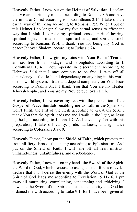Heavenly Father, I now put on the **Helmet of Salvation**. I declare that we are spiritually minded according to Romans 8:6 and have the mind of Christ according to 1 Corinthians 2:16. I take off the carnal way of thinking according to Romans 12:2. When I put on this Helmet I no longer allow my five carnal senses to affect the way that I think. I exercise my spiritual senses, spiritual hearing, spiritual sight, spiritual touch, spiritual taste, and spiritual smell according to Romans 8:14. I thank You for being my God of peace; Jehovah Shalom, according to Judges 6:24.

Heavenly Father, I now gird my loins with Your **Belt of Truth**. I am set free from bondages and strongholds according to II Corinthians 10:4. I now operate in discernment according to Hebrews 5:14 that I may continue to be free. I take off all dependency of the flesh and dependency on anything in this world or this world system. I trust and depend completely on You, Jesus according to Psalms 31:1. I thank You that You are my Healer, Jehovah Rophe, and You are my Provider; Jehovah Jireh.

Heavenly Father, I now cover my feet with the preparation of the **Gospel of Peace Sandals**, enabling me to walk in the Spirit so I won't fulfill the lust of the flesh according to Galatians 5:16. I thank You that the Spirit leads me and I walk in the light, as Jesus is, the light according to 1 John 1:7. As I cover my feet with this preparation, I take off vanity, pride, darkness, and ignorance according to Colossians 3:8-10.

Heavenly Father, I now put the **Shield of Faith**, which protects me from all fiery darts of the enemy according to Ephesians 6: As I put on the Shield of Faith, I will take off all fear, mistrust, unthankfulness, unfaithfulness, and disobedience.

Heavenly Father, I now put on my hands the **Sword of the Spirit**, the Word of God, which I choose to use against all forces of evil. I declare that I will defeat the enemy with the Word of God as the Spirit of God leads me according to Revelation 19:11-16. I put away all murmuring, complaining, condemning and criticizing. I now take the Sword of the Spirit and use the authority that God has ordained me with according to Luke 9:1, for I have been given all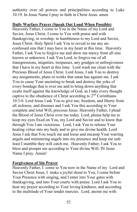authority over all powers and principalities according to Luke 10:19. In Jesus Name I pray in faith in Christ Jesus. amen

#### **Daily Warfare Prayer (Speak Out Loud When Possible)**

Heavenly Father, I come to You in the Name of my Lord and Savior, Jesus Christ. I come to You with praise and with thanksgiving, in worship, in humbleness to my Lord and Savior, Jesus Christ. Holy Spirit I ask You to reveal to me any unconfessed sins that I may have in my heart at this time. Heavenly Father, I ask You to forgive me and show me mercy from all sins known or unknown. I ask You Lord, to forgive me of all transgressions, iniquities, trespasses, any grudges or unforgiveness that I have in my heart at this time. Lord wash me clean with the Precious Blood of Jesus Christ. Lord Jesus, I ask You to destroy any assignments, plans or works that satan has against me. I ask You to cause Your anointing to break and destroy the yoke of every bondage that is over me and to bring down anything that exalts itself against the knowledge of God, as I take every thought captive to the obedience of Christ according to  $2<sup>nd</sup>$  Corinthians 10:3-6. Lord Jesus I ask You to give me; freedom, and liberty from all sickness, and diseases and I ask You this according to Your complete and total Will, precious Jesus. Heavenly Father, I plead the Blood of Jesus Christ over me today. Lord, please help me to keep my eyes fixed on You, my Lord and Savior and to know that through You I am victorious. Lord, I ask You to release Your healing virtue into my body and to give me divine health. Lord Jesus I ask that You touch me and loose and encamp Your warring angels and ministering angels into my presence and keep me safe least I stumble they will catch me. Heavenly Father, I ask You to bless and prosper me according to Your divine Will. IN Jesus Name I pray. Amen!

## **Forgiveness of Sin Prayer**

Heavenly Father, I come to You now in the Name of my Lord and Savior Christ Jesus, I make a joyful shout to You, I come before Your Presence with singing, and I enter into Your gates with thanksgiving, and into Your courts with praise. Lord I ask You to hear my prayer according to Your loving kindness, and according to the multitude of Your tender mercies. Lord, anoint me with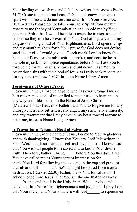Your healing oil, wash me and I shall be whiter than snow. (Psalm 51:7) Create in me a clean heart, O God and renew a steadfast spirit within me and do not cast me away from Your Presence. (Psalm 32:1) Please do not take Your Holy Spirit from me but restore to me the joy of Your salvation and uphold me by Your generous Spirit that I would be able to teach the transgressors and sinners so they can be converted to You. God of my salvation, my tongue shall sing aloud of Your Righteousness. Lord open my lips and my mouth to show forth Your praise for God does not desire sacrifice or else I would give it. Teach me O'Lord to know that Your sacrifices are a humble spirit, a broken and contrite heart. I humble myself, in complete repentance, before You. I ask you to forgive me for all my sins, known and unknown. I ask You to cover those sins with the blood of Jesus as I truly seek repentance for my sins. (Hebrew 10:18) In Jesus Name I Pray. Amen

#### **Forgiveness of Others Prayer**

Heavenly Father, I forgive anyone who has ever wronged me or hurt me or spoke evil of me or lied to me or tried to harm me in any way and I bless them in the Name of Jesus Christ. (Matthew:14-15) Heavenly Father I ask You to forgive me for any unforgiveness, any bitterness, any anger, any strife, any animosity, and any resentment that I may have in my heart toward anyone at this time, in Jesus Name I pray. Amen.

## **A Prayer for a Person in Need of Salvation**

Heavenly Father, in the name of Jesus, I come to You in gladness and with thanksgiving. I know that You are God! It is written in Your Word that Jesus came to seek and save the lost. I know Lord that You wish all people to be saved and to know Your divine truth. Therefore, Father, I bring \_\_\_\_\_before You this day. I feel You have called me as Your agent of intercession for T thank You Lord for allowing me to stand in the gap and pray for the salvation of , that he/she might be spared from eternal destruction. (Ezekiel 22:30) Father, thank You for salvation. I acknowledge Lord Jesus , that You are the one that takes away

\_\_\_\_\_'s sins, and that it is the Holy Spirit Who convicts and convinces him/her of sin, righteousness and judgment. I pray Lord, that Your mercy and Your kindness will lead\_\_\_\_\_\_ to repentance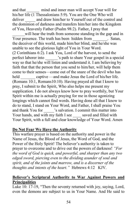and that mind and inner man will accept Your will for his/her life (1 Thessalonians 5:9). You are the One Who will deliver and draw him/her to Yourself out of the control and the dominion of darkness and transfers him/her into the Kingdom of You, Heavenly Father (Psalm 98:2). Father, I pray that

will hear the truth from someone standing in the gap and in Your presence. The truth has been hidden from Satan, the deceiver of this world, made him/her blind, and he/she was unable to see the glorious light of You in Your Word. (2 Corinthians 6:2). I ask You, Lord of the harvest, to send the perfect laborer into  $\cdot$  's path to share Your gospel in a special way so that he/she will listen and understand it. I am believing by faith that that the person that you send to him/her, will help them come to their senses—come out of the snare of the devil who has held captive —and make Jesus the Lord of his/her life. (Romans 10:1, Romans10:10). Having prayed all that I know to pray, I submit to the Spirit, Who also helps me present my supplication. I do not always know how to pray worthily, but Your Spirit within me is actually praying for me in those agonizing longings which cannot find words. Having done all that I know to do to stand, I stand on Your Word, and Father, I shall praise You and thank You for  $\cdot$  's salvation. I commit this matter into Your hands, and with my faith I see saved and filled with Your Spirit, with a full and clear knowledge of Your Word. Amen

## **Do Not Fear We Have the Authority**

This warfare prayer is based on the authority and power in the Name of Jesus, the Blood of Jesus, the Word of God, and the Power of the Holy Spirit! The believer's authority is taken to prayer to overcome and to drive out the powers of darkness! *"For the word of God is quick, and powerful, and sharper than any two edged sword, piercing even to the dividing asunder of soul and spirit, and of the joints and marrow, and is a discerner of the thoughts and intents of the heart."* Hebrews 4:12 KJV.

## **Believer's Scriptural Authority to War Against Powers and Principalities**

Luke 10: 17-19, "Then the seventy returned with joy, saying, Lord, even the demons are subject to us in Your Name. And He said to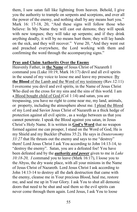them, I saw satan fall like lightning from heaven. Behold, I give you the authority to trample on serpents and scorpions, and over all the power of the enemy, and nothing shall by any means hurt you." Mark 16: 17-18, 20, "And these signs will follow those who believe: In My Name they will cast out demons; they will speak with new tongues; they will take up serpents; and if they drink anything deadly, it will by no means hurt them; they will lay hands on the sick, and they will recover." Verse 20, "And they went out and preached everywhere, the Lord working with them and confirming the word through the accompanying signs."

## **Pray and Claim Authority Over the Enemy**

Heavenly Father, in **the Name** of Jesus Christ of Nazareth I command you (Luke 10:19, Mark 16:17) devil and all evil spirits in the sound of my voice to loose me and leave my presence. By **the Blood** of the Lamb and the Word of my testimony (Rev.12:11) I overcome you devil and evil spirits, in the Name of Jesus Christ Who died on the cross for my sins and the sins of this world. I am a Blood bought child of God (Col 1:14) and satan, you are trespassing, you have no right to come near me, my land, animals, or property, including the atmosphere about me. I plead the Blood of my Lord and Savior Jesus Christ of Nazareth as a thick hedge of protection against all evil spirits , as a wedge between us that you cannot penetrate. I speak the Blood against you satan, in Jesus Christ's Holy Name. It is written in **God's Word** that no weapon formed against me can prosper, I stand on the Word of God, He is my Shield and my Buckler (Psalms 35:2). He says in *Deuteronomy 33:27* that He thrusts out the enemy and says to me "destroy" them! Lord Jesus Christ I ask You according to John 14:13-14, to "destroy the enemy". Satan, you are a defeated foe! You have been defeated and by the *authority and power* given to me in *Luke 10:18-20, I* command you to leave (Mark 16:17), I loose you to the Abyss, the dry waste place, with all your minions in the Name of Jesus Christ of Nazareth. Lord Jesus Christ I ask according to John 14:13-14 to destroy all the dark destruction that came with the enemy, cleanse me in Your precious Blood, heal me, restore me, and seal me up in Your Glory. I ask You to shut all demonic doors that need to be shut and seal them so the evil spirits can never come through them again. Lord Jesus, I ask You to loose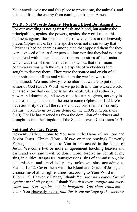Your angels over me and this place to protect me, the animals, and this land from the enemy from coming back here. Amen.

**We Do Not Wrestle Against Flesh and Blood But Against …..**  For our wrestling is not against flesh and blood, but against the principalities, against the powers, against the world-rulers this darkness, against the spiritual hosts of wickedness in the heavenly places (Ephesians 6:12) The apostle does not mean to say that Christians had no enemies among men that opposed them for they were exposed often to fiery persecution; nor that they had nothing to contend with in carnal and corrupt propensities of their nature which was true of them then as it is now; but that their main controversy was with the invisible spirits of wickedness that sought to destroy them. They were the source and origin of all their spiritual conflicts and with them the warfare was to be maintained. We must always remember that we are to put on our armor of God (God's Word) as we go forth into this wicked world but also know that our God is far above all rule and authority, power and dominion, and every title that can be given, not only in the present age but also in the one to come (Ephesians 1:21). We have authority over all the rulers and authorities in the heavenly realms. Given to us by Jesus dying on the CROSS. (Ephesians 3:10). For He has rescued us from the dominion of darkness and brought us into the kingdom of the Son he loves. (Colossians 1:13)

## **Spiritual Warfare Prayer**

Heavenly Father, I come to You now in the Name of my Lord and Savior Jesus Christ. (Note - if two or more praying) Heavenly Father, and I come to You in one accord in the Name of Jesus. We come two or more in agreement touching heaven and earth and You said it will be done. Lord, forgive me for all of my sins, iniquities, trespasses, transgressions, sins of commission, sins of omission and specifically any unknown sins according to Psalms 19:12. Cover them with the Blood and Grace of Jesus, and cleanse me of all unrighteousness according to Your Word in 1 John 1:9. Heavenly Father, I thank You *that no weapon formed against me shall prosper.* I thank You *that every tongue and every word that rises against me in judgment; You shall condemn.* I

thank You Heavenly Father *that this is the heritage of the servants*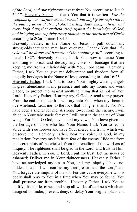*of the Lord, and our righteousness is from You* according to Isaiah 54:17. Heavenly Father, I thank You that it is written "*For the weapons of our warfare are not carnal, but mighty through God to the pulling down of strongholds; Casting down imaginations, and every high thing that exalteth itself against the knowledge of God, and bringing into captivity every thought to the obedience of Christ* according to 2Corinthians 10:4-5.

Heavenly Father, in the Name of Jesus, I pull down any strongholds that satan may have over me. I thank You that "*the yoke will be destroyed because of the anointing oil*," according to Isaiah 10:27. Heavenly Father, I ask You now to cause Your anointing to break and destroy any yokes of bondage that are keeping me from a relationship with You, Lord Jesus. Heavenly Father, I ask You to give me deliverance and freedom from all ungodly bondages in the Name of Jesus according to John 16:23.

Heavenly Father, I ask You to loose Your mighty warring angels in great abundance in my presence and into my home, and work places, to protect me against anything thing that is not of You Lord. Heavenly Father, Hear my cry, O God; Attend to my prayer. From the end of the earth I will cry unto You, when my heart is overwhelmed; Lead me to the rock that is higher than I . For You have been a shelter for me, A strong tower from the enemy. I will abide in Your tabernacle forever; I will trust in the shelter of Your wings. For You, O God, have heard my vows; You have given me the heritage of those who fear Your Name. I ask You to let me abide with You forever and have Your mercy and truth, which will preserve me. Heavenly Father, hear my voice, O God, in my meditation; Preserve my life from fear of the enemy. Hide me from the secret plots of the wicked, from the rebellion of the workers of iniquity. The righteous shall be glad in the Lord, and trust in Him. Heavenly Father, in You, O Lord, I put my trust; Let me never be ashamed; Deliver me in Your righteousness. Heavenly Father, I have acknowledged my sin to You, and my iniquity I have not hidden. I said, "I will confess my transgressions to the Lord," and You forgave the iniquity of my sin. For this cause everyone who is godly shall pray to You in a time when You may be found. You shall preserve me from trouble. Heavenly Father, I ask You to nullify, dismantle, cancel and stop all works of darkness which are designed to hinder, prevent, deny, or delay Your original plans and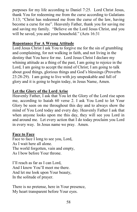purposes for my life according to Daniel 7:25. Lord Christ Jesus, thank You for redeeming me from the curse according to Galatians 3:13; "Christ has redeemed me from the curse of the law, having become a curse for me". Heavenly Father, thank you for saving me and saving my family. "Believe on the Lord Jesus Christ, and you will be saved, you and your household." (Acts 16:31

## **Repentance For A Wrong Attitude**

Lord Jesus Christ I ask You to forgive me for the sin of grumbling and complaining, for not walking in faith, and not living in the destiny that You have for me. Lord Jesus Christ I declare my whining attitude as a thing of the past, I am going to rejoice in the Lord, I am going to accept the mind of Christ; I am going to talk about good things, glorious things and God's blessings (Proverbs 23:28-29). I am going to live with joy unspeakable and full of glory and it is going to begin today, in Jesus Name, Amen.

## **Let the Glory of the Lord Arise**

Heavenly Father, I ask that You let the Glory of the Lord rise upon me, according to Isaiah 60 verse 2. I ask You Lord to let Your Glory be seen on me throughout this day and to always show the mind of You Lord today and every day. Heavenly Father I ask that when anyone looks upon me this day, they will see you Lord in and around me. Let every action that I do today proclaim you Lord in every way. In Jesus name we pray. Amen.

#### **Face to Face**

Face to face I long to see you, Lord, As I wait here all alone. The world forgotten, vain and empty, As I bow before Your throne.

I'll reach as far as I can Lord, And I know You'll meet me there. And let me look upon Your beauty, In the solitude of prayer.

There is no pretense, here in Your presence, My heart transparent before Your eyes.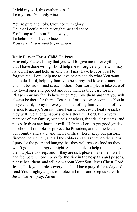I yield my will, this earthen vessel, To my Lord God only wise.

You're pure and holy, Crowned with glory. Oh, that I could reach through time and space, For I long to be near You always, To behold You face to face. *©Gwen R. Burton, used by permission* 

#### **Daily Prayer For A Child To Pray**

Heavenly Father, I pray that you will forgive me for everything that I have done wrong. Lord help me to forgive anyone who may have hurt me and help anyone that I may have hurt or upset to forgive me. Lord, help me to love others and do what You want me to do. Lord, help my family to be happy and love one another and not be sad or mad at each other. Dear Lord, please take care of my loved ones and protect and love them as they care for me. Please show my family how much You love them and that you will always be there for them. Teach us Lord to always come to You in prayer. Lord, I pray for every member of my family and all of my friends to accept You into their hearts. Lord Jesus, heal the sick so they will live a long, happy and healthy life. Lord, keep every member of my family, principals, teachers, friends, classmates, and pets safe from any harm or evil. Help me Lord to get good grades in school. Lord, please protect the President, and all the leaders of our country and state, and their families. Lord, keep our pastors, firemen, policemen, and all the soldiers, safe as they do their jobs. I pray for the poor and hungry that they will receive food so they won't go to bed hungry tonight. Send people to help them and give them a place to sleep, and if they are sick please make them well and feel better. Lord I pray for the sick in the hospitals and prisons, please heal them, and tell them about Your Son, Jesus Christ. Lord Jesus, I ask you to bless everyone that I have prayed for today and send Your mighty angels to protect all of us and keep us safe. In Jesus Name I pray. Amen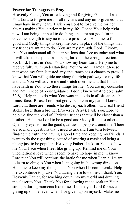#### **Prayer for Teenagers to Pray**

Heavenly Father, You are a loving and forgiving God and I ask You Lord to forgive me for all my sins and any unforgiveness that I may have in my heart. I ask You Lord to forgive me for not always making You a priority in my life. I need Your help right now. I am being tempted to do things that are not good for me. Give me strength to say no to these pressures. Help me to find good and Godly things to keep me busy in place of the things that my friends want me to do. You are my strength, Lord. I know, that You understand all the temptations that face us today and what it will take to keep me from being lured in the wrong direction. So, Lord, I trust in You. You know my heart Lord. Help me to receive fully, with understanding, Your Word in James 1:3-4, so that when my faith is tested, my endurance has a chance to grow. I know that You will guide me along the right pathway for my life and that You will advise me and watch over me and that I must have faith in You to do these things for me. You are my counselor and I'm in need of Your guidance. I don't know what to do (Psalm 32:8). Help me to do what You want me to do in all situations that I must face. Please Lord, put godly people in my path. I know Lord that there are friends who destroy each other, but a real friend sticks closer than a brother (Proverbs 18:24). I ask You, Lord to help me find the kind of Christian friends that will be closer than a brother. Help me Lord to be a good and Godly friend to others. Open my eyes to see the good qualities in people around me. There are so many questions that I need to ask and I am torn between finding the truth, and having a good time and keeping my friends. I want to do the right thing instead of wearing a mask and being a phony just to be popular. Heavenly Father, I ask for You to show me Your Face when I feel like giving up. Remind me of Your unconditional love when I seem to have no hope in me. I know Lord that You will continue the battle for me when I can't. I want to learn to cling to You when I am going in the wrong direction. Help me to keep my thoughts on You when I become weak. Help me to continue to praise You during these low times. I thank You, Heavenly Father, for reaching down into my world and drawing me closer to You. Thank You for allowing me to soak up Your strength during moments like these. I thank you Lord for never giving up on me, even when I've given up on myself. Make me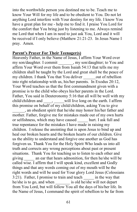into the worthwhile person you destined me to be. Teach me to know Your Will for my life and to be obedient to You. Do not let anything Lord interfere with Your destiny for my life. I know You have a great plan for me - help me to find it. I praise You Lord for the comfort that You bring just by listening to me. Always remind me Lord that when I am in need to just ask You, Lord and it will be received if I only believe (Matthew 21:21-23. In Jesus Name I pray. Amen.

#### **Parent's Prayer For Their Teenager(s)**

Heavenly Father, in the Name of Jesus, I affirm Your Word over my son/daughter. I commit quality may son/daughter; to You and affirm Your Word over them from Isaiah 54:13 that tells me my children shall be taught by the Lord and great shall be the peace of my children. I thank You that You deliver out of rebellion into right relationship with us, his/her parents. In Exodus 20:12, Your Word teaches us that the first commandment given with a promise is to the child who obeys his/her parents in the Lord. Father, You said in Deuteronomy 5:16 that all will be well with my child/children and \_\_\_\_, will live long on the earth. I affirm this promise on behalf of my child/children, asking You to give

\_\_\_\_\_\_, an obedient spirit that he/she may honor his/her father and mother. Father, forgive me for mistakes made out of my own hurts or selfishness, which may have caused hurt. I ask full and true repentance for the mistakes I have made in raising my children. I release the anointing that is upon Jesus to bind up and heal our broken hearts and the broken hearts of our children. Give us the ability to understand and forgive one another as God has forgiven us. Thank You for the Holy Spirit Who leads us into all truth and corrects any wrong perceptions about past or present situations. Thank You for teaching us to listen to each other and giving \_\_\_\_\_ an ear that hears admonition, for then he/she will be called wise. I affirm that I will speak kind, excellent and Godly things and that any words coming out of my mouth will be the right words and will be used for Your glory Lord Jesus (Colossians 3:21). Father, I promise to train and teach in the way that he/she is to go, and when is old he/she will not depart from You Lord, but will follow You all the days of his/her life. In the Name of Jesus, I command the spirit of rebellion to be far from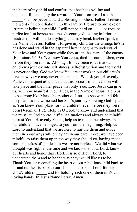the heart of my child and confess that he/she is willing and obedient, free to enjoy the reward of Your promises. I ask that

shall be peaceful, and a blessing to others. Father, I release the word of reconciliation into this family. I refuse to provoke or irritate or belittle my child; I will not be hard on or require perfection lest he/she becomes discouraged, feeling inferior or frustrated. I will not do anything that may break his/her spirit, in the Name of Jesus. Father, I forgive my child for the wrongs he/she has done and stand in the gap until he/she begins to understand Your love and Your grace while they are in the snare of the enemy (Ephesians 6:1-3). We know You Jesus, died for our children, even before they were born. Although It may seem to us that our children's journey into selfishness, self-destruction and the world is never-ending, God we know You are at work in our children's lives in ways we may never understand. We ask you, Heavenly Father, for a quiet assurance that this process of conversion will take place and the inner peace that only You, Lord Jesus can give us, will now manifest in our lives, in the Name of Jesus. Help us to be strong like Mary, the mother of Jesus, as she wept and felt deep pain as she witnessed her Son's journey knowing God's plan; as You knew Your plans for our children, even before they were born (Jeremiah 1:2). Help us O Lord, to know and understand that we must let God control difficult situations and always be mindful to trust You. Heavenly Father, help us to remember always that our children have belonged to you from the beginning. Help us Lord to understand that we are here to nurture them and guide them in Your ways while they are in our care. Lord, we have been mindful to raise them up in the way they should go, having made some mistakes of the flesh as we are not perfect. We did what we thought was right at the time and we know that you, Lord, know our hearts and honor that effort. It is so difficult Lord, to understand them and to be the way they would like us to be. Thank You for reconciling the heart of our rebellious child back to us and our hearts back to our child. Thank You Lord, for our child/children and for holding each one of them in Your loving hands. In Jesus Name I pray. Amen.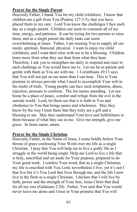## **Prayer for the Single Parent**

Heavenly Father, I thank You for my child (children). I know that children are a gift from You (Psalms 127:3-5), that you have placed them in my care. Lord You know the challenges I face each day as a single parent. Children can seem to consume all of my time, energy, and patience. It can be trying for two parents to raise them, and as a single parent the daily tasks can seem overwhelming at times. Father, I am trusting You to supply all our needs: spiritual, financial, physical. I want to enjoy my child (children), and I want their time with me to be a blessing. Children learn more from what they see than from what they hear. Therefore, I ask you to strengthen me daily to respond and react to each challenge as You would have me to. Let me be as patient and gentle with them as You are with me. 1 Corinthians 10:13 says that You will not put on me more than I can bear. This is Your promise to always provide what I need to accomplish Your will in the midst of trials. Young people can face such temptation, abuse, rejection, pressure to conform. The list seems unending. Let our home be a place of peace, comfort and refuge from the evil in the outside world. Lord, let them see that it is faith in You and obedience to You that brings peace and wholeness. May they know by the way I treat them that they truly are a gift and a blessing to me. May they understand Your love and faithfulness to them because of what they see in me. Give me strength, give me grace. In Jesus name, amen.

#### **Prayer for the Single Christian**

Heavenly Father, in the Name of Jesus, I come boldly before Your throne of grace confessing Your Word over my life as a single Christian. I pray that You will help me to live a godly life as I struggle in the world being single. Help me Lord to live a life that is holy, sanctified and set aside for Your purpose, prepared to do Your good work. I confess Your word, that as a single Christian; my life is crucified with You Lord, nevertheless I live; yet it's not I that live but it's You Lord that lives through me; and the life I now live in the flesh as a single Christian. I declare that I will live by faith, power and the strength of Your Son, Jesus Christ that died for all my sins (Galatians 2:20). Father, You said that You would never leave me alone and I trust in Your promise that You will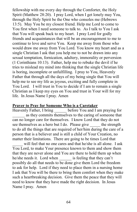fellowship with me every day through the Comforter, the Holy Spirit (Matthew 28:20). I pray Lord, when I get lonely may You, through the Holy Spirit be the One who consoles me (Hebrews 13:5). May You be my closest friend. Help me Lord to come to You first when I need someone to talk to. As I talk to You I ask that You will speak back to my heart. I pray Lord for godly friends and acquaintances that will be an encouragement to me to continue to love and serve You. Keep me away from those who would draw me away from You Lord. You know my heart and as a single Christian I ask that you help me to not be drawn into any sexual temptation, fornication, adultery, immorality or perversion (1 Corinthians 10:13). Father, help me to rebuke the devil if he tries to mislead my mind into thinking that the single Christian life is boring, incomplete or unfulfilling. I pray to You, Heavenly Father that through all the days of my being single that You will help me to see my life as joyous, exciting and fully complete in You Lord. I will trust in You to decide if I am to remain a single Christian as I keep my eyes on You and trust in Your will for my life. In Jesus Name I pray. Amen

# **Prayer to Pray for Someone Who is a Caretaker Heavenly Father, I bring before You and I a**

before You and I am praying for as they commits themselves to the caring of someone that can no longer care for themselves. I know Lord that they do not see themselves as a hero but I do. Please give the strength to do all the things that are required of her/him during the care of a person that is a believer and is still a child of Your Creation, no matter their limitations. There are going to be times Lord that

will feel that no one cares and that he/she is all alone. I ask You Lord, to make Your presence known to them and show them that they are never alone and You are there to hold them up when he/she needs it. Lord when is feeling that they can't possibly do all that needs to be done give them Lord the freedom to ask for help. Lord if they need to place them in a nursing home I ask that You will be there to bring them comfort when they make such a heartbreaking decision. Give them the peace that they will need to know that they have made the right decision. In Jesus Name I pray. Amen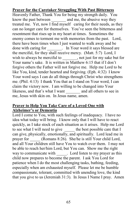## **Prayer for the Caretaker Struggling With Past Bitterness**

Heavenly Father, Thank You for being my strength daily. You know the past between and me, the abusive way they treated me. Yet, now I find myself caring for their needs, as they can no longer care for themselves. You've seen the bitterness and resentment that rises up in my heart at times. Sometimes the enemy comes to torment me with memories from the past. Lord, there have been times when I just wanted to walk away and be done with caring for  $\qquad \qquad$ . In Your word it says blessed are the merciful, for they shall receive mercy. (Matt. 5:7) Lord, I wish to always be merciful to \_\_\_\_\_\_, not just for my sake but for Your name's sake. It is written in Matthew 6:15 that if I don't forgive others the Father will not forgive me. Help me Lord to be like You, kind, tender hearted and forgiving. (Eph. 4:32) I know Your word says I can do all things through Christ who strengthens me. (Phil. 4:13) I thank You that as I stand on Your word, I can claim the victory now. I am willing to be changed into Your likeness, and that's what I want \_\_\_\_\_\_\_ and all others to see in me, Jesus with skin on. In Jesus name, amen.

## **Prayer to Help You Take Care of a Loved One with Alzheimer's or Dementia**

Lord I come to You, with such feelings of inadequacy. I have no idea what today will bring. I know only that I will have to react quickly, as I take stock of each situation as it arises. Help me Lord to see what I will need to give the best possible care that I can give, physically, emotionally, and spiritually. Lord lead me in prayer for (Romans 8:26). She/he is still Your child Lord, and all Your children still have You to watch over them. I may not be able to reach her/him Lord, but You can. Show me the right way to communicate with Lord listen to my prayer as this child now prepares to become the parent. I ask You Lord for patience when I do the most challenging tasks, bathing, feeding, especially when am exhausted myself. Please let me be humble compassionate, tolerant, committed with unending love, the kind that you give to us (Jeremiah 31:3). In Jesus I Name I pray. Amen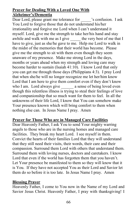## **Prayer for Dealing With a Loved One With Alzheimer's/Dementia**

Dear Lord, please grant me tolerance for confusion. I ask You Lord to forgive those that do not understand his/her irrationality and forgive me Lord when I can't understand it myself. Lord, give me the strength to take her/his hand and stay awhile and walk with me as I give \_\_\_\_\_\_ the very best of me that I have to give, just as she/he gave to me. Help me Lord to walk in the midst of the memories that their world has become. Please give me the strength to sit with them even though they seem unaware of my presence. Make me strong Lord in the days, months or years ahead when my strength and loving care may become harder to sustain (Isaiah 41:10). I know Lord that only you can get me through those days (Philippians 4:3). I pray Lord that when she/he will no longer recognize me let her/him know Lord that I am here to give them comfort even if they don't know who I am. Lord always give a sense of being loved even though this relentless illness is trying to steal their feelings of love and companionship that so much want for them to feel. In all the unknowns of their life Lord, I know that You can somehow make Your presence known which will bring comfort to them when nothing else can. In Jesus Name I pray. Amen

# **Prayer for Those Who are in Managed Care Facilities**

Dear Heavenly Father, I ask You to send Your mighty warring angels to those who are in the nursing homes and managed care facilities. They break my heart Lord. I see myself in them. Convict the hearts of their families Lord that they will understand that they still need their visits, their words, their care and their compassion. Surround them Lord with others that understand them. Surround them with loving nurses, doctors and caretakers. I know Lord that even if the world has forgotten them that you haven't. Let Your presence be manifested to them so they will know that it is You. If they have not accepted You as their Lord and Savior let them do so before it is too late. In Jesus Name I pray. Amen

#### **Blessing Prayer**

Heavenly Father, I come to You now in the Name of my Lord and Savior Jesus Christ. Heavenly Father, I pray with thanksgiving! I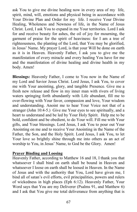ask You to give me divine healing now in every area of my life, spirit, mind, will, emotions and physical being in accordance with Your Divine Plan and Order for my life. I receive Your Divine Healing, Wholeness and Newness of life, in the Name of Jesus Christ. Lord, I ask You to expand in me Your territories. Lord I ask for and receive beauty for ashes, the oil of joy for mourning, the garment of praise for the spirit of heaviness: for I am a tree of righteousness, the planting of the Lord, that You may be glorified, in Jesus' Name. My prayer Lord, is that your Will be done on earth as it is in Heaven. Heavenly Father, I ask you to give me the manifestation of every miracle and every healing You have for me and the manifestation of divine healing and divine health in my body. Amen!

**Blessings:** Heavenly Father, I come to You now in the Name of my Lord and Savior Jesus Christ. Lord Jesus, I ask You, to cover me with Your anointing, glory, and tangible Presence. Give me a fresh new release and flow in my inner man with rivers of living waters springing forth abundantly with Life abundant, fill me to over-flowing with Your favor, compassion and love, Your wisdom and understanding. Anoint me to hear Your Voice not that of a stranger (John 10:4-5.) Give me Your eyes to see spiritually, and a heart to understand and be led by Your Holy Spirit. Help me to be bold, confident and be obedient, to do Your will. Fill me with Your gifts, and Your blessings. Lord Jesus, I ask You to pour out Your Anointing on me and to receive Your Anointing in the Name of the Father, the Son, and the Holy Spirit. Lord Jesus, I ask You, to let Your love so brightly shine through me into others as an act of worship to You, in Jesus' Name, to God be the Glory. Amen!

#### **Prayer Binding and Loosing**

Heavenly Father, according to Matthew 16 and 18, I thank you that whatsoever I shall bind on earth shall be bound in Heaven and whatsoever I loose on earth shall be loosed in Heaven. In the Name of Jesus and with the authority that You, Lord have given me, I bind all of satan's evil efforts, evil principalities, powers and rulers of wickedness in high places (Eph 6:12). Heavenly Father, Your Word says that You are my Deliverer (Psalms 91, and Matthew 6) and I ask that You give me total deliverance from anything that is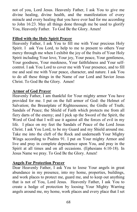not of you, Lord Jesus. Heavenly Father, I ask You to give me divine healing, divine health, and the manifestation of every miracle and every healing that you have ever had for me according to John 16:23. May all things done through me be used to glorify You, Heavenly Father. To God Be the Glory. Amen!

## **Filled with the Holy Spirit Prayer**

Heavenly Father, I ask You to fill me with Your precious Holy Spirit. I ask You Lord, to help to me to present to others Your mercy through me when I exhibit the joy of the fruits of Your Holy Spirit including Your love, Your joy, Your peace, Your gentleness, Your goodness, Your meekness, Your faithfulness and Your selfcontrol. I ask You Lord to cover me with Your presence, and to fill me and seal me with Your peace, character, and nature. I ask You to do all these things in the Name of our Lord and Savior Jesus Christ. To God Be the Glory. Amen!

# **Armor of God Prayer**

Heavenly Father, I am thankful for Your mighty armor You have provided for me. I put on the full armor of God: the Helmet of Salvation; the Breastplate of Righteousness; the Girdle of Truth; Sandals of Peace; the Shield of Faith which protects me from all fiery darts of the enemy; and I pick up the Sword of the Spirit, the Word of God that I will use it against all the forces of evil in my life. I place on my feet the Sandals of Peace of the Lord Jesus Christ. I ask You Lord, to be my Guard and my Shield around me. Take me into the cleft of the Rock and underneath Your Mighty Wings according to Psalms 91. I put on Your mighty Armor and live and pray in complete dependence upon You, and pray in the Spirit at all times and on all occasions. (Ephesians 6:10-18). In Jesus Name we pray. To God Be the Glory. Amen!

# **Angels For Protection Prayer**

Dear Heavenly Father, I ask You to loose Your angels in great abundance in my presence, into my home, properties, buildings, and work places to protect me, guard me, and to keep out anything that is not of You, Lord Jesus. Heavenly Father, I ask You to create a hedge of protection by loosing Your Mighty Warring angels around me, my home, work places and every place that I set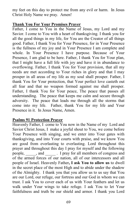my feet on this day to protect me from any evil or harm. In Jesus Christ Holy Name we pray. Amen!

#### **Thank You For Your Promises Prayer**

Father, I come to You in the Name of Jesus, my Lord and my Savior. I come to You with a heart of thanksgiving. I thank you for all the good things in my life, for You are the Creator of all things good. Father, I thank You for Your Presence, for in Your Presence is the fullness of my joy and in Your Presence I am complete and whole. In Your Presence I have purpose. Because of Your Presence, I am glad to be here. Father, I thank You for Your plan, that I might have a full life with joy and have it in abundance to overflowing. Father, I thank You for Your provision, that all my needs are met according to Your riches in glory and that I may prosper in all areas of my life as my soul shall prosper. Father, I thank You for Your protection, that Your perfect love casteth out all fear and that no weapon formed against me shall prosper. Father, I thank You for Your peace, The peace that passes all understanding. The peace that keeps me calm and secure through adversity. The peace that leads me through all the storms that come into my life. Father, thank You for my life and Your Presence in it. In Jesus Name, Amen.

## **Psalms 91 Protection Prayer**

Heavenly Father, I come to You now in the Name of my Lord and Savior Christ Jesus, I make a joyful shout to You, we come before Your Presence with singing, and we enter into Your gates with thanksgiving, and into Your courts with praise, and we know You are good from everlasting to everlasting. Lord throughout this prayer and throughout this day I pray for myself and the following people, \_\_\_\_\_, and \_\_\_\_\_ . I pray for all members of congress and of the armed forces of our nation, all of our intercessors and all people of Israel. Heavenly Father**, I ask You to allow us** to dwell in the secret place of the most High and to abide under the shadow of the Almighty. I thank you that you allow us to us say that You are our Lord, our refuge, our fortress and our God in whom we can trust. I ask You to cover each of us with Your feathers and let us walk under Your wings to take refuge. I ask You to let Your faithfulness and truth be our shield and armor. I thank you Lord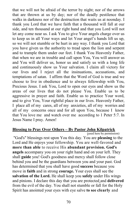that we will not be afraid of the terror by night; nor of the arrows that are thrown at us by day; nor of the deadly pestilence that walks in darkness nor of the destruction that waits us at noonday. I thank you Lord that we have faith that a thousand will fall at our side, and ten thousand at our right hand and that you Lord will not let any come near us. I ask You to give Your angels charge over us to keep us in all Your ways and let Your angel's hands lift us up, so we will not stumble or be hurt in any way. I thank you Lord that you have given us the authority to tread upon the lion and serpent and to trample them under our feet. I thank You Heavenly Father, that when we are in trouble and call upon You, You will answer us and You will deliver us, honor us and satisfy us with a long life and continuously show us Your salvation. I claim all victory for our lives and I reject all the insinuations, accusations, and temptations of satan. I affirm that the Word of God is true and we choose to live in obedience and to always fellowship with You, Precious Jesus. I ask You, Lord to open our eyes and show us the areas of our lives that do not please You. Enable us to be aggressive in prayer and faith. Enable us to practice Your word, and to give You, Your rightful place in our lives. Heavenly Father, I place all of my cares, all of my anxieties, all of my worries and all of my concerns once and for all upon You, because I know that You love me and watch over me according to 1 Peter 5:7. In Jesus Name I pray. Amen!

## **Blessing to Pray Over Others – By Pastor John Kilpatrick**

(used here by permission)

"God's" blessings rest upon You this day. You are **pleasing** to the Lord and He enjoys your fellowship. You are well-favored and **more than able** to receive His **abundant provision. God's angels** accompany you on your right hand and on your left. They shall **guide** you! God's goodness and mercy shall follow close behind you and be the guardians between you and your past. God has determined that you shall have good **success** because you move in **faith** and in strong **courage.** Your eyes shall see the **salvation of the Lord.** He shall keep you **safely** under His wings and pinions. I declare this day that you are protected and **delivered**  from the evil of the day. You shall not stumble or fall for the Holy Spirit has anointed your eyes with eye salve **to see clearly** and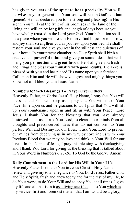has given you ears of the spirit to **hear precisely.** You will be **wise** in your generation. Your soul will rest in God's **shalom (peace).** He has declared you to be strong and **pleasing!** in His sight. You will eat the fruit of his promises in the land of the living and will enjoy **long life** and length of days because you have wholly **trusted** in the Lord your God. Your habitation shall be a place where you will rest in His **love,** find **hope**, for tomorrow, and **joy** shall **strengthen** you as you rest upon your bed. He shall restore your soul and give you rest in the stillness and quietness of your home. In your prayer chamber the Holy Spirit shall birth a creative and **powerful mind** and give you sound ideas that will bring you **promotion** and **great favor.** He shall give you fresh anointings and bless your **ministry with good results.** The Lord is **pleased with you** and has placed His name upon your forehead. Call upon Him and He will show you great and mighty things you know not of. I bless you in Jesus' Name!"

## **Numbers 6:23-26 Blessings To Prayer Over Others**

Heavenly Father, in Christ Jesus' Holy Name, I pray that You will bless us and You will keep us. I pray that You will make Your Face shine upon us and be gracious to us. I pray that You will lift up Your countenance upon us and fill us with Your Peace. Lord Jesus, I thank You for the blessings that you have already bestowed upon us. I ask You Lord, to cleanse our minds from all thoughts and preconceived ideas that do not conform to Your perfect Will and Destiny for our lives. I ask You, Lord to prevent our minds from deceiving us in any way by covering us with Your Precious Blood that we may believe and think in Your Will for our lives. In the Name of Jesus, I pray this blessing with thanksgiving and I thank You Lord for giving us the blessing that is talked about in Your Word in Numbers 6:23-26. To God be the Glory. Amen!

# **Daily Commitment to the Lord for His Will in Your Life**

Heavenly Father I come to You in Jesus Christ's Holy Name, I renew and give my total allegiance to You, Lord Jesus, Father God and Holy Spirit, fresh and anew today and for the rest of my life, to do Your work, to do Your Will and to obey You at all times. I give my life and all that is in it as a living sacrifice, unto You which is my service, first and foremost that all that I am would be a glory,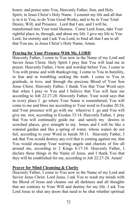honor, and praise unto You, Heavenly Father, Son, and Holy Spirit, in Jesus Christ's Holy Name. I commit my life and all that is in it to You, to do Your Good Works, and to be in Your Total Desire, Will, and Presence. Lord that I am, and I will be, transformed into Your total likeness. Come Lord Jesus, take Your rightful place in, through, and about my life. I give my life to You Lord, for eternity and I ask You Lord, to bind all that I am to all that You are, in Jesus Christ's Holy Name, Amen.

# **Praying for Your Presence With Me, LORD**

Heavenly Father, I come to You now in the Name of my Lord and Savior Jesus Christ. Holy Spirit I pray that You will lead me in prayer. Heavenly Father, I bow and worship before You. I come to You with praise and with thanksgiving. I come to You in humility, in fear and in trembling seeking the truth. I come to You in gratitude, in love, and through the precious Blood of Your Son Jesus Christ. Heavenly Father, I thank You that Your Word says that when I pray to You and I believe that You will hear me according to Job 22:27-28. Heavenly Father, Your word says that in every place I go where Your Name is remembered, You will come to me and bless me according to Your word in Exodus 20:24, and Your presence will go with me wherever I go and You will give me rest, according to Exodus 33:14. Heavenly Father, I pray that You will continually guide me and satisfy my desires in scorched places, give strength to my bones and I will be like a watered garden and like a spring of water, whose waters do not fail, according to your Word in Isaiah 58:11. Heavenly Father, I ask that You would destroy any evil that is coming against me, that You would encamp Your warring angels and chariots of fire all around me, according to 2 Kings 6:17-18. Heavenly Father, I declare these things in the Name of Jesus, and I thank You that they will be established for me, according to Job 22:27-28. Amen!

# **Prayer for Mind Cleansing & Clarity**

Heavenly Father, I come to You now in the Name of my Lord and Savior Jesus Christ. Lord Jesus, I ask You to wash my minds with the Blood of Jesus and cleanse out all darkness and all thoughts that are contrary to Your Will and destiny for my life. I ask You Lord Jesus to shut any doors that need to be shut whether spiritual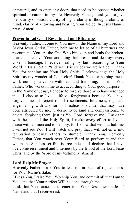or natural, and to open any doors that need to be opened whether spiritual or natural in my life. Heavenly Father, I ask you to give me clarity of vision, clarity of sight, clarity of thought, clarity of mind, clarity of knowing and hearing Your Voice. In Jesus Name I pray. Amen!

# **Prayer to Let Go of Resentment and Bitterness**

Heavenly Father, I come to You now in the Name of my Lord and Savior Jesus Christ. Father, help me to let go of all bitterness and resentment. You are the One Who binds up and heals the brokenhearted. I receive Your anointing that breaks and destroys every yoke of bondage. I receive healing by faith according to Your Word in Isaiah 53:5; "and with His stripes we are healed". Thank You for sending me Your Holy Spirit. I acknowledge the Holy Spirit as my wonderful Counselor! Thank You for helping me to work out my salvation with fear and trembling, for it is You, Father, Who works in me to act according to Your good purpose.

In the Name of Jesus, I choose to forgive those who have wronged me. I choose to live a life of forgiveness because You have forgiven me. I repent of all resentments, bitterness, rage and anger, along with any form of malice or slander that may have been attributed by me. I desire to be kind and compassionate to others, forgiving them, just as You Lord, forgave me. I ask that with the help of the Holy Spirit, I make every effort to live in peace with all men and to be holy, for I know that without holiness I will not see You. I will watch and pray that I will not enter into temptation or cause others to stumble. Thank You, Heavenly Father, that You watch over Your Word to perform it and that whom the Son has set free is free indeed. I declare that I have overcome resentment and bitterness by the Blood of the Lord Jesus Christ and by the Word of my testimony. Amen!

# **Lord Help Me Prayer**

Heavenly Father, I ask You to lead me in paths of righteousness for Your Name's Sake.

I Bless You, Praise You, Worship You, and commit all that I am to You, and that Your perfect Will be done through me.

I ask that You cause me to enter into Your Rest now, in Jesus' Name and that I receive rest.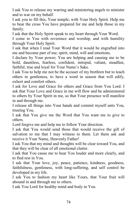I ask You to release my warring and ministering angels to minister and to war on my behalf.

I ask you to fill this, Your temple; with Your Holy Spirit. Help me to bear the cross You have prepared for me and help those in my family.

I ask that the Holy Spirit speak to my heart through Your Word.

I come to You with reverence and worship, and with humility through Your Holy Spirit.

I ask that when I read Your Word that it would be engrafted into me and become part of me; spirit, mind, will and emotions.

I declare by Your power; You are helping and causing me to be bold, dauntless, fearless, confident, intrepid, valiant, steadfast, faithful, true and loyal for Your Name's Sake.

I ask You to help me not be the accuser of my brethren but to teach others in gentleness, to have a word in season that will edify, exhort and comfort others.

I ask for Love and Grace for others and Grace from You Lord. I ask that Your Love and Grace in me will flow and be administered to others by Your Spirit in me, so that Your presence will manifest in and through me.

I release all things into Your hands and commit myself unto You, trusting You.

I ask that You give me the Word that You want me to give to others.

Lord forgive me and help me to follow Your direction.

I ask that You would send those that would receive the gift of salvation to me that I may witness to them. Let them ask and receive it Your Name, Heavenly Father!

I ask You that my mind and thoughts will be clear toward You, and that they will be clear of all emotional clutter.

I ask that You cause me to hear You louder and more clearly, and to find rest in You.

I ask that Your love, joy, peace, patience, kindness, goodness, faithfulness, gentleness, with long-suffering, and self control be developed in my life.

I ask You to fashion my heart like Yours, that Your fruit will abound in and through me to others.

I ask You Lord for healthy mind and body in You.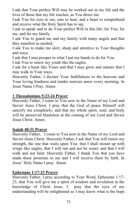I ask that Your perfect Will may be worked out in my life and the lives of those that my life touches, as You direct me.

I ask You for eyes to see, ears to hear, and a heart to comprehend and receive what the Holy Spirit has to say.

I ask to speak and to do Your perfect Will in this life; for You, for me, and for my family.

I ask You to guard me and my family with many angels and that they manifest as needed.

I ask You to make me alert, sharp and attentive to Your thoughts and ways.

I ask that I mayprosper in what I put my hands to do for You.

I ask You to renew my youth like the eagles.

I ask for a heart like Yours and that I may grow and mature that I may walk in Your ways.

Heavenly Father, I declare Your faithfulness to the heavens and Your loving kindness and tender mercies anew every morning. In Jesus Name I Pray. Amen

## **1 Thessalonians 5:23-24 Prayer**

Heavenly Father, I come to You now in the Name of my Lord and Savior Jesus Christ. I pray that the God of peace Himself will sanctify me completely; and that my whole spirit, soul, and body will be preserved blameless at the coming of our Lord and Savior Jesus Christ. Amen.

## **Isaiah 40:31 Prayer**

Heavenly Father, I come to You now in the Name of my Lord and Savior Jesus Christ. Heavenly Father, I ask that You will renew my strength, the one that waits upon You: that I shall mount up with wings like eagles, that I will run and not be weary and that I will walk and not faint. Heavenly Father, I thank You that you have made these promises to me and I will receive them by faith. In Jesus' Holy Name I pray. Amen.

# **Ephesians 1:17-23 Prayer**

Heavenly Father, I pray according to Your Word, Ephesians 1:17- 23, that You will give me a spirit of wisdom and revelation in the knowledge of Christ Jesus. I pray that the eyes of my understanding will be enlightened so I may know what is the hope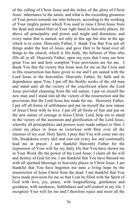of the calling of Christ Jesus and the riches of the glory of Christ Jesus' inheritance to the saints, and what is the exceeding greatness of Your power towards me who believes, according to the working of Your mighty power which You used to raise Christ Jesus from the dead and seated Him at Your right hand in heavenly places, far above all principality and power and might and dominion, and every name that is named, not only in this age but also in the age which is to come. Heavenly Father, I thank You that You put all things under the feet of Jesus, and gave Him to be head over all things to the church, which is His body, the fullness of Him who fills all in all. Heavenly Father, open my eyes that I may see how great You are and how complete Your provisions are for me. I thank You that the victory that Jesus won for me on the Cross and in His resurrection has been given to me and I am seated with the Lord Jesus in the heavenlies. Heavenly Father, by faith and in dependence upon You; I put off the fleshly works of the old man and stand unto all the victory of the crucifixion where the Lord Jesus provided cleansing from the old nature. I put on myself the new man and I stand into all the victory of the resurrection and the provisions that the Lord Jesus has made for me. Heavenly Father, I put off all forms of selfishness and put on myself the new nature of Jesus Christ with its love. I put off all forms of fear and put on the new nature of courage in Jesus Christ. Lord, help me to stand in the victory of the ascension and glorification of the Lord Jesus, whereby all principalities and powers were made subject to Him. I claim my place in Jesus as victorious with Him over all the enemies of my soul. Holy Spirit, I pray that You will come into my life, breakdown every idol and cast out every foe and continually lead me in prayer. I am thankful Heavenly Father for the expression of Your will for my daily life that You have shown me in Your Word. By the power of the Lord Jesus; I claim all the will and destiny of God for me. I am thankful that You have blessed me with all spiritual blessings in heavenly places in Christ Jesus. I am thankful that You have begotten me unto a living hope by the resurrection of Jesus Christ from the dead. I am thankful that You have made provision for me so that I can be filled with the Spirit of God with love, joy, peace, with longsuffering, gentleness and goodness, with meekness, faithfulness and self-control in my life. I recognize Your will for me and I therefore reject and resist all the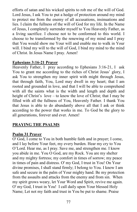efforts of satan and his wicked spirits to rob me of the will of God. Lord Jesus, I ask You to put a hedge of protection around my mind to protect me from the enemy of all accusations, insinuations and lies. I claim the fullness of the will of God for my life. In the Name of Jesus, I completely surrender myself to You Heavenly Father, as a living sacrifice. I choose not to be conformed to this world. I choose to be transformed by the renewing of my mind and I pray that You would show me Your will and enable me to walk in Your will. I bind my will to the will of God, I bind my mind to the mind of Christ. In Jesus Name I pray. Amen!

# **Ephesians 3:16-21 Prayer**

Heavenly Father, I pray according to Ephesians 3:16-21, I ask You to grant me according to the riches of Christ Jesus' glory, I ask You to strengthen my inner spirit with might through Jesus, that through faith, You, Lord may dwell in my heart; that I am rooted and grounded in love, and that I will be able to comprehend with all the saints what is the width and length and depth and height of Christ's love – to know the love of Christ; that I may be filled with all the fullness of You, Heavenly Father. I thank You that Jesus is able to do abundantly above all that I ask or think according to the power that works in me. To God be the glory to all generations, forever and ever. Amen!

# **PRAYING THE PSALMS**

# **Psalm 31 Prayer**

O' God, I come to You in both humble faith and in prayer; I come, and I lay before Your feet, my every burden. Hear my cry to You O'Lord. Hear me, as I pray. Save me, and strengthen me. I know you abide in me. You O God, are my Rock. You are my shelter and my mighty fortress; my comfort in times of sorrow; my peace in times of pain and distress. O' my God, I trust in You! On Your divine promises, I shall stand firmly; I belong to You. I know I am safe and secure in the palm of Your mighty hand. Be my protection from the assaults and attacks from the enemy and from sin. When my spirit grows weary, let Your Word and Spirit, revive me again. O' my God, I trust in You! I call daily upon Your blessed Holy Name; Let not my faith and trust in You be put to shame. Praise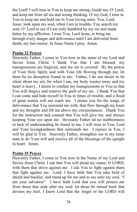the Lord! I will trust in You to keep me strong; Guide me, O' Lord, and keep me from all sin and wrong thinking. O' my God, I trust in You to keep me and hold me in Your loving arms. You, Lord Jesus, look upon my soul, when I am in trouble. You search my soul, O' Lord to see if I am truly humbled by my sin and made better by my affliction. I trust You, Lord Jesus, to bring me through every danger and deliverance until I am delivered from death, my last enemy. In Jesus Name I pray. Amen.

# **Psalm 32 Prayer**

Heavenly Father, I come to You now in the name of my Lord and Savior Jesus Christ. I thank You that I am blessed, my transgressions are forgiven, and my sin is covered. By the power of Your Holy Spirit, and with Your life flowing through me, let there be no deception found in me. Father, I do not desire to be silent about my sin, for when I am, my body wastes away and my heart is heavy. I desire to confess my transgressions to You so that You will forgive and remove the guilt of my sin. I thank You that I can come and hide myself in You in times of trouble, and a flood of great waters will not reach me. I praise you for the songs of deliverance that You surround me with, that flow through my heart and my thoughts and lift me above my circumstances. Thank You for the instruction and counsel that You will give me, and always keeping Your eye upon me. Heveanly Father let no stubbornness or lack of understanding be found in me. I will trust in You, Lord and Your lovingkindness that surrounds me. I rejoice in You, I will be glad in You. Heavenly Father, strengthen me in my inner man to do Your will and receive all of the blessings of the upright in heart. Amen.

# **Psalm 35 Prayer**

Heavenly Father, I come to You now in the Name of my Lord and Savior Jesus Christ. I ask that You will plead my cause, O LORD, with them that strive against me. I ask You to fight against them that fight against me. Lord, I have faith that You take hold of shield and buckler, and stand up for me and to say unto my soul, "I am your salvation". I have faith Lord that you will protect me from those that seek after my soul: let those be turned back that devises my hurt. I know Lord that the Angel of the LORD will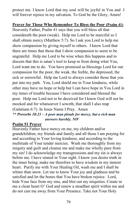protect me. I know Lord that my soul will be joyful in You and I will forever rejoice in my salvation. To God be the Glory, Amen!

# **Prayer for Those Who Remember To Bless the Poor (Psalm 41)**

Heavenly Father, Psalm 41 says that you will bless all that considereth the poor (weak). Help me Lord to be merciful so I shall obtain mercy (Matthew 5:7). So I ask you Lord to help me show compassion by giving myself to others. I know Lord that there are times that those that I show compassion to seem to be ungrateful. Help me Lord to be wise when this happens and to discern that this is satan's tool to keep m from doing what You, Lord want me to do. You have promised us blessings Lord for our compassion for the poor, the weak, the feeble, the depressed, the sick or sorrowful. Help me Lord to always consider those that you put into my path. You, Lord shield me in Your kindness, while other may have no hope or help but I can have hope in You Lord in my times of trouble because I have considered and blessed the poor. Help me Lord not to be deceived for I know God will not be mocked and for whatsoever I soweth, that shall I also reap (Galatians 6:7). In Jesus Name I Pray. Amen *\*\* Proverbs 18:23 – A poor man pleads for mercy, but a rich man* 

 *answers harshly. NIV* 

# **Psalm 51 Prayer**

Heavenly Father have mercy on me, my children and/or grandchildren, my friends and family and all those I am praying for and according to Your loving kindness, and according to the multitude of Your tender mercies. Wash me thoroughly from my iniquity and guilt and cleanse me and make me wholly pure from my sin! I do acknowledge my transgressions and my sin is always before me. I have sinned in Your sight. I know you desire truth in the inner being; make me therefore to have wisdom in my inmost heart. Purify me with Your Healing Oil, wash me and I shall be whiter than snow. Let me to know Your joy and gladness and be satisfied and let the bones that You have broken rejoice. Lord, hide Your face from my sins, and blot out my iniquities. Create in me a clean heart O' God and renew a steadfast spirit within me and do not cast me away from Your Presence. Take not Your Holy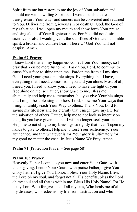Spirit from me but restore to me the joy of Your salvation and uphold me with a willing Spirit that I would be able to teach transgressors Your ways and sinners can be converted and returned to You. Deliver me from grievous sin or death O' God, the God of my salvation. I will open my mouth and show forth Your praise and sing aloud of Your Righteousness. For You did not desire sacrifice or else I would give it, the sacrifices of God are; a humble spirit, a broken and contrite heart. These O' God You will not despise. Amen.

## **Psalm 67 Prayer**

I know Lord that all my happiness comes from Your mercy; so I pray that You be merciful to me. I ask You, Lord, to continue to cause Your face to shine upon me. Pardon me from all my sins. God, I need your grace and blessings. Everything that I have, everything that I need, comes from you and you alone. Most of all, I need you. I need to know you. I need to have the light of your face shine on me, so Father, show grace to me. Bless me abundantly and help me to remember that you give Your blessings that I might be a blessing to others. Lord, show me Your ways that I might humbly teach Your Way to others. Thank You, Lord for saving my life **now** and for eternity that I might give my life for the salvation of others. Father, help me to not look so intently on the gifts you have given me that I will no longer seek your face. Help me to not cling to my blessings so tightly that I can't open my hands to give to others. Help me to trust Your sufficiency, Your abundance, and that whatever is for Your glory is ultimately for my good no matter the cost. In Jesus Name We Pray. Amen.

**Psalm 91** (Protection Prayer – See page 68)

# **Psalm 103 Prayer**

Heavenly Father I come to you now and enter Your Gates with thanksgiving, I enter Your Courts with praise Father, I give You Glory Father, I give You Honor, I bless Your Holy Name. Bless the Lord oh my soul, and forget not all His benefits, bless the Lord oh my soul and all that is within me. Bless His Holy Name! For He is my Lord Who forgives me of all my sins, Who heals me of all my diseases, who redeems my life from destruction and who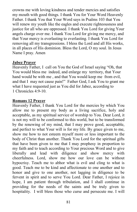crowns me with loving kindness and tender mercies and satisfies my mouth with good things. I thank You for Your Word Heavenly Father. I thank You that Your Word says in Psalms 103 that You will renew my youth like the eagles and execute righteousness and justice for all who are oppressed. I thank You Lord for giving Your angels charge over me. I thank You Lord for giving me mercy, and that Your mercy is everlasting to everlasting. I thank You Lord for removing all my transgressions. I bless the Lord and all His works, in all places of His dominion. Bless the Lord, O my soul. In Jesus Name I pray. Amen

## **Jabez Prayer**

Heavenly Father, I call on You the God of Israel saying "Oh, that You would bless me indeed, and enlarge my territory, that Your hand would be with me , and that You would keep me from evil, and that I may not cause pain!" Father God, I ask You to grant me what I have requested just as You did for Jabez, according to 1 Chronicles 4:9-10.

#### **Romans 12 Prayer**

Heavenly Father, I thank You Lord for the mercies by which You allow me to present my body as a living sacrifice, holy and acceptable, as my spiritual service of worship to You. Dear Lord, it is not my will to be conformed to this world, but to be transformed by the renewing of my mind, that I may prove good, acceptable, and perfect to what Your will is for my life. By grace given to me, show me how to not esteem myself more or less important to the body of Christ than another. Thank You Lord for the spiritual gifts that have been given to me that I may prophesy in proportion to my faith and to teach according to Your precious Word and to give liberally and lead with diligence and show mercy with cheerfulness. Lord, show me how our love can be without hypocrisy. Teach me to abhor what is evil and cling to what is good. Teach me to be kind and affectionate to one another and to honor and give to one another, not lagging in diligence to be fervent in spirit and to serve You Lord. Dear Father, I rejoice in hope, I am patient through tribulation, and I shall continue in providing for the needs of the saints and be truly given to hospitality. I will bless those who curse and persecute me. I will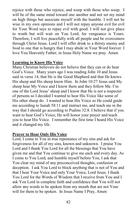rejoice with those who rejoice, and weep with those who weep. I will be of the same mind toward one another and not set my mind on high things but associate myself with the humble. I will not be wise in my own opinions and I will not repay anyone evil for evil for Your Word says to repay evil with good. I will not give place to wrath but will wait on You Lord, for vengeance is Yours. Therefore, I will live peacefully with all people and be overcomers through Christ Jesus. Lord I will offer drink to a thirsty enemy and food to one that is hungry that I may abide in Your Word forever. I love You Heavenly Father, in Jesus Holy Name we pray. Amen

## **Learning to Know His Voice**

Many Christian believers do not believe that they can or do hear God's Voice. Many years ago I was reading John 10 and Jesus said in verse 14, that He is the Good Shepherd and that He knows His sheep and His sheep know Him. In John 10:27 Jesus said My sheep hear My Voice and I know them and they follow Me. I'm one of the Lord Jesus' sheep and I know that He is not a respecter of persons so I decided I wanted to hear His Voice like some of His other sheep do. I wanted to hear His Voice so He could guide me according to Isaiah 58:11 and instruct me, and teach me in the way that I should go according to Psalms 32:8. I believe that if you want to hear God's Voice, He will honor your prayer and teach you to hear His Voice. I remember the first time I heard His Voice and it changed my life.

# **Prayer to Hear Only His Voice**

Lord, I come to You in true repentance of my sins and ask for forgiveness for all of my sins, known and unknown. I praise You Lord and I thank You Lord for all the blessings that You have given me and that You continue to give me each and every day. As I come to You Lord, and humble myself before You, I ask that You clear my mind of any preconceived thoughts, confusion or deception. I ask You Lord to block anything that is not of You and that I hear Your Voice and only Your Voice, Lord Jesus. I thank You Lord for the Words of Wisdom that I receive from You and I ask You Lord in complete faith and confidence that You will not allow any words to be spoken from my mouth that are not Your will for them to be spoken. In Jesus Name I Pray, Amen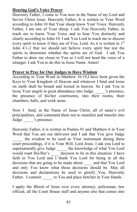# **Hearing God's Voice Prayer**

Heavenly Father, I come to You now in the Name of my Lord and Savior Christ Jesus. Heavenly Father, It is written in Your Word according to John:10 that Your sheep know Your Voice. Heavenly Father, I am one of Your sheep. I ask You Heavenly Father, to teach me to know Your Voice and to hear You distinctly and clearly according to John:10. I ask You Lord to teach me to discern every spirit to know if they are of You, Lord. As it is written in 1<sup>st</sup> John 4:1-2 that we should not believe every spirit but test the spirits to determine whether the spirits are of God. I ask You Father to draw me closer to You so I will not heed the voice of a stranger. I ask You to do this in Jesus Name. Amen!

## **Prayer to Pray for Our Judges to Have Wisdom**

According to Your Word in Matthew 16:19,I have been given the Keys to Your Kingdom of Heaven and whatever I bind and loose on earth shall be bound and loosed in heaven. So I ask You to loose Your angels in great abundance into Judge \_\_\_\_\_'s presence, the presence of his/her courtrooms, into their rooms, their chambers, halls, and work areas.

Now I bind, in the Name of Jesus Christ, all of satan's evil principalities, and command them not to manifest and transfer into Judge  $\blacksquare$  's presence.

Heavenly Father, it is written in Psalms 91 and Matthew 6 in Your Word that You are our deliverer and I ask that You give Judge the wisdom to be used as Your instrument during these court proceedings, if it is Your Will, Lord Jesus. I ask you Lord to supernaturally give Judge \_\_\_\_\_ the knowledge of what You Lord would want His/Her's \_\_\_\_\_ decision to be in this situation. I have faith in You Lord and I thank You Lord for being in all the decisions that are going to be made about and that You Lord and only You know what those decisions should be. May all decisions and declarations be used to glorify You, Heavenly Father. I commit to You and place him/her in Your Hands.

I apply the Blood of Jesus over every attorney, policeman, law official, all the Court House staff and anyone else that comes into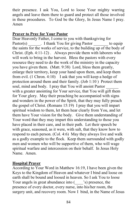their presence. I ask You, Lord to loose Your mighty warring angels and leave them there to guard and protect all those involved in these procedures. To God be the Glory, In Jesus Name I pray. Amen

# **Prayer to Pray for Your Pastor**

Dear Heavenly Father, I come to you with thanksgiving for Pastor(s) Thank You for giving Pastor to equip the saints for the works of service, to the building up of the body of Christ. (Eph. 4:11-12) . Always provide them with laborers who will work to bring in the harvest. Bless the pastors with every resource they need to do the work of the ministry in the capacity you have given them. (Matt. 9:38) Lord, bless them greatly, enlarge their territory, keep your hand upon them, and keep them from evil. (1 Chron. 4:10) I ask that you will keep a hedge of protection around them and their family. (Job 1:10 ) Protect them soul, mind and body. I pray that You will anoint Pastor with a greater anointing for Your service, that You will gift them for Your glory. May their preaching be accompanied with signs and wonders in the power of the Spirit, that they may fully preach the gospel of Christ. (Romans 15:19) I pray that you will impart spiritual wisdom to them, let them hear clearly from You, and let them have Your vision for the body. Give them understanding of Your word that they may impart this understanding to those you have placed in their care, and in their path. Let their speech be with grace, seasoned, as it were, with salt, that they know how to respond to each person. (Col. 4:6) May they always live and walk as a godly example to the flock. Keep them surrounded with godly men and women who will be supportive of them, who will wage spiritual warfare and intercession on their behalf. In Jesus Holy Name. Amen.

# **Hospital Prayer**

According to Your Word in Matthew 16:19, I have been given the Keys to the Kingdom of Heaven and whatever I bind and loose on earth shall be bound and loosed in heaven. So I ask You to loose Your angels in great abundance into (Solut presence, the presence of every doctor, every nurse, into his/her room, the surgery unit, and recovery room. Now I bind, in the Name of Jesus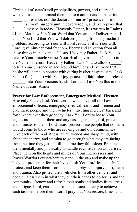Christ, all of satan's evil principalities, powers, and rulers of wickedness and command them not to manifest and transfer into 's) presence, nor the doctors' or nurses' presence, or into (\_\_\_\_\_'s) room, surgery unit, recovery room, and every place that (\_\_\_\_\_) may be in today. Heavenly Father, it is written in Psalms 91 and Matthew 6 in Your Word that You are our Deliverer and I thank You Lord that You will deliver (\_\_\_\_\_) from any medical problem, according to Your will Lord Jesus. If it is Your will, Lord, give him/her total freedom, liberty and salvation from all these things in the Name of Jesus. Heavenly Father, I ask You to release Your miracle virtue, Your Healing virtue into (\_\_\_\_\_) in the Name of Jesus. Heavenly Father, I ask You to allow (\_\_\_\_\_) to feel Your presence in and around him/her and everyone that he/she will come in contact with during his/her hospital stay. I ask You to fill () with Your joy, peace and faithfulness. I release (\_\_\_\_\_) into Your precious hands, Lord and I ask You this in the Name of Jesus. Amen

**Prayer for Law Enforcement, Emergency Medical, Firemen** 

Heavenly Father, I ask You Lord to watch over all our Law enforcement officers, emergency medical teams and firemen and give these people and their vehicles "traveling mercies" back and forth where ever they go today. I ask You Lord to loose Your angels around about them and any passengers, to guard, protect and minister to them. Lord Jesus, protect these people that no harm would come to those who are serving us and our communities! Give each of them alertness, an awakened and sharp mind, with abundant energy, and stamina to go through what they are facing from the time they get up, till the time they fall asleep. Prepare them mentally and physically to handle each situation as it arises. Place them on the hearts and minds of Your Intercessors and Prayer Warriors everywhere to stand in the gap and make up the hedge of protection for their lives. I ask You Lord Jesus to shield, protect, and keep them from mental and physical injury, hurt, harm and trauma. Also protect their vehicles from other vehicles and people. Bless them in what they put their hands to do for us and the community. Renew and refresh their souls and bodies from stress and fatigue. Lord, cause their minds to focus clearly to achieve each task set before them. Lord I pray that You restore, bless, and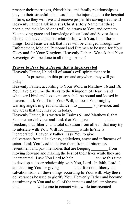prosper their marriages, friendships, and family relationships as they do their stressful jobs. Lord help the injured get to the hospital in time, so they will live and receive proper life saving treatment! Heavenly Father I ask in Jesus Christ's Holy Name that these people and their loved ones will be drawn to You, and come to Your saving grace and knowledge of our Lord and Savior Jesus Christ, and have an eternal relationship with You. In all these things, Lord Jesus we ask that lives will be changed through Law Enforcement, Medical Personnel and Firemen to be used for Your Glory and for Your Kingdom, Heavenly Father. We ask that Your Sovereign Will be done in all things. Amen!

## **Prayer to Pray for a Person that is Incarcerated**

Heavenly Father, I bind all of satan's evil spirits that are in \_\_\_\_\_\_\_'s presence, in this prison and anywhere they will go today.

Heavenly Father, according to Your Word in Matthew 16 and 18, You have given me the Keys to the Kingdom of Heaven and whatever I bind and loose on earth shall be bound and loosed in heaven. I ask You, if it is Your Will, to loose Your mighty warring angels in great abundance into  $\cdot$  s presence; and any areas that they may be in today.

Heavenly Father, it is written in Psalms 91 and Matthew 6, that You are our deliverer and I ask that You give , total freedom, total liberty, and total salvation from all evil that may try to interfere with Your Will for while he/she is incarcerated. Heavenly Father, I ask You to give deliverance from all sickness, addictions, anger and influences of satan. I ask You Lord to deliver them from all bitterness, resentment and past memories that are keeping from moving forward and making the best of their lives while they are incarcerated. I ask You Lord to help to use this time to develop a closer relationship with You, Lord. In faith, Lord, I am thanking You for giving \_\_\_\_\_\_\_total freedom, liberty and salvation from all these things according to Your will. May these deliverances be used to glorify You, Heavenly Father and become a testimony to You and to all of the inmates and jail employees that will come in contact with while incarcerated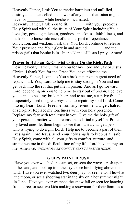Heavenly Father, I ask You to render harmless and nullified, destroyed and cancelled the power of any plans that satan might have for while he/she is incarnated. Heavenly Father, I ask You to fill with your precious Holy Spirit and with all the fruits of Your Spirit including Your love, joy, peace, gentleness, goodness, meekness, faithfulness, and I ask You to loose into each of them a spirit of repentance, conviction, and wisdom. I ask that You Lord, continue to release Your presence and Your glory in and around and the prison (jail) that he/she is in. In the Name of Jesus I pray. Amen!

## **Prayer to Help an Ex-Convict to Stay On the Right Path**

Dear Heavenly Father, I thank You for my Lord and Savior Jesus Christ. I thank You for the Grace You have afforded me. Heavenly Father, I come to You a broken person in great need of repair. I ask You, Lord to help me to stay strong in You and not get back into the rut that put me in prison. And as I go forward Lord, depending on You to help me to stay out of prison. I believe you came to heal my broken heart and to set me, a captive free. I desperately need the great physician to repair my soul Lord. Come into my heart, Lord. Free me from any resentment, anger, hatred or self-pity. Replace my loneliness with your holy presence. Replace my fear with total trust in you. Give me the holy gift of your peace no matter what circumstances I find myself in. Protect my loved ones, let them begin to see that I am a changed person who is trying to do right, Lord. Help me to become a part of their lives again. Lord Jesus, send Your holy angels to keep us all safe. Holy Spirit, come with all your gifts to comfort, nurture, and strengthen me in this difficult time of my life. Lord have mercy on me, Amen -*AN ANONYMOUS EX-CONVICT–SENT TO PASTOR MILLIE*

#### **GOD'S PAINT BRUSH**

Have you ever watched the sun set, or seen the waves crash upon the sand, and look up into the sky to see birds flying above the land. Have you ever watched two deer play, or seen a wolf howl at the moon, or see a shooting star in the sky on a hot summer night in June. Have you ever watched the snow fall or seen ice hanging from a tree, or see two kids making a snowman for their families to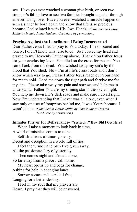see. Have you ever watched a woman give birth, or seen two stranger's fall in love or see two families brought together through an ever lasing love. Have you ever watched a miracle happen or seen a sinner be born again and know that life is so precious because God painted it with His Own Hands!! *(Submitted to Pastor Millie by Inmate James Hudson. Used here by permission.)* 

## **Praying Against the Loneliness of Being Incarcerated**

Dear Father Jesus I had to pray to You today. I'm so scared and lonely, I didn't know what else to do. So I bowed my head and prayed to my Heavenly Father up above. Thank You Father Jesus for your everlasting love. You died on the cross for me and You came back from the dead. You washed away my sin's by the blood that You shed. Now I'm at life's cross roads and I don't know which way to go, Please Father Jesus reach out Your hand for me to hold. Lead me down the right path and forgive me for my sins. Please take away my pain and sorrows and help me to understand. Father You are my shining star in the sky at night. You help me down life's dark roads and make sure I do all right. Now I'm understanding that I never was all alone, even when I saw only one set of footprints behind me, It was Yours because I wasn't alone. *(Submitted to Pastor Millie by Inmate James Hudson. Used here by permission.)* 

## **Inmates Prayer for Deliverance– "Yesterday" How Did I Get Here?**

 When I take a moment to look back in time, A whirl of mistakes comes to mine. Selfish visions of times gone by. Deceit and deception in a world full of lies. I feel the turmoil and pain I've given away. All the passionate fury of yesterday. Then comes night and I'm all alone, So far away from a place I call home. My heart opens up and begs for change, Asking for help in changing lanes. Sorrow comes and tears fall free, Longing for a better destiny. I feel in my soul that my prayers are Heard; I pray that they will be answered.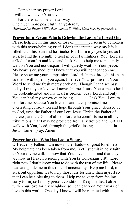Come hear my prayer Lord I will do whatever You say.

 For there has to be a better way – One much more peaceful than yesterday. *(Submitted to Pastor Millie from inmate S. White. Used here by permission)* 

#### **Prayer for a Person Who is Grieving the Loss of a Loved One**

Please help me in this time of loss of The seem to be frozen with this overwhelming grief. I don't understand why my life is filled with this pain and heartache. But I turn my eyes to you as I seek to find the strength to trust in your faithfulness. You, Lord are a God of comfort and love and I ask You to help me to patiently wait on You and not despair; I will quietly wait for Your peace. My heart is crushed, but I know that you will not abandon me. Please show me your compassion, Lord. Help me through this pain so that I will hope in you again. I believe Your promise in Your Word to send me fresh mercy each day. Though I can't see past today, I trust your love will never fail me. Jesus, You came to heal the brokenhearted and my heart is broken today Lord, and only You can heal my sorrow over losing Fig. 1 ask You, Lord to comfort me because You love me and have promised me everlasting consolation and hope through Your grace. Blessed be to God, even the Father of our Lord Jesus Christ, the Father of mercies, and the God of all comfort; who comforts me in all my tribulations, that I may be protected from any trouble and hurt as I walk with You, Lord, through the grief of losing Theorem 2. In Jesus Name I pray. Amen

#### **Prayer for One Who Has Lost a Spouse**

O'Heavenly Father, I am now in the shadow of great loneliness. My helpmate has been taken from me. Yet I submit in holy faith to Your divine will. I know that You loved and that they are now in Heaven rejoicing with You (2 Colossians 5:8). Lord, right now I don't know what to do with the rest of my life. Please lead and guide me in this time of uncertainty. Help me Lord, to seek out opportunities to help those less fortunate than myself so that I can be a blessing to them. Help me to keep from feeling sorry for myself in my present condition. Keep my heart alive with Your love for my neighbor, so I can carry on Your work of love in this world. One day I know I will be reunited with in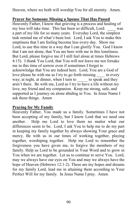Heaven, where we both will worship You for all eternity. Amen.

## **Prayer for Someone Missing a Spouse That Has Passed**

Heavenly Father, I know that grieving is a process and healing of my loss will take time. This has been so difficult, Lord. \_\_\_\_ was a part of my life for so many years. Everyday Lord, the simplest task remind me of what's been lost. Lord, I ask You to make this emptiness that I am feeling become less every day. Show me Lord, to use this time in a way that I can glorify You. God I know that I am not alone, that You are here with me in this loneliness. But Lord, please forgive me if I still feel alone at times Hebrews 4:15). I thank You Lord, that You will not leave me nor forsake me in this time of sorrow even if sometimes I forget to acknowledge that You are indeed here. Lord, You are a God of love please be with me as I try to go forth missing \_\_\_\_ in every way; at night, at dinner, when I turn to to speak and they aren't there. Be with me, Lord as I try to have a life without my love, my friend and my companion. Keep me strong, safe, and supported as I journey on alone abiding in You. In Jesus Name I ask these things. Amen

## **Praying for My Family**

Heavenly Father, You made us a family. Sometimes I have not been accepting of my family, but I know Lord that we need one another. Help me Lord to love them no matter what our differences seem to be. Lord, I ask You to help me to do my part in keeping my family together by always showing Your grace and mercy. Be with us in our times of working together, playing together, worshiping together. Help me Lord to remember the forgiveness you have given me, to forgive the members of my family. Help us Lord to be grounded in Your Word and to grow in You when we are together. Let us to continue to serve You. Lord, may we always have our eyes on You and may we always have the hope of Heaven (Hebrews 12:1-2). These are my hopes and dreams for my family Lord, lead me in attaining them according to Your Perfect Will for my family. In Jesus Name I pray. Amen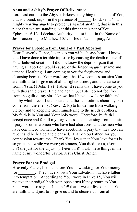# **Anna and Ashley's Prayer Of Deliverance**

Lord cast out into the Abyss (darkness) anything that is not of You, that is around, on, or in the presence of \_\_\_\_\_\_. Lord, send Your mighty warring angels to protect us against anything that is in this place that we are standing in at this time that is not of You. Ephesians 6:12. I declare Authority to cast it out in the Name of Jesus according to Matthew 10:1. In Jesus Name I pray, Amen!

# **Prayer for Freedom from Guilt of a Past Abortion**

Dear Heavenly Father, I come to you with a heavy heart. I know that I have done a terrible injustice by causing the death of one of Your beloved creation. I did not know the depth of pain that having an abortion would cause, or the lingering guilt, shame and utter self loathing. I am coming to you for forgiveness and cleansing because Your word says that if we confess our sins You are faithful to forgive us of all unrighteousness, and to cleanse us from *all* sin. (1 John 1:9) Father, it seems that I have come to you with this same prayer time and again, but I still do not feel free from the guilt of my sin. I know that I have to walk by faith and not by what I feel. I understand that the accusations about my past come from the enemy, (Rev. 12:10) to hinder me from walking in victory and to keep me from ministering to the needs of others. My faith is in You and Your holy word. Therefore, by faith I accept once and for all my forgiveness and cleansing from this sin. I pray for other women who have had abortions, and the men who have convinced women to have abortions. I pray that they too can repent and be healed and cleansed. Thank You Father, for your compassion toward me. Thank You Jesus that Your love for us is so great that while we were yet sinners, You died for us, (Rom. 5:8) the just for the unjust. (1 Peter 3:18) I ask these things in the name of my wonderful Savior, Jesus Christ. Amen.

# **Prayer For the Prodigal**

Heavenly Father, I come before You now asking for Your mercy for They have known Your salvation, but have fallen into temptation. According to Your word in Luke 15, You will receive the prodigal back with open arms if they return to You. Your word also says in 1 John 1:9 that if we confess our sins You are faithful and just to forgive us and to cleanse us from all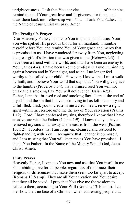unrighteousness. I ask that You convict of their sins, remind them of Your great love and forgiveness for them, and draw them back into fellowship with You. Thank You Father. In the Name of Jesus Christ we pray. Amen

# **The Prodigal's Prayer**

Dear Heavenly Father, I come to You in the name of Jesus, Your Son who spilled His precious blood for all mankind. I humble myself before You and remind You of Your grace and mercy that is promised to us. I have wandered far away from You, neglecting the great gift of salvation that was given to me (Hebrews 2:3). I have been a friend with the world, and thus have been an enemy to You (James 4:4). I have been like the prodigal in Luke 15, sinning against heaven and in Your sight, and as he, I no longer feel worthy to be called your child. However, I know that I must walk by faith, and I believe Your word that says that You will give grace to the humble (Proverbs 3:34), that a bruised reed You will not break and a smoking flax You will not quench (Isaiah 42:3). Father, I am that bruised reed and smoking flax. I am at the end of myself, and the sin that I have been living in has left me empty and unfulfilled. I ask you to create in me a clean heart, renew a right spirit within me, restore unto me the joy of Your salvation (Psalms 1:12). Lord, I have confessed my sins, therefore I know that I have an advocate with the Father (1 John 1:9). I know that you have removed my sins as far away as the east is from the west (Psalms 103:12). I confess that I am forgiven, cleansed and restored to right-standing with You. I recognize that I cannot keep myself, and I am trusting that You will keep me as You have promised. I thank You Father. In the Name of the Mighty Son of God, Jesus Christ. Amen.

# **Unity Prayer**

Heavenly Father, I come to You now and ask that You instill in me Your abiding love for all people, regardless of their race, their religion, or differences that make them seem too far apart to accept (Romans 13:8 amp). They are all Your creation and You desire that they all be saved. I pray that You give me the wisdom to relate to them, according to Your Will (Romans 13:10 amp). Let me show the true face of a Christian when addressing people that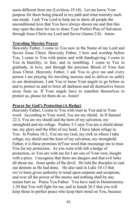seem different from me (Leviticus 19:18). Let me know Your purpose for them being placed in my path and what ministry each one needs. I ask You Lord to help me to show all people the unconditional love that You have always shown me and that this may open the door for me to share Your Perfect Plan of Salvation through Jesus Christ my Lord and Savior (James 2:8). Amen.

## **Traveling Mercies Prayer**

Heavenly Father, I come to You now in the Name of my Lord and Savior Jesus Christ. Heavenly Father, I bow and worship before You. I come to You with praise and with thanksgiving. I come to You in humility, in fear, and in trembling. I come to You in gratitude, in love, and through the precious Blood of Your Son Jesus Christ. Heavenly Father, I ask You to give me and every person I am praying for traveling mercies and to deliver us safely to our destinations. I ask You to loose Your angels to go before us and to protect us and to force all darkness and all destructive forces away from us. If Your angels have to manifest themselves to protect us, please let them do so. Amen!

# **Prayer for God's Protection (A Hedge)**

Heavenly Father, I come to You with trust in You and in Your word. According to Your word, *You* are my shield. In II Samuel 22:3, You are my shield and the horn of my salvation, my stronghold and my refuge. Psalms 3:3 says You are a shield about me, my glory and the lifter of my head. I have taken refuge in You. In Psalms 18:2, You are my God, my rock in whom I take refuge; my shield and the horn of my salvation, my stronghold. Father, it is these promises inYour word that encourage me to trust You for my protection. As you were with Job a hedge of protection, so You are with me for I am one of Your own, bought with a price. I recognize that there are dangers and that evil lurks all about me. Jesus spoke of the devil. He told the disciples to cast out demons as He had done. He also said in Luke 10:13 that we've been given authority to tread upon serpents and scorpions, and over all the power of the enemy and nothing shall by any means hurt us. Praise You Father. You have said in Deuteronomy 1:30 that You will fight for me, and in Isaiah 26:3 that you will keep those in perfect peace who keep their mind on You, because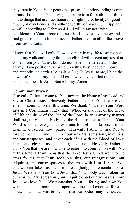they trust in You. Your peace that passes all understanding is mine because I rejoice in You always, I am anxious for nothing. I think on the things that are true, honorable, right, pure, lovely, of good repute, of excellence and anything worthy of praise. (Philippians 4:6-8) According to Hebrews 4:16, I will draw near with confidence to Your throne of grace that I may receive mercy and find grace to help in time of need. Father, I claim all of the above promises by faith.

I know that You will only allow adversity in my life to strengthen me in my walk and in my faith, therefore I will accept any test that comes from you Father, but I do not have to be defeated by the enemy. I am positionally raised up with Christ, above all power and authority on earth. (Colossians 3:1) In Jesus' name, I bind the power of Satan in my life and I cast away any evil that tries to come near me. In Jesus Name I pray. Amen

## **Communion Prayer**

Heavenly Father, I come to You now in the Name of my Lord and Savior Christ Jesus. Heavenly Father, I thank You that we can enter in communion at this time. We thank You that Your Word says in 1 Corinthians 11:27, that "Whoever shall eat of the Bread of Life and drink of the Cup of the Lord, in an unworthy manner shall be guilty of the Body and the Blood of Jesus Christ." Your Word says let every man examine himself, so let each of us examine ourselves now (pause). Heavenly Father, I ask You to forgive me, and of our sins, transgressions, iniquities, and our trespasses, and cover each of us with the Blood of Jesus Christ and cleanse us of all unrighteousness. Heavenly Father, I thank You that we are now able to enter into communion with You at this time. I thank You that the Lord Jesus Christ went to the cross for us, that Jesus took our sins, our transgressions, our iniquities, and our trespasses to the cross with Him. I thank You that we can take this piece of bread (body) in remembrance of Jesus. We thank You Lord Jesus that Your body was broken for our sins, our transgressions, our iniquities, and our trespasses. Lord Jesus, we love You. We remember Your suffering, and how You were beaten and marred, spit upon, whipped and crucified for each of us. Your body was broken so that our bodies may be healed. I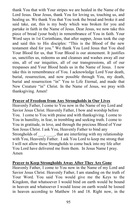thank You that with Your stripes we are healed in the Name of the Lord Jesus. Dear Jesus, thank You for loving us, touching us, and healing us. We thank You that You took the bread and broke it and said take, eat, this is my body which was broken for you and partake in faith in the Name of Jesus. Dear Jesus, we now take this piece of bread (your body) in remembrance of You in faith. Your Word says in 1st Corinthians, that after supper, Jesus took the cup and said this to His disciples: "This is the Blood of the new testament shed for you." We thank You Lord Jesus that You shed Your Blood for us, that Your Blood is our atonement. It justifies us, sanctifies us, redeems us and cleanses and washes away all our sins, all of our iniquities, all of our transgressions, all of our trespasses and Your Blood heals us in the Name of Jesus. I now take this in remembrance of You. I acknowledge Lord Your death, burial, resurrection, and now possible through You, my death, burial and resurrection "in" You to Life Eternal, and made that New Creature "in" Christ. In the Name of Jesus, we pray with thanksgiving. Amen!

## **Prayer of Freedom from Any Strongholds in Our Lives**

Heavenly Father, I come to You now in the Name of my Lord and Savior Jesus Christ. Heavenly Father, I bow and worship before You. I come to You with praise and with thanksgiving. I come to You in humility, in fear, in trembling and seeking truth. I come to You in gratitude, in love, and through the precious Blood of Your Son Jesus Christ. I ask You, Heavenly Father to bind any Strongholds of  $\qquad$ , that are interfering with my relationship with You, Heavenly Father. I ask You Lord to keep me strong that I will not allow these Strongholds to come back into my life after You Lord have delivered me from them. In Jesus Name I pray. Amen

### **Prayer to Keep Strongholds Away After They Are Gone**

Heavenly Father, I come to You now in the Name of my Lord and Savior Jesus Christ. Heavenly Father, I am standing on the truth of Your Word. You said You would give me the Keys to the Kingdom, that whatsoever I would bind on earth would be bound in heaven and whatsoever I would loose on earth would be loosed in heaven according to Matthew 16 and 18. Right now, in the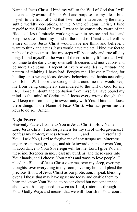Name of Jesus Christ, I bind my will to the Will of God that I will be constantly aware of Your Will and purpose for my life. I bind myself to the truth of God that I will not be deceived by the many subtle worldly deceptions. In the Name of Jesus Christ, I bind myself to the Blood of Jesus. I want to be constantly aware of the Blood of Jesus' miracle working power to restore and heal and keep me safe. I bind my mind to the mind of Christ that I will be aware of how Jesus Christ would have me think and believe. I want to think and act as Jesus would have me act. I bind my feet to paths of righteousness that my steps will be steady and true all day long. I bind myself to the work of the cross in my life so that I will continue to die daily to my own selfish desires and motivations and be more like Jesus. I repent of every wrong desire, attitude and pattern of thinking I have had. Forgive me, Heavenly Father, for holding onto wrong ideas, desires, behaviors and habits according to 1 John 1:9. I loose the strongholds around me that would keep me from being completely surrendered to the will of God for my life. I loose all doubt and confusion from myself. I have bound my mind to the mind of Christ and I loose every wrong thought that will keep me from being in sweet unity with You. I bind and loose these things in the Name of Jesus Christ, who has given me the keys to do so. Amen!

## **Night Prayer**

Heavenly Father, I come to You in Jesus Christ's Holy Name. Lord Jesus Christ, I ask forgiveness for my sin of un-forgiveness. I confess my un-forgiveness toward and myself and You. I ask You, Lord to forgive me of any trespasses, bitterness, anger, resentment, grudges, and strife toward others, or even You, in accordance to Your Sovereign will for me. Lord I give You all these indifferences in me, I cast my burdens, and these cares into Your hands, and I choose Your paths and ways to love people. I plead the Blood of Jesus Christ over me, over my sleep, over my thoughts, over everything in my room, over my home. I plead the precious Blood of Jesus Christ as our protection. I speak blessing over all those that may have upset me today and enable them to hear and know Your Voice, to be convicted but not condemned about what has happened between us. Lord, restore us through Your Godly Ways and means, that we will flourish in Your courts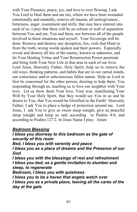with Your Presence, peace, joy, and love to over flowing. I ask You Lord to Heal them and me too, where we have been wounded emotionally and mentally, remove all trauma, all unforgiveness , bitterness, anger, resentment and strife, that may have entered into each of us. I pray that there will be no schism or wall of separation between You and me, You and them, nor between all of the people involved in these situations and myself. Your Sovereign will be done. Remove and destroy any deception, lies, veils that blind us from the truth, wrong words spoken and their powers. Especially reveal and destroy all lies of the enemy, known or unknown, and let Your Healing Virtue and Your Resurrection Power penetrate and bring forth Your New Life in that area in each of our lives. Lord Jesus, Heavenly Father, Holy Spirit, help us to remove the old ways, thinking patterns, and habits that are in our carnal minds, our conscience and/or subconscious fallen nature. Help us Lord to first be concerned for the other person, desiring to help them, You responding through us, teaching us to love our neighbor with Your love. Let us show them Your love, Your way, manifesting Your Will by Your Holy Spirit, that they would see You in us and be drawn to You, that You would be Glorified in the Earth! Heavenly Father, I ask You to place a hedge of protection around me. Lord Jesus, I ask You to give us sweet sleep tonight, give us peaceful sleep tonight and keep us safe according to Psalms 4:8; and according to Psalms 127:2. In Jesus Name I pray. Amen

# *Bedroom Blessing*

*I bless you doorway to this bedroom as the gate of security of this room Bed, I bless you with serenity and peace I bless you as a place of dreams and the Presence of our God I bless you with the blessings of rest and refreshment I bless you bed, as a gentle invitation to slumber and sleep, to regenerate Bedroom, I bless you with quietness I bless you to be a haven that angels watch over I bless you as a private place, leaving all the cares of the day at the gate*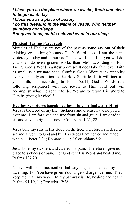*I bless you as the place where we awake, fresh and alive to begin each day I bless you as a place of beauty I do this blessing in the Name of Jesus, Who neither slumbers nor sleeps But gives to us, as His beloved even in our sleep* 

## **Physical Healing Paragraph**

Miracles of Healing are not of the past as some say out of their thinking or teaching because God's Word says "I am the same yesterday, today and tomorrow." "The work that I do you will do; you shall do even greater works than Me", according to John 14:12. God's Word is a **now** promise! It does take faith even faith as small as a mustard seed. Confess God's Word with authority over your body as often as the Holy Spirit leads, it will increase your faith, and according to Isaiah 55:11, God's Words (the following scriptures) will not return to Him void but will accomplish what He sent it to do. We are to return His Word to Him by giving it voice!!!

**Healing Scriptures (speak healing into your body/spirit/life)**  Jesus is the Lord of my life. Sickness and disease have no power over me. I am forgiven and free from sin and guilt. I am dead to sin and alive to righteousness. Colossians 1:21, 22

Jesus bore my sins in His Body on the tree; therefore I am dead to sin and alive unto God and by His stripes I am healed and made whole. 1 Peter 2:24; Romans 6:11; 2 Corinthians 5:21

Jesus bore my sickness and carried my pain. Therefore I give no place to sickness or pain. For God sent His Word and healed me. Psalms 107:20

No evil will befall me, neither shall any plague come near my dwelling. For You have given Your angels charge over me. They keep me in all my ways. In my pathway is life, healing and health. Psalms 91:10, 11; Proverbs 12:28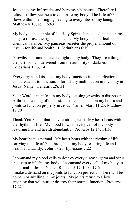Jesus took my infirmities and bore my sicknesses. Therefore I refuse to allow sickness to dominate my body. The Life of God flows within me bringing healing to every fiber of my being. Matthew 8:17; John 6:63

My body is the temple of the Holy Spirit. I make a demand on my body to release the right chemicals. My body is in perfect chemical balance. My pancreas secretes the proper amount of insulin for life and health. 1 Corinthians 6:19

Growths and tumors have no right to my body. They are a thing of the past for I am delivered from the authority of darkness. Colossians 1:13, 14

Every organ and tissue of my body functions in the perfection that God created it to function. I forbid any malfunction in my body in Jesus' Name. Genesis 1:28, 31

Your Word is manifest in my body, causing growths to disappear. Arthritis is a thing of the past. I make a demand on my bones and joints to function properly in Jesus' Name. Mark 11:23; Matthew 17:20

Thank You Father that I have a strong heart. My heart beats with the rhythm of life. My blood flows to every cell of my body restoring life and health abundantly. Proverbs 12:14; 14:30

My heart beat is normal. My heart beats with the rhythm of life, carrying the life of God throughout my body restoring life and health abundantly. John 17:23; Ephesians 2:22

I command my blood cells to destroy every disease, germ and virus that tries to inhabit my body. I command every cell of my body to be normal in Jesus' Name. Romans 5:17; Luke 17:6 I make a demand on my joints to function perfectly. There will be no pain or swelling in my joints. My joints refuse to allow anything that will hurt or destroy their normal function. Proverbs 17:22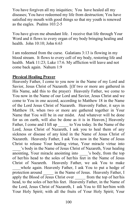You have forgiven all my iniquities; You have healed all my diseases; You have redeemed my life from destruction; You have satisfied my mouth with good things so that my youth is renewed as the eagles. Psalms 103:2-5

You have given me abundant life. I receive that life through Your Word and it flows to every organ of my body bringing healing and health. John 10:10; John 6:63

I am redeemed from the curse. Galatians 3:13 is flowing in my blood stream. It flows to every cell of my body, restoring life and health. Mark 11:23; Luke 17:6. My affliction will leave and not come back again. Nahum 1:9

## **Physical Healing Prayer**

Heavenly Father, I come to you now in the Name of my Lord and Savior, Jesus Christ of Nazareth. [(If two or more are gathered in His Name, add this to the prayer) Heavenly Father, we come to You now in the Name of our Lord and Savior, Jesus Christ and we come to You in one accord, according to Matthew 18 in the Name of the Lord Jesus Christ of Nazareth. Heavenly Father, it says in Matthew 18, when two or more are gathered together in Your Name that You will be in our midst. And whatever will be done for us on earth, will also be done as it is in Heaven.] Heavenly Father, I come and I lift up to You today. In the Name of the Lord, Jesus Christ of Nazareth, I ask you to heal them of any sickness or disease of any kind in the Name of Jesus Christ of Nazareth. Heavenly Father, I ask You now in the Name of Jesus Christ to release Your healing virtue, Your miracle virtue into

\_\_\_\_'s body in the Name of Jesus Christ of Nazareth, Your healing anointing, Your miracle anointing into \_\_\_\_'s body, from the top of her/his head to the soles of her/his feet in the Name of Jesus Christ of Nazareth. Heavenly Father, we ask You to make whole again. Heavenly Father, I ask You to put a hedge of protection around in the Name of Jesus. Heavenly Father, I apply the Blood of Jesus Christ over from the top of her/his head, to the soles of her/his feet. Heavenly Father, in the Name of the Lord, Jesus Christ of Nazareth, I ask You to fill her/him with Your Holy Spirit; with all the fruits of Your Holy Spirit; Your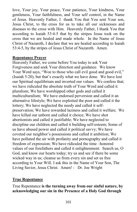love, Your joy, Your peace, Your patience, Your kindness, Your gentleness, Your faithfulness, and Your self control, in the Name of Jesus. Heavenly Father, I thank You that You sent Your son, Jesus Christ, to the cross for us to take all our sicknesses and diseases to the cross with Him. Heavenly Father, I thank You that according to Isaiah 53:4-5 that by the stripes Jesus took on the cross that we are healed and made whole. In the Name of Jesus Christ of Nazareth, I declare that we are healed according to Isaiah 53:4-5, by the stripes of Jesus Christ of Nazareth. Amen.

## **Repentance Prayer**

Heavenly Father, we come before You today to ask Your Forgiveness and seek Your direction and guidance. We know Your Word says, "Woe to those who call evil good and good evil," (Isaiah 5:20), but that's exactly what we have done. We have lost our Spiritual equilibrium and inverted our values. We confess that; we have ridiculed the absolute truth of Your Word and called it pluralism; We have worshipped other gods and called it multiculturalism; We have endorsed perversion and called it an alternative lifestyle; We have exploited the poor and called it the lottery; We have neglected the needy and called it selfpreservation; We have rewarded laziness and called it welfare; We have killed our unborn and called it choice; We have shot abortionists and called it justifiable; We have neglected to discipline our children and called it building self-esteem; Some of us have abused power and called it political savvy; We have coveted our neighbor's possessions and called it ambition; We have polluted the air with profanity and pornography and called it freedom of expression; We have ridiculed the time –honored values of our forefathers and called it enlightenment. Search us, O God, and know our hearts today; try us and see if there be some wicked way in us; cleanse us from every sin and set us free according to Your Will. I ask this in the Name of Your Son, The Living Savior, Jesus Christ. Amen! - Dr. Joe Wright

# **True Repentance**

True Repentance **is the turning away from our sinful nature, by acknowledging our sin in the Presence of a Holy God through**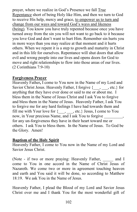prayer, where we realize in God's Presence we fall True Repentance short of being Holy like Him, and then we turn to God to receive His help, mercy and grace, to empower us to turn and change from our ways and toward God's ways and likeness (being)*.* You know you have truly repented because once you have turned away from the sin you will not want to go back to it because you love God and don't want to hurt Him. Remember sin hurts you in more ways than you may realize at that moment and it hurts others. When we repent it is a step to growth and maturity in Christ and in this life for ourselves. Repentance will shut doors that allow evil and wrong people into our lives and opens doors for God to move and right relationships to flow into those areas of our lives. (2 Corinthians 7:9-10)

# **Forgiveness Prayer**

Heavenly Father**,** I come to You now in the Name of my Lord and Savior Christ Jesus. Heavenly Father, I forgive  $\{\_ \,$ , etc.} for anything that they have ever done or said to me or about me. I bless them in the Name of Jesus Christ and I ask You to forgive and bless them in the Name of Jesus. Heavenly Father, I ask You to forgive me for any hard feelings I have had towards them and fill me with Your love for  $\{$ , , etc.} Jesus, I come to You now, in Your precious Name, and I ask You to forgive for any un-forgiveness they have in their heart toward me or others. I ask You to bless them. In the Name of Jesus. To God be the Glory. Amen!

# **Baptism of the Holy Spirit**

Heavenly Father, I come to You now in the Name of my Lord and Savior Jesus Christ.

(Note - if two or more praying: Heavenly Father, and I come to You in one accord in the Name of Christ Jesus of Nazareth. We come two or more in agreement touching heaven and earth and You said it will be done, so according to Matthew 18:19. We ask You in the Name of Jesus.

Heavenly Father, I plead the Blood of my Lord and Savior Jesus Christ over me and I thank You for the most wonderful gift of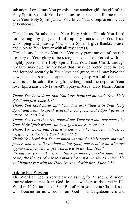salvation. Lord Jesus You promised me another gift, the gift of the Holy Spirit. So I ask You Lord Jesus, to baptize and fill me in and with Your Holy Spirit, just as You filled Your disciples on the day of Pentecost.

Christ Jesus, Breathe in me Your Holy Spirit. **Thank You Lord**  for hearing my prayer. I lift up my hands unto You Jesus worshiping and praising You in the Spirit. I give thanks, praise, and glory to You forever with all my heart (s).

Christ Jesus, I thank You that You may grant me out of the rich treasury of Your glory to be strengthened and reinforced with the mighty power of the Holy Spirit. That You, Jesus Christ, through my faith may dwell in my heart that I may be rooted deep in love and founded securely in Your love and grace, that I may have the power and be strong to apprehend and grasp with all the saints what is the breadth, the length, the height and the depth of Your love. Ephesians 3:16-18 (AMP). I pray in Jesus' Holy Name. Amen

*Thank You Lord Jesus that You have baptized me with Your Holy Spirit and fire. Luke 3:16.* 

*Thank You Lord Jesus that I am (we are) filled with Your Holy Spirit and begin to speak with other tongues, as the Spirit gives us utterance. Acts 2:4.* 

*Thank You Lord that You poured out Your love into our hearts by Your Holy Spirit whom You have given us. Romans 5:5* 

*Thank You Lord, that You, who know our hearts, bear witness to us, giving us the Holy Spirit. Acts 15:8.* 

*Thank You Lord that You anointed us with the Holy Spirit and with power, and we will go about doing good, and healing all who are oppressed by the devil; for You are with us. Acts 10:38.* 

 *"I baptize you with water. But one more powerful than I will come, the thongs of whose sandals I am not worthy to untie. He will baptize you with the Holy Spirit and with fire. Luke 3:16.* 

## **Asking For Wisdom**

The Word of God is very clear on asking for Wisdom. Wisdom, true wisdom comes from God. Jesus is wisdom as declared in His Word in  $1<sup>st</sup>$  Corinthians 1:30, "But of Him you are in Christ Jesus, who became for us wisdom from God — and righteousness and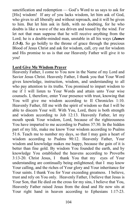sanctification and redemption — God's Word to us says to ask for [His] wisdom! If any of you lacks wisdom, let him ask of God, who gives to all liberally and without reproach, and it will be given to him. But let him ask in faith, with no doubting, for he who doubts is like a wave of the sea driven and tossed by the wind. For let not that man suppose that he will receive anything from the Lord; he is a double-minded man, unstable in all his ways (*James 1:5-8).* So go boldly to the throne of grace through the precious Blood of Jesus Christ and ask for wisdom, call, cry out for wisdom and His promise to us is that our Heavenly Father will give it to you!

## **Lord Give Me Wisdom Prayer**

Heavenly Father, I come to You now in the Name of my Lord and Savior Jesus Christ. Heavenly Father, I thank you that Your Word gives knowledge, instruction, wisdom, and understanding to all who pay attention to its truths. You promised to impart wisdom to me if I will listen to Your Words and attain unto Your wise counsels. I, therefore, enter Your presence with trust, knowing that You will give me wisdom according to II Chronicles 1:10. Heavenly Father, fill me with the spirit of wisdom so that I will be able to discern Your will. With You, Lord, there is both strength and wisdom according to Job 12:13. Heavenly Father, let my mouth speak Your wisdom, Lord, because of the righteousness You have imparted to me according to Psalms 37:30. In the hidden part of my life, make me know Your wisdom according to Psalms 51:6. Teach me to number my days, so that I may gain a heart of wisdom according to Psalms 90:12. Heavenly Father, Your wisdom and knowledge makes me happy, because the gain of it is better than fine gold. By wisdom You founded the earth, and by knowledge You established the heavens according to Proverbs 3:13-20. Christ Jesus, I thank You that my eyes of Your understanding are continually being enlightened; that I may know Your calling, and the riches of Your glory and Your inheritance for Your saints. I thank You for Your exceeding greatness. I believe, trust and rely on You only. Heavenly Father, I believe that Jesus is Your Son, that He died on the cross for my sins, I believe that You, Heavenly Father raised Jesus from the dead and He now sits at Your right hand in heaven according to Ephesians 1:17-23.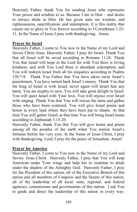Heavenly Father, thank You for sending Jesus who represents Your power and wisdom to us. Because I am in Him – and desire to always abide in Him. He has given unto me wisdom, and righteousness, sanctification, and redemption. It is this reality that causes me to glory in You forever according to I Corinthians 1:22- 31. In the Name of Jesus I pray with thanksgiving. Amen.

# **Prayer for Israel**

Heavenly Father, I come to You now in the Name of my Lord and Savior Christ Jesus. Heavenly Father, I pray for Israel. Thank You that all Israel will be saved according to Romans 11:26. Thank You that Israel will hope in the Lord for with You there is loving kindness, and with You Lord there is abundant redemption, and You will redeem Israel from all his iniquities according to Psalms 130:7-8. Thank You Father that You have taken away Israel's punishment, You have turned back Israel's enemy. Thank You that the king of Israel is with Israel; never again will Israel fear any harm. You are mighty to save, You will take great delight in Israel. You will quiet Israel with Your love, You will rejoice over Israel with singing. Thank You that You will rescue the lame and gather those who have been scattered. You will give Israel praise and honor in every land where they have been put to shame. At that time You will gather Israel; at that time You will bring Israel home according to Zephaniah 3:15-20.

Heavenly Father, thank You that You will give honor and praise among all the peoples of the earth when You restore Israel's fortunes before her very eyes. In the Name of Jesus Christ, I pray with thanksgiving. Lord, I pray for the peace of Jerusalem. Amen!

# **Prayer for America**

Heavenly Father, I come to You now in the Name of my Lord and Savior, Jesus Christ. Heavenly Father, I pray that You will keep American under Your wings and help her to continue to abide under the shadow of the Almighty God. Heavenly Father, I pray for the President of this nation, all of the Executive Branch of this nation and all members of Congress and the Senate of this nation, all of the leadership of all local, state, regional, and federal agencies, commissions and governments of this nation. I ask You to guide and direct the leadership of this nation in every way.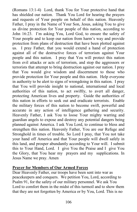(Romans 13:1-4) Lord, thank You for Your protective hand that has shielded our nation. Thank You Lord for hearing the prayers and requests of Your people on behalf of this nation. Heavenly Father, I pray in the Name of Your Son, Jesus, asking You to give us divine protection for Your people of this nation, according to John 16:23. I'm asking You, Lord God, to ensure the safety of Your people and to keep our nation from harm's way and provide protection from plans of destruction that have been plotted against us. I pray Father, that you would extend a hand of protection against all of the destructive forces of terrorism against Your people and this nation. I pray that You will protect this nation from evil attacks or acts of terrorism, and stop the aggressors or terrorists that attempt to bring destruction against our nation. I pray that You would give wisdom and discernment to those who provide protection for Your people and this nation. Help everyone in authority to be alert to signs of wrongdoing in this nation. I pray that You will provide insight to national, international and local authorities of this nation, to act swiftly, to avert all danger, protecting American lives and property. Guide the authorities of this nation in efforts to seek out and eradicate terrorists. Enable the military forces of this nation to become swift, powerful and accurate in any action of intelligence gathering and security. Heavenly Father, I ask You to loose Your mighty warring and guardian angels to expose and destroy any potential dangers being planned against America. I ask You Lord, to continue to bless and strengthen this nation. Heavenly Father, You are our Refuge and Stronghold in times of trouble. So Lord I pray, that You not take your hand off America and that Your people will dwell safely in this land, and prosper abundantly according to Your will. I submit this to Your Hand, Lord. I give You the Praise and I give You the Glory, that You hear my prayers and my supplications. In Jesus Name we pray. Amen

## **Prayer for Members of Our Armed Forces**

Dear Heavenly Father, our troops have been sent into war as peacekeepers and conquers. We petition You, Lord, according to Psalm 91, for the safety of our military personnel. We ask You Lord to comfort them in the midst of this turmoil and to show them that they are not forgotten by America or by You, Lord. This is no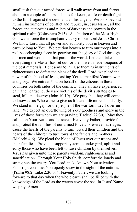small task that our armed forces will walk away from and forget about in a couple of hours. This is for keeps, a life-or-death fight to the finish against the devil and all his angels. We look beyond human instruments of conflict and rebuke, in Jesus Name, all the forces and authorities and rulers of darkness and powers in the spiritual realm (Colossians 2:15). As children of the Most High God we enforce the triumphant victory of our Lord Jesus Christ. We know Lord that all power and authority both in heaven and earth belong to You. We petition heaven to turn our troops into a real peacekeeping force by pouring out the glory of God through our men and women in that part of the world. Let them take everything the Master has set out for them, well-made weapons of the best materials. (Ephesians 6:12) Use them as instruments of righteousness to defeat the plans of the devil. Lord, we plead the power of the blood of Jesus, asking You to manifest Your power and glory. We entreat You on behalf of the citizens in these countries on both sides of the conflict. They all have experienced pain and heartache; they are victims of the devil's strategies to steal, kill and destroy (John 10:10). We pray that they will come to know Jesus Who came to give us life and life more abundantly. We stand in the gap for the people of the war-torn, devil-overrun land. We expect an overflowing of Your goodness and glory in the lives of those for whom we are praying (Ezekiel 22:30). May they call upon Your Name and be saved. Heavenly Father, provide for and protect the families of our armed forces. Preserve marriages; cause the hearts of the parents to turn toward their children and the hearts of the children to turn toward the fathers and mothers (Malachi 4:6). We plead the blood of Jesus over our troops and their families. Provide a support system to under gird, uplift and edify those who have been left to raise children by themselves. Jesus has given unto these parents wisdom, righteousness and sanctification. Through Your Holy Spirit, comfort the lonely and strengthen the weary. You Lord, make known Your salvation; Your righteousness You openly show in the sight of the nations. (Psalm 98:2, Luke 2:30-31) Heavenly Father, we are looking forward to that day when the whole earth shall be filled with the knowledge of the Lord as the waters cover the sea. In Jesus' Name we pray, Amen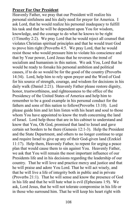### **Prayer For Our President**

Heavenly Father, we pray that our President will realize his personal sinfulness and his daily need for prayer for America. I ask Lord, that he would realize his personal inadequacy to fulfill his task and that he will be dependent upon You for wisdom, knowledge, and the courage to do what he knows to be right (1Timothy 2:2). We pray Lord that he would reject all counsel that violates Christian spiritual principles and that he would trust God to prove him right (Proverbs 4:5. We pray Lord, that he would resist those who would pressure him to violate his conscience and that by Your power, Lord Jesus that he reverses the trend of socialism and humanism in this nation. We ask You, Lord that he would be ready to forsake his personal ambition and political causes, if to do so would be for the good of the country (Proverbs 14:34). Lord, help him to rely upon prayer and the Word of God for his source of strength, courage, and wisdom for decisions in his daily walk (Daniel 2:21). Heavenly Father please restore dignity, honor, trustworthiness, and righteousness to the office of the Presidency of the United States of America and help him to remember to be a good example in his personal conduct for the fathers and sons of this nation to follow(Proverbs 13:10). Lord please guide him and let him listen with his heart and soul to those whom You have appointed to know the truth concerning the land of Israel. Lord help those that are in his cabinet to understand and know that You, Oh God, promised that land to Israel and gave certain set borders to be there (Genesis 12:1-3). Help the President and the State Department, and others to no longer continue to urge and require Israel to give up any of their God-given land (Ezekiel 11:17). Help them, Heavenly Father, to repent for urging a peace plan that would cause them to sin against You. Heavenly Father, we ask that You will remain the most important influence of our Presidents life and in his decisions regarding the leadership of our country. That he will love and practice mercy and justice and that he will praise and adore You Lord. That he will act wisely, and that he will live a life of integrity both in public and in private (Proverbs 21:1). That he will sense and know the presence of God in his life and that he will hate what is evil (Ephesians 1:9). We ask, Lord Jesus, that he will not tolerate compromise in his life or in those who surround him. That he will keep his heart right with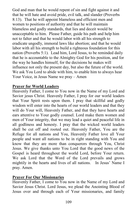God and man that he would repent of sin and fight against it and that he will hate and avoid pride, evil talk, and slander (Proverbs 8:13). That he will appoint blameless and efficient men and women to positions of authority and that he will maintain blameless and godly standards, that lies and deceit would be unacceptable to him. Please Father, guide his path and help him not to falter and that he would labor with all his strength to eradicate ungodly, immoral laws like abortion; and that he would labor with all his strength to build a righteous foundation for this nation (Proverbs 5:1). Lead him, Lord Jesus, to be reminded daily that he is accountable to the Almighty God for his position, and for the way he handles himself, for the decisions he makes will influence not only the present day, but also the future of the world. We ask You Lord to abide with him, to enable him to always hear Your Voice, in Jesus Name we pray – Amen

### **Prayer for World Leaders**

Heavenly Father, I come to You now in the Name of my Lord and Savior jesus Christ. Heavenly Father, I pray for our world leaders that Your Spirit rests upon them. I pray that skillful and godly wisdom will enter into the hearts of our world leaders and that they will do Your will, Heavenly Father, and that they have hearts and ears attentive to Your godly counsel. Lord make them women and men of Your integrity, that we may lead a quiet and peaceful life in all godliness and honesty. I pray that the wicked world leaders shall be cut off and rooted out. Heavenly Father, You are the Refuge for all nations and You, Heavenly Father love all Your people and want all nations to be in right standing with You and know that they are more than conquerors through You, Christ Jesus. We give thanks unto You Lord that the good news of the Gospel is heard throughout the world Lord, before Your return. We ask Lord that the Word of the Lord prevails and grows mightily in the hearts and lives of all nations. In Jesus' Name I pray. Amen.

### **Prayer For Our Missionaries**

Heavenly Father, I come to You now in the Name of my Lord and Savior Jesus Christ. Lord Jesus, we plead the Anointing Blood of Jesus over and through each of Your missionaries, and family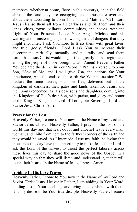members, whether at home, (here in this country), or in the field abroad, the land they are occupying and atmosphere over and about them according to John 14 : 14 and Matthew 7:21. Lord Jesus cleanse them all from all darkness and fill them and their lands, cities, towns, villages, communities, and homes, with the Light of Your Presence. Loose Your Angel Michael and his warring and ministering angels to war against all dangers that they might encounter. I ask You Lord to Bless them with great favor, and true, godly, friends. Lord I ask You to increase their discernment spiritually, mentally, and naturally, and send them forth, that Jesus Christ would be glorified greatly in that region and among the people of those foreign lands. Amen! Heavenly Father You declared the decree in Your Word in Psalms 2 verse 8 to Your Son, "Ask of Me, and I will give *You,* the nations *for* Your inheritance, And the ends of the earth *for* Your possession." We declare the same decree, souls set free, delivered out of the kingdom of darkness, their gates and lands taken for Jesus, and their souls redeemed, as His dear sons and daughters, coming into the Kingdom of God's dear Son, with praise, and glory and honor to the King of Kings and Lord of Lords, our Sovereign Lord and Savior Jesus Christ. Amen!

# **Prayer for the Lost**

Heavenly Father, I come to You now in the Name of my Lord and Savior Jesus Christ. Heavenly Father, I pray for the lost of the world this day and that fear, doubt and unbelief leave every man, woman, and child from here to the farthest corners of the earth and they would be saved. As I intercede, I use my faith, believing that thousands this day have the opportunity to make Jesus their Lord. I ask the Lord of the harvest to thrust the perfect laborers across these lives this day to share the good news of the Gospel in a special way so that they will listen and understand it, that it will touch their hearts. In the Name of Jesus, I pray. Amen.

# **Abiding In His Love Prayer**

Heavenly Father, I come to You now in the Name of my Lord and Savior Christ Jesus. Heavenly Father, I am abiding in Your Word, holding fast to Your teachings and living in accordance with them. It is my desire to be Your true disciple. Heavenly Father, because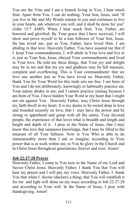You are the Vine and I am a branch living in You, I bear much fruit. Apart from You, I can do nothing. Your Son, Jesus, said "If you live in Me and My Words remain in you and continues to live in your hearts, ask whatever you will, and it shall be done for you" (John 15:7 AMP). When I bear much fruit, You, Father, are honored and glorified. By Your grace that I have received, I will show and prove myself to be a true follower of Your Son, Jesus. He has loved me, just as You, Father, have loved Him. I am abiding in that love. Heavenly Father, You have assured me that if I keep Your commandments, I will abide in Your love and live in it, just as Your Son, Jesus, obeyed Your commandments and lived in Your love. He told me these things, that Your joy and delight may be in me and that my joy and gladness may be full measure, complete and overflowing. This is Your commandment: that we love one another just as You have loved us. Heavenly Father, thank You for Your Word for this truth sets me free. I am born of You and I do not deliberately, knowingly or habitually practice sin. Your nature abides in me; and I cannot practice sinning because I am born of You. I have hidden Your Word in my heart that I might not sin against You. Heavenly Father, may Christ Jesus through my faith dwell in my heart. It is my desire to be rooted deep in love and founded securely on love, that I may have the power and be strong to apprehend and grasp with all the saints, Your devoted people, the experience of that love) what is breadth and length and height and depth of it. I pray in the Name of Jesus, that I may know this love that surpasses knowledge, that I may be filled to the measure of all Your fullness. Now to You Who is able to do immeasurably more than I ask or imagine, according to Your power that is at work within me, to You be glory in the Church and in Christ Jesus throughout generations, forever and ever. Amen!

#### **Job 22:27-28 Prayer**

Heavenly Father, I come to You now in the Name of my Lord and Savior Christ Jesus. Heavenly Father, I thank You that You will hear my prayer and I will pay my vows. Heavenly Father, I thank You that when I decree (declare) a thing; that You will establish it for me and light will shine on my ways according to Job 22:27-28 and according to Your will. In the Name of Jesus, I pray with thanksgiving. Amen!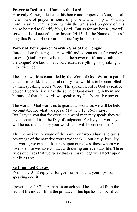# **Prayer to Dedicate a Home to the Lord**

Heavenly Father, I dedicate this home and property to You, it shall be a house of prayer, a house of praise and worship to You my Lord. May all that is done within the walls and property of this house be used to Glorify You, Lord. But as for my house , we will serve the Lord according to Joshua 24:15. In the Name of Jesus I pray this Prayer of dedication of our/my home. Amen.

### **Power of Your Spoken Words - Sins of the Tongue**

Introduction: the tongue is powerful and we can use it for good or for evil. (God's word tells us that the power of life and death is in the tongue) We know that God created everything by speaking it into existence.

The spirit world is controlled by the Word of God. We are a part of that spirit world. The natural or physical world is to be controlled by man speaking God's Word. The spoken word is God's creative power. Every believer has the spirit of God dwelling in them and because of that, the words we speak carry God's creative power!

The word of God warns us to guard our words as we will be held accountable for what we speak. Matthew 12: 36-37 says; But I say to you that for every idle word men may speak, they will give account of it in the Day of Judgment. For by your words you will be justified and by your words you will be condemned."

The enemy is very aware of the power our words have and takes advantage of the negative words we speak in our daily lives. By our words, we can speak curses upon ourselves, those whom we love or those we have contact with during our everyday life. Three types of curses that we speak that can have negative affects upon our lives are;

### **Self-imposed Curses**

Psalm 34:13 - Keep your tongue from evil, and your lips from speaking deceit.

Proverbs 18:20-21 - A man's stomach shall be satisfied from the fruit of his mouth; from the produce of his lips he shall be filled.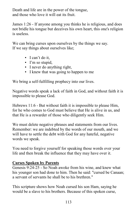Death and life are in the power of the tongue, and those who love it will eat its fruit.

James 1:26 - If anyone among you thinks he is religious, and does not bridle his tongue but deceives his own heart, this one's religion is useless.

We can bring curses upon ourselves by the things we say. If we say things about ourselves like;

- I can't do it,
- I'm so stupid,
- I never do anything right,
- I knew that was going to happen to me

We bring a self-fulfilling prophecy into our lives.

Negative words speak a lack of faith in God, and without faith it is impossible to please God.

Hebrews 11:6 - But without faith it is impossible to please Him, for he who comes to God must believe that He is alive in us, and that He is a rewarder of those who diligently seek Him.

We must delete negative phrases and statements from our lives. Remember: we are indebted by the words of our mouth, and we will have to settle the debt with God for any hateful, negative words we speak.

You need to forgive yourself for speaking those words over your life and then break the influence that they may have over it.

# **Curses Spoken by Parents**

Genesis 9:24-25 - So Noah awoke from his wine, and knew what his younger son had done to him. Then he said: "cursed be Canaan; a servant of servants he shall be to his brethren."

This scripture shows how Noah cursed his son Ham, saying he would be a slave to his brothers. Because of this spoken curse,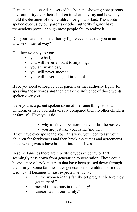Ham and his descendants served his bothers, showing how parents have authority over their children in what they say and how they mold the destinies of their children for good or bad. The words spoken over us by our parents or other authority figures have tremendous power, though most people fail to realize it.

Did your parents or an authority figure ever speak to you in an unwise or hurtful way?

Did they ever say to you;

- you are bad,
- you will never amount to anything.
- you are worthless,
- you will never succeed.
- you will never be good in school

If so, you need to forgive your parents or that authority figure for speaking those words and then break the influence of those words spoken over you.

Have you as a parent spoken some of the same things to your children, or have you unfavorably compared them to other children or family? Have you said;

- why can't you be more like your brother/sister,
- you are just like your father/mother.

If you have ever spoken to your this way, you need to ask your children for forgiveness and then break the curses and agreements those wrong words have brought into their lives.

In some families there are repetitive types of behavior that seemingly pass down from generation to generation. These could be evidence of spoken curses that have been passed down through the family. Some families have generations of children born out of wedlock. It becomes almost expected behavior.

- "all the women in this family get pregnant before they get married."
- mental illness runs in this family!!
- "cancer runs in our family,"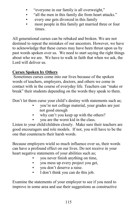- "everyone in our family is all overweight,"
- "all the men in this family die from heart attacks."
- every one gets divorced in this family
- **•** most people in this family get married three or four times.

All generational curses can be rebuked and broken. We are not destined to repeat the mistakes of our ancestors. However, we have to acknowledge that these curses may have been thrust upon us by past words spoken over us. We need to start saying the right things about who we are. We have to walk in faith that when we ask, the Lord will deliver us.

# **Curses Spoken by Others**

 Sometimes curses come into our lives because of the spoken words of teachers, employers, doctors, and others we come in contact with in the course of everyday life. Teachers can "make or break" their students depending on the words they speak to them.

Don't let them curse your child's destiny with statements such as;

- you're not college material, your grades are just not good enough
- why can't you keep up with the others?
- you are the worst kid in the class.

Listen to your child/children closely. Make sure their teachers are good encouragers and role models. If not, you will have to be the one that counteracts their harsh words.

Because employers wield so much influence over us, their words can have a profound effect on our lives. Do not receive in your heart negative statements of your abilities such as;

- you never finish anything on time,
- you mess up every project you get,
- you don't deserve a raise.
- I don't think you can do this job.

Examine the statements of your employer to see if you need to improve in some area and use their suggestions as constructive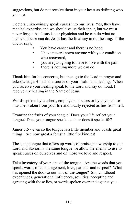suggestions, but do not receive them in your heart as defining who you are.

Doctors unknowingly speak curses into our lives. Yes, they have medical expertise and we should value their input, but we must never forget that Jesus is our physician and he can do what no medical doctor can do. Jesus has the final say in our healing. If the doctor says;

- You have cancer and there is no hope,
- I have never known anyone with your condition who recovered,
- you are just going to have to live with the pain
- there is nothing more we can do

Thank him for his concerns, but then go to the Lord in prayer and acknowledge Him as the source of your health and healing. When you receive your healing speak to the Lord and say out loud, I receive my healing in the Name of Jesus.

Words spoken by teachers, employers, doctors or by anyone else must be broken from your life and totally rejected as lies from hell.

Examine the fruits of your tongue! Does your life reflect your tongue? Does your tongue speak death or does it speak life?

James 3:5 - even so the tongue is a little member and boasts great things. See how great a forest a little fire kindles!

The same tongue that offers up words of praise and worship to our Lord and Savior, is the same tongue we allow the enemy to use to speak curses on ourselves and on those we love and respect.

Take inventory of your sins of the tongue. Are the words that you speak, words of encouragement, love, patients and respect? What has opened the door to our sins of the tongue? Sin, childhood experiences, generational influences, soul ties, accepting and agreeing with those lies, or words spoken over and against you.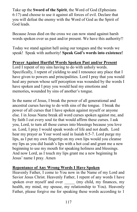Take up the **Sword of the Spirit**, the Word of God (Ephesians 6:17) and choose to use it against all forces of evil. Declare that you will defeat the enemy with the Word of God as the Spirit of God leads.

Because Jesus died on the cross we can now stand against harsh words spoken over us past and/or present. We have this authority!!

Today we stand against hell using our tongues and the words we speak! Speak with authority! **Speak God's words into existence!**

# **Prayer Against Hurtful Words Spoken Past and/or Present**

Lord I repent of my sins having to do with unholy words. Specifically, I repent of yielding to and I renounce any place that I have given to powers and principalities. Lord I pray that you would heal any person whose self perception was wounded by the words I have spoken and I pray you would heal my emotions and memories**,** wounded by sins of another's tongue.

In the name of Jesus, I break the power of all generational and ancestral curses having to do with sins of the tongue. I break the power of all curses that I have spoken against myself or anyone else. I in Jesus Name break all word curses spoken against me, and by faith I cut every soul tie that would affirm these curses. I ask you, Lord, to turn all those curses into blessings because you love us. Lord, I pray I would speak words of life and not death. Lord hear my prayer as Your word said in Isaiah 6:5-7. Lord purge my lips, as I put my own fingertip on my own lips would you cleanse my lips as you did Isaiah's lips with a hot coal and grant me a new beginning to use my mouth for speaking holiness and blessings. And now Lord, as I touch my lips grant me a new beginning In Jesus' name I pray. Amen

# **Repentance of Any Wrong Words I Have Spoken**

Heavenly Father, I come to You now in the Name of my Lord and Savior Jesus Christ. Heavenly Father, I repent of any words I have spoken over myself and over  $\qquad \qquad$  (my child, my finances, my health, my mind, my spouse, my relationship to You). Heavenly Father, please forgive me for speaking these words according to 1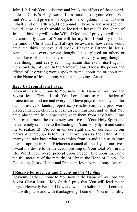John 1:9. I ask You to destroy and break the effects of these words in Jesus Christ's Holy Name. I am standing on your Word. You said You would give me the Keys to the Kingdom, that whatsoever I shall bind on earth would be bound in heaven and whatsoever I would loose on earth would be loosed in heaven. In the Name of Jesus, I bind my will to the Will of God, and I pray you will make me constantly aware of Your will for my life. I bind my mind to the mind of Christ that I will always be aware of how Jesus would have me think, believe and speak. Heavenly Father, in Jesus' Name, I loose every wrong thought I have placed on others or others have placed into my mind. I loose every wrong thought I have thought and every evil imagination that exalts itself against the knowledge of God. In the Name of Jesus, I loose the power and effects of any wrong words spoken to me, about me or about me. In the Name of Jesus, I pray with thanksgiving. Amen!

### **Keep Us From Harm Prayer**

Heavenly Father, I come to You now in the Name of my Lord and Savior Jesus Christ. I ask You Lord Jesus to put a hedge of protection around me and everyone I have prayed for today and for our homes, cars, lands, properties, (vehicles,) animals, pets, work places, finances, churches, businesses, ministries, and all that You have placed me in charge over, keep them from any harm. Lord God, cause me to be extremely sensitive to Your Holy Spirit and be extremely sensitive to the leading of Your Holy Spirit and cause me to realize it! Protect us on our right and on our left, be our rearward guard, go before us that we possess the gates of the enemy and take back what was stolen from us and help us to learn to walk upright in Your Righteous council all the days of our lives. I want my desire to be the accomplishing of Your total Will in my life, Word upon Word, precept upon precept, line upon line, unto the full measure of the maturity of Christ, the Hope of Glory. To God be the Glory, Honor and Praise, in Jesus Name I pray. Amen!

# **I Receive Forgiveness and Cleansing For My Sins**

Heavenly Father, I come to You now in the Name of my Lord and Savior Christ Jesus. Holy Spirit I pray that You will lead me in prayer. Heavenly Father, I bow and worship before You. I come to You with praise and with thanksgiving. I come to You in humility,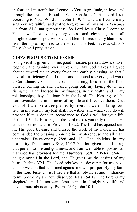in fear, and in trembling. I come to You in gratitude, in love, and through the precious Blood of Your Son Jesus Christ. Lord Jesus according to Your Word in 1 John 1 : 9, You said if I confess my sins You are faithful and just to forgive me of my sins *and cleanse me* from ALL unrighteousness. So Lord Jesus Christ I come to You now, I receive my forgiveness and cleansing from all unrighteousness: spot, wrinkle and blemish free, totally blameless, from the top of my head to the soles of my feet, in Jesus Christ's Holy Name I pray. Amen.

# **GOD'S PROMISE TO BLESS ME**

As I give, it is given unto me, good measure, pressed down, shaken together, and running over. Luke 6:38. My God makes all grace abound toward me in every favor and earthly blessing, so that I have all sufficiency for all things and I abound to every good work. 2 Corinthians 9:8. I am blessed in the city, blessed in the field, blessed coming in, and blessed going out, my laying down, my rising up. I am blessed in my finances, in my health, and in my relationships; they all flourish in the Lord. The blessings of the Lord overtake me in all areas of my life and I receive them. Deut 28:1-14. I am like a tree planted by rivers of water. I bring forth fruit in my season, my leaf shall not wither, and whatever I do will prosper if it is done in accordance to God's will for your life. Psalms 1:3. The blessings of the Lord makes you truly rich, and He adds no sorrow with it. Proverbs 10:22. The Lord has opened unto me His good treasure and blessed the work of my hands. He has commanded the blessing upon me in my storehouse and all that I undertake. Deuteronomy 28:8 and 12. God delights in my prosperity. Deuteronomy 8:18, 11:12 God has given me all things that pertain to life and godliness, and I am well able to possess all that God has provided for me. Numbers 13:30, 2 Peter 1:3-4. I delight myself in the Lord, and He gives me the desires of my heart. Psalms 37:4. The Lord rebukes the devourer for my sake, and no weapon that is formed against me will prosper. By my faith in the Lord Jesus Christ I declare that all obstacles and hindrances to my prosperity are now dissolved, Isaiah 54:17. The Lord is my shepherd, and I do not want. Jesus came that I might have life and have it more abundantly. Psalms 23:1; John 10:10.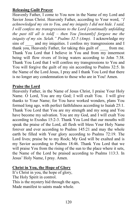# **Releasing Guilt Prayer**

Heavenly Father, I come to You now in the Name of my Lord and Savior Jesus Christ. Heavenly Father, according to Your word, *"I acknowledged my sin to You, and my iniquity I did not hide. I said, I will confess my transgressions to the Lord [continually unfolding the past till all is told] – then You [instantly] forgave me the iniquity of my sin. Selah." Psalms 32:5 (Amp).* I acknowledge my sins of and my iniquities. I confess my transgressions and I and my iniquities. I confess my transgressions and I thank you, Heavenly Father, for taking this guilt of \_\_\_\_ from me. Thank You Lord that I believe in You and from my innermost being will flow rivers of living waters according to John 7:38. Thank You Lord that I will confess my transgressions to You and You will forgive the guilt of my sin according to Psalms 32:5. In the Name of the Lord Jesus, I pray and I thank You Lord that there is no longer any condemnation to those who are in You! Amen.

# **Praise the Lord**

Heavenly Father, in the Name of Jesus Christ, I praise Your Holy Name. O Lord, You are my God; I will exalt You. I will give thanks to Your Name; for You have worked wonders, plans You formed long ago, with perfect faithfulness according to Isaiah 25:1. Thank You Lord that You are my strength and my song and You have become my salvation. You are my God, and I will exalt You according to Exodus 15:2-3. Thank You Lord that our mouths will speak the praise of the Lord, all flesh will bless Your Holy Name forever and ever according to Psalms 145:21 and may the whole earth be filled with Your glory according to Psalms 72:19. The Lord lives; praise be to my Rock; My God will be exalted and is my Savior according to Psalms 18:46. Thank You Lord that we will praise You from the rising of the sun to the place where it sets, the Name of the Lord be praised according to Psalms 113:3. In Jesus' Holy Name, I pray. Amen.

# **Christ in You, the Hope of Glory**

It's Christ in you, the hope of glory, The Holy Spirit in control. This is the mystery hid through the ages, Made manifest to saints made whole.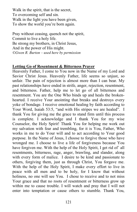Walk in the spirit, that is the secret, To overcoming self and sin. Walk in the light you have been given, To show the world you're born again.

Pray without ceasing, quench not the spirit, Commit to live a holy life. Be strong my brothers, in Christ Jesus, And in the power of His might. *©Gwen R. Burton – used here by permission* 

### **Letting Go of Resentment & Bitterness Prayer**

Heavenly Father, I come to You now in the Name of my Lord and Savior Christ Jesus. Heavenly Father, life seems so unjust, so unfair. The pain of rejection is almost more than I can bear. My past relationships have ended in strife, anger, rejection, resentment, and bitterness. Father, help me to let go of all bitterness and resentment. You are the One Who binds up and heals the brokenhearted. I receive Your anointing that breaks and destroys every yoke of bondage. I receive emotional healing by faith according to Your Word, Isaiah 53:5, "and with His stripes we are healed". I thank You for giving me the grace to stand firm until this process is complete. I acknowledge and I thank You for my wise Counselor, the Holy Spirit! Thank You for helping me work out my salvation with fear and trembling, for it is You, Father, Who works in me to do Your will and to act according to Your good purpose. In the Name of Jesus, I choose to forgive those who have wronged me. I choose to live a life of forgiveness because You have forgiven me. With the help of the Holy Spirit, I get rid of all resentments, bitterness, rage, anger, brawling, and slander, along with every form of malice. I desire to be kind and passionate to others, forgiving them, just as through Christ, You forgave me. With the help of the Holy Spirit, I make every effort to live in peace with all men and to be holy, for I know that without holiness, no one will see You. I chose to receive and to not miss Your grace and that no roots of resentment or bitterness grow up within me to cause trouble. I will watch and pray that I will not enter into temptation or cause others to stumble. Thank You,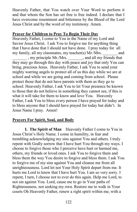Heavenly Father, that You watch over Your Word to perform it and that whom the Son has set free is free indeed. I declare that I have overcome resentment and bitterness by the Blood of the Lord Jesus Christ and by the word of my testimony. Amen.

# **Prayer for Children to Pray To Begin Their Day**

Heavenly Father, I come to You in the Name of my Lord and Savior Jesus Christ. I ask You to forgive me for anything thing that I have done that I should not have done. I pray today for all my family, all my classmates, my teacher(s)  $Mr/Mrs$ . and \_\_\_\_\_\_\_ , my principle Mr./Mrs. \_\_\_\_\_\_\_, and all my friends that they may go through this day with peace and joy that only You can bring, precious Jesus. Heavenly Father, I ask You to send your mighty warring angels to protect all of us this day while we are at school and while we are going and coming from school. Please protect those that do not have parents with them as they go to school. Heavenly Father, I ask You to let Your presence be known to those that do not believe in something they cannot see, if this is what it will take for them to know and love You. Heavenly Father, I ask You to bless every person I have prayed for today and to bless anyone that I should have prayed for today but didn't. In Jesus Name I pray. Amen!

### **Prayers For Spirit, Soul, and Body**

**I. The Spirit of Man** Heavenly Father I come to You in Jesus Christ's Holy Name. I come in humility, in fear and trembling acknowledging my sins against You and others. I truly repent with Godly sorrow that I have hurt You through my ways. I choose to forgive those who I perceive have hurt or harmed me, others, my friends or loved ones. I ask You to forgive them and bless them the way You desire to forgive and bless them. I ask You to forgive me of my sins against You and cleanse me from all unrighteousness. Lord let not Your Holy Spirit depart from me. It hurts me Lord to know that I have hurt You. I am so very sorry. I repent, I turn, I choose not to ever do this again. Help me Lord, to not sin against You. Lord, cause me to go in Your paths of Righteousness, not seeking my own. Restore me to walk in Your courts Oh Heavenly Father, renew a right spirit within me, with a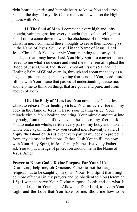right heart, a contrite and humble heart, to know You and serve You all the days of my life. Cause me Lord to walk on the High places with You!

**II. The Soul of Man.** I command every high and lofty thought, vain imagination, every thought that exalts itself against You Lord to come down now to the obedience of the Mind of Christ in me. I command these thoughts to cease their laboring(s) in the Name of Jesus. Soul be still in the Name of Jesus! Lord Jesus Christ I ask You to supply Your anointing to destroy all bondages that I may have. I ask You Holy Spirit to convict me and reveal to me what You desire and need me to be free of. I plead the Blood of Jesus Christ, the Blood Covenant, Psalms 91, and the Healing Balm of Gilead over, in, through and about me today as a hedge of protection against anything that is not of You, Lord. Lord, fill me with Your peace that passes all understanding, cause me, and help me to think on things that are good, and pure, and from above (of You).

**III. The Body of Man.** I ask You now in the Name Jesus Christ to release Y**our healing virtue,** Your miracle virtue into my body in the Name of Jesus; release Your healing virtue, Your miracle virtue, Your healing anointing, Your miracle anointing into my body, from the top of my head to the soles of my feet. I ask You to make me whole, restore every part of my body and make it whole once again in the way you created me. Heavenly Father, I **apply the Blood of Jesus** over every part of my body to protect it from any disease or infections. Father, I ask You to fill me now with Your Holy Spirit, in Jesus' Holy Name. Heavenly Father, I ask You to put a hedge of protection around me in the Name of Jesus. Amen.

### **Prayer to Know God's Divine Purpose For Your Life**

Dear Lord, help me, oh Gracious Father to not be caught up in religion, but to be caught up in spirit; Your Holy Spirit that I might be more effectual in my prayers and be obedient to You (Jeremiah 1:5). I want to serve Your Divine purpose, Lord; and do what is good and right in Your sight. Allow me, Dear Lord, to live in Your Light and the Love that You have for me. Show me how to be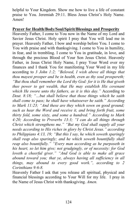helpful to Your Kingdom. Show me how to live a life of constant praise to You. Jeremiah 29:11. Bless Jesus Christ's Holy Name. Amen!

#### **Prayer for Health/Body/Soul/Spirit/Blessings and Prosperity**

Heavenly Father, I come to You now in the Name of my Lord and Savior Jesus Christ. Holy spirit I pray that You will lead me in prayer. Heavenly Father, I bow and worship before You. I come to You with praise and with thanksgiving. I come to You in humility, in fear, and in trembling. I come to You in gratitude, in love, and through the precious Blood of Your Son Jesus Christ. Heavenly Father, in Jesus Christ Holy Name, I pray Your Word over my finances and I thank You for manifesting Your Word in my life according to *3 John 1:2; "Beloved, I wish above all things that thou mayest prosper and be in health, even as thy soul prospereth; "But thou shall remember the Lord thy God: for it is He that giveth thee power to get wealth, that He may establish His covenant which He swore unto thy fathers, as it is this day."* According to *Deut. 8:18; "…but shall believe that those things which he saith shall come to pass; he shall have whatsoever he saith." According to Mark 11:23; "And these are they which sown on good ground; such as hear the Word and receive it, and bring forth fruit, some thirty fold, some sixty, and some a hundred." According to Mark 4:20; According to Proverbs 13:3; "I can do all things through Christ which strengthens me." "But my God shall supply all your needs according to His riches in glory by Christ Jesus." according to Philippians 4:13, 19; "But this I say, he which soweth sparingly shall reap also sparingly; and he which soweth bountifully shall reap also bountifully." "Every man according as he purposeth in his heart, so let him give; not grudgingly, or of necessity: for God loveth a cheerful giver." "And God is able to make all grace abound toward you; that ye, always having all sufficiency in all things, may abound to every good work.", according to 2 Corinthians 9:6-8.* 

Heavenly Father I ask that you release all spiritual, physical and financial blessings according to Your Will for my life. I pray in the Name of Jesus Christ with thanksgiving. *Amen.*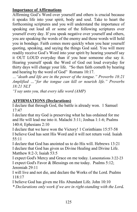# **Importance of Affirmations**

Affirming God's Word over yourself and others is crucial because it speaks life into your spirit, body and soul. Take to heart the forthcoming scriptures and you will understand the importance of speaking out loud all or some of the following scriptures over yourself every day. If you speak negative over yourself and others, you are speaking the words of the enemy and those words will hold you in bondage. Faith comes more quickly when you hear yourself quoting, speaking, and saying the things God said. You will more readily receive God's Word into your spirit by hearing yourself say it OUT LOUD everyday than if you hear someone else say it. Hearing yourself speak the Word of God out loud everyday for thirty days will change your life. "So then faith cometh by hearing and hearing by the word of God" Romans 10:17.

*…"death and life are in the power of the tongue." Proverbs 18:21 Amplified …"for the tongue can kill or nourish life." Proverbs 18:21 NLT* 

*"I say unto you, that every idle word (AMP)* 

# **AFFIRMATIONS (Declarations)**

I declare that through God, the battle is already won. 1 Samuel 17:47

I declare that my God is preserving what he has ordained for me and He will lead me into it. Malachi 3:11; Joshua 1:1-6; Psalms 140:4; Ephesians 2:10

I declare that we have won the Victory! 1 Corinthians 15:57-58 I believe God has sent His Word and it will not return void. Isaiah  $55 \cdot 11$ 

I declare that God has anointed us to do His will. Hebrews 13:21 I declare that God has given us Divine Healing and Divine Life. Matthew 8:2-3; Isaiah 53:5

I expect God's Mercy and Grace on me today. Lamentations 3:22-23 I expect God's Favor & Blessings on me today. Psalms 5:12; Jeremiah 29:11

I will live and not die, and declare the Works of the Lord. Psalms 118:17

I believe God has given me His Abundant Life. John 10:10

*\* Declarations only work if we are in right-standing with the Lord.*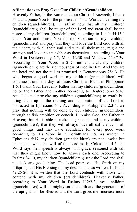### **Affirmations to Pray Over Our Children/Grandchildren**

Heavenly Father, in the Name of Jesus Christ of Nazareth; I thank You and praise You for the promises in Your Word concerning my children (grandchildren). I affirm now that all my children (grandchildren) shall be taught of the Lord and great shall be the peace of my children (grandchildren) according to Isaiah 54:13 I thank You and praise You for the Salvation of my children (grandchildren) and pray that they will love the Lord God with all their heart, with all their soul and with all their mind, might and strength and love their neighbor as themselves; according to Your Word in Deuteronomy 6:5, Mark 12:30 and Matthew 22:37-39. According to Your Word in 2 Corinthians 5:21, my children (grandchildren) are the righteousness of God in Him. And they are the head and not the tail as promised in Deuteronomy 28:13. He who began a good work in my children (grandchildren) will continue it until the days of Jesus Christ, as found in Philippians 1:6. I thank You, Heavenly Father that my children (grandchildren) honor their father and mother according to Deuteronomy 5:16. And I do not provoke my children (grandchildren) to wrath but bring them up in the training and admonition of the Lord as instructed in Ephesians 6:4. According to Philippians 2:3-4, we pray that nothing will be done by our children (grandchildren) through selfish ambition or conceit. I praise God, the Father in Heaven; that He is able to make all grace abound to my children (grandchildren), that they will always have all sufficiency in all good things, and may have abundance for every good work according to His Word in 2 Corinthians 9:8. As written in Ephesians 5:17, my children (grandchildren) are not unwise but understand what the will of the Lord is. In Colossians 4:6, the Word says their speech is always with grace, seasoned with salt that they might know how to answer each one. According to Psalms 34:10, my children (grandchildren) seek the Lord and shall not lack any good thing. The Lord pours out His Spirit on my offspring and His Blessing on my descendants as written. In Isaiah 49:25-26, it is written that the Lord contends with those who contend with my children (grandchildren). Heavenly Father, according to Your Word in Psalms 112:2-3; my children (grandchildren) will be mighty on this earth and the generation of the upright will be Blessed and the Lord gives me increase more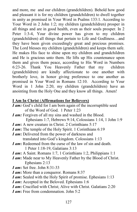and more, me and our children (grandchildren). Behold how good and pleasant it is for my children (grandchildren) to dwell together in unity as promised in Your Word in Psalms 133:1. According to Your Word in 2 John 1:2; my children (grandchildren) prosper in all things and are in good health, even as their souls prosper. In 2 Peter 1:3-4, Your divine power has given to my children (grandchildren) all things that pertain to Life and Godliness…and they have been given exceedingly great and precious promises. The Lord blesses my children (grandchildren) and keeps them safe. He makes His face to shine upon my children and grandchildren and He is gracious unto them. He lifts up His countenance upon them and gives them peace, according to His Word in Numbers 6:23-26. Thank You Heavenly Father that my children (grandchildren) are kindly affectionate to one another with brotherly love, in honor giving preference to one another as promised in Your Word in Romans 12:10. According to Your Word in 1 John 2:20, my children (grandchildren) have an anointing from the Holy One and they know all things. Amen!

### **I Am In Christ** (**Affirmations for Believers)**

- *I am:* God's child for I am born again of the incorruptible seed of the Word of God. 1 Peter 1:23
- *I am:* Forgiven of all my sins and washed in the Blood. Ephesians 1:7, Hebrews 9:14, Colossians 1:14, 1 John 1:9
- *I am***:** A new creature in Christ. 2 Corinthians 5:17
- *I am***:** The temple of the Holy Spirit. 1 Corinthians 6:19
- *I am***:** Delivered from the power of darkness and translated into God's kingdom. Colossians 1:13
- *I am***:** Redeemed from the curse of the law of sin and death. 1 Peter 1:18-19, Galatians 3:13
- *I am***:** A Saint. Romans 1:7, 1 Corinthians 1:2, Philippians 1:1
- *I am***:** Made near to My Heavenly Father by the Blood of Christ. Ephesians 2:13
- *I am***:** Set free. John 8:31-33
- *I am***:** More than a conqueror. Romans 8:37
- *I am***:** Sealed with the Holy Spirit of promise. Ephesians 1:13
- *I am***:** Accepted in the Beloved. Ephesians 1:6
- *I am***:** Crucified with Christ; Alive with Christ. Galatians 2:20
- *I am***:** Free from condemnation. John 5:2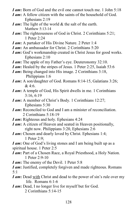- *I am***:** Born of God and the evil one cannot touch me. 1 John 5:18
- *I am***:** A fellow citizen with the saints of the household of God. Ephesians 2:19
- *I am***:** The light of the world & the salt of the earth. Matthew 5:13-14
- *I am***:** The righteousness of God in Christ. 2 Corinthians 5:21; 1 Peter 2:24
- *I am***:** A partaker of His Divine Nature. 2 Peter 1:4
- *I am***:** An ambassador for Christ. 2 Corinthians 5:20
- *I am***:** God's workmanship created in Christ Jesus for good works. Ephesians 2:10
- *I am***:** The apple of my Father's eye. Deuteronomy 32:10.
- *I am***:** Healed by the stripes of Jesus. 1 Peter 2:25, Isaiah 53:6
- *I am***:** Being changed into His image. 2 Corinthians 3:18, Philippians 1:6
- *I am***:** A son/daughter of God. Romans 8:14-15, Galatians 3:26;  $& 4.6.$
- *I am***:** A temple of God, His Spirit dwells in me. 1 Corinthians 3:16, 6:19
- *I am***:** A member of Christ's Body. 1 Corinthians 12:27; Ephesians 5:30
- *I am***:** Reconciled to God and I am a minister of reconciliation. 2 Corinthians 5:18-19
- *I am***:** Righteous and holy. Ephesians 4:24
- *I am***:** A citizen of Heaven and seated in Heaven positionally, right now. Philippians 3:20, Ephesians 2:6
- *I am***:** Chosen and dearly loved by Christ. Ephesians 1:4; 1 Peter 2:9;
- *I am***:** One of God's living stones and I am being built up as a spiritual house. 1 Peter 2:5
- *I am***:** Part of a Chosen Race, a Royal Priesthood, a Holy Nation. 1 Peter 2:9-10
- *I am***:** The enemy of the Devil. 1 Peter 5:8
- *I am***:** Justified, completely forgiven and made righteous. Romans 5:1
- *I am***:** Dead with Christ and dead to the power of sin's rule over my life. Romans 6:1-6
- *I am***:** Dead, I no longer live for myself but for God. 2 Corinthians 5:14-15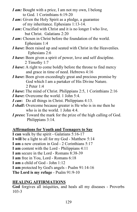- *I am:* Bought with a price, I am not my own, I belong to God. 1 Corinthians 6:19-20
- *I am***:** Given the Holy Spirit as a pledge, a guarantee of my inheritance. Ephesians 1:13-14.
- *I am***:** Crucified with Christ and it is no longer I who live, but Christ. Galatians 2:20
- *I am***:** Chosen in Christ before the foundation of the world. Ephesians 1:4
- *I have***:** Been raised up and seated with Christ in the Heavenlies. Ephesians 2:6
- *I have***:** Been given a spirit of power, love and self discipline. 2 Timothy 1:7
- *I have***:** A right to come boldly before the throne to find mercy and grace in time of need. Hebrews 4:16
- *I have***:** Been given exceedingly great and precious promise by God which I am a partaker of His Divine Nature. 2 Peter 1:4
- *I have***:** The mind of Christ. Philippians 2:5, 1 Corinthians 2:16
- *I have***:** Overcome the world. 1 John 5:4.
- *I can***:** Do all things in Christ. Philippians 4:13.
- *I shall***:** Overcome because greater is He who is in me then he who is in the world. 1 John 4:4.
- *I press***:** Toward the mark for the prize of the high calling of God. Philippians 3:14.

# **Affirmations for Youth and Teenagers to Say**

**I can** walk by the spirit - Galatians 5:16-17

- **I will** be a light to all for my God Matthew 5:14
- **I am** a new creation in God 2 Corinthians 5:17
- **I am** content with the Lord Philippians 4:11
- **I am** secure in the Lord Romans 8:38-39
- **I am** free in You, Lord Romans 6:18
- **I am** a child of God John 1:12
- **I am** protected by God's angels Psalm 91:14-16
- **The Lord is my refuge** Psalm 91:9-10

# **HEALING AFFIRMATIONS**

**God** forgives all iniquities, and heals all my diseases - Proverbs 103-3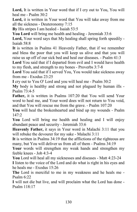Lord, It is written in Your word that if I cry out to You, You will heal me - Psalm 30:2

**Lord,** it is written in Your word that You will take away from me all the sickness - Deuteronomy 7:15

**By** His stripes I am healed - Isaiah 53:5

**You Lord** will bring me health and healing - Jeremiah 33:6

**Lord,** Your word says that My healing shall spring forth speedily - Isaiah 58:8

**It** is written in Psalms 41 Heavenly Father, that if we remember and bless the poor that you will keep us alive and that you will raise us up off of our sick bed and heal our diseases. - Psalm 41:3

**Lord** You said that if I departed from evil and I would have health to my flesh, and strength to my bones - Proverbs 3:7-8

**Lord** You said that if I served You, You would take sickness away from me - Exodus 23:25

**I** cry out to You O' Lord and you will heal me - Psalm 30:2

**My** body is healthy and strong and not plagued by human ills - Psalm 73:4-5

**Father,** it is written in Psalms 107:20 that You will send Your word to heal me, and Your word does will not return to You void, and that You will rescue me from the grave. - Psalm 107:20

**You** will heal the brokenhearted and bind up my wounds - Psalm 147:2

**You** Lord will bring me health and healing and I will enjoy abundant peace and security - Jeremiah 33:6

**Heavenly Father,** it says in Your word in Malachi 3:11 that you will rebuke the devourer for my sake - Malachi 3:11

**It** is written in Psalms 34:19 that the afflictions of the righteous are many, but You will deliver us from all of them - Psalms 34:19

**Your** words will strengthen my weak hands and strengthen my feeble knees - Job 4:3-4

**You** Lord will heal all my sicknesses and diseases - Matt 4:23-24 **I** listen to the voice of the Lord and do what is right in his eyes and he heals me - Exodus 15:26

**The** Lord is merciful to me in my weakness and he heals me - Psalm 6:22

**I** will not die but live, and will proclaim what the Lord has done - Psalm 118:17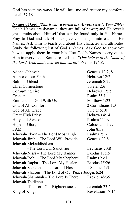**God** has seen my ways. He will heal me and restore my comfort - Isaiah 57:18

**Names of God** *(This is only a partial list. Always refer to Your Bible)* God's Names are dynamic; they are full of power; and He reveals great truths about Himself that can be found only in His Names. Pray to God and ask Him to give you insight into each of His Names. Ask Him to teach you about His character and attributes. Study the following list of God's Names. Ask God to show you how to apply them in your life. Use God's Names to cry out to Him in every need. Scriptures tells us. *"Our help is in the Name of the Lord, Who made heaven and earth."* Psalms 124:8.

| Adonai-Jehovah                                     | Genesis 12:2, 8   |
|----------------------------------------------------|-------------------|
| Author of our Faith                                | Hebrews 12:2      |
| Balm of Gilead                                     | Jeremiah 8:22     |
| <b>Chief Cornerstone</b>                           | 1 Peter 2:6       |
| Consuming Fire                                     | Hebrews 12:29     |
| Creator                                            | Psalm 33:1        |
| Emmanuel – God With Us                             | Matthew 1:23      |
| God of All Comfort                                 | 2 Corinthians 1:3 |
| God of All Grace                                   | 1 Peter 5:10      |
| <b>Great High Priest</b>                           | Hebrews 4:14      |
| Holy and Awesome                                   | Psalms 111:9      |
| Hope of Glory                                      | Colossians 1:27   |
| I AM                                               | John 8:58         |
| Jehovah-Elyon – The Lord Most High                 | Psalms $7:17$     |
| Jehovah-Jireh - The Lord Will Provide              | Genesis 22:8      |
| Jehovah-Mekaddishkem                               |                   |
| -The Lord Our Sanctifier                           | Leviticus 20:8    |
| Jehovah-Nissi – The Lord My Banner                 | Exodus 17:15      |
| Jehovah-Rohi - The Lord My Shepherd                | Psalms 23:1       |
| Jehovah-Rapha - The Lord My Healer                 | Exodus 15:26      |
| Jehovah-Sabaoth – The Lord of Hosts                | 1 Samuel $1:3$    |
| Jehovah-Shalom – The Lord of Our Peace Judges 6:24 |                   |
| Jehovah-Shammah - The Lord Is There                | Ezekiel 48:35     |
| Jehovah-Tsidkenu                                   |                   |
| – The Lord Our Righteousness                       | Jeremiah 23:6     |
| King of Kings                                      | Revelation 17:14  |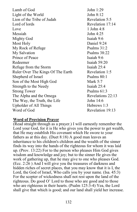Lamb of God John 1:29 Light of the World John 8:12 Lion of the Tribe of Judah Revelation 5:5 Lord of lords Revelation 17:14 Love  $1$  John  $4.8$ Messiah John 4:25 Mighty God Isaiah 9:6 Most Holy Daniel 9:24 My Rock of Refuge Psalms 31:2 My Salvation Psalms 38:22 Prince of Peace Isaiah 9:6 Redeemer Isaiah 59:20 Refuge from the Storm Isaiah 25:4 Ruler Over The Kings Of The Earth Revelation 1:5 Shepherd of Israel Psalms 80:1 Son of the Most High God Mark 5:7 Strength to the Needy Isaiah 25:4 Strong Tower Psalms 61:3 The Alpha and the Omega Revelations 22:13 The Way, the Truth, the Life John 14:6 Upholder of All Things Hebrews 1:3 Word of God Revelation 19:13

### **Word of Provision Prayer**

(Read straight through as a prayer.) I will earnestly remember the Lord your God, for it is He who gives you the power to get wealth, that He may establish His covenant which He swore to your fathers as at this day. (Duet 8:18) A good man leaves an inheritance to his children's children and the wealth of the sinner finds its way into the hands of the righteous for whom it was laid up. (Prov. 13:22) For to the person who pleases Him God gives wisdom and knowledge and joy; but to the sinner He gives the work of gathering up, that he may give to one who pleases God. (Ecc. 2:26 ) And I will give you the treasures of darkness and hidden riches of secret places, that you may know that it is I, the Lord, the God of Israel, Who calls you by your name. (Isa. 45:3) For the scepter of wickedness shall not rest upon the land of the righteous. Do good O' Lord to those who are good and to those who are righteous in their hearts. (Psalm 125:3-4) Yea, the Lord shall give that which is good; and our land shall yield her increase.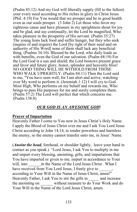(Psalm 85:12) And my God will liberally supply (fill to the fullest) your every need according to His riches in glory in Christ Jesus. (Phil. 4:19) For You would that we prosper and be in good health even as our souls prosper.  $(3 \text{ John } 2)$  Let those who favor my righteous cause and have pleasure in my uprightness shout for joy and be glad, and say continually, let the Lord be magnified, Who takes pleasure in the prosperity of His servant. (Psalm 35:27) The young lions lack food and suffer hunger, but they who seek (inquire of and require) the Lord [by right of their need and on authority of His Word] none of them shall lack any beneficial thing. (Psalms 34:10) Blessed be the Lord, who daily loads us with benefits, even the God of our salvation. (Psalm 68:19) For the Lord God is a sun and shield; the Lord bestows present grace and favor and future glory, honor, splendor and heavenly bliss! NO GOOD THING WILL HE WITHOLD FROM THOSE WHO WALK UPRIGHTLY. (Psalm 84:11) Then the Lord said to me, "You have seen well, for I am alert and active, watching over My word to perform it. (Jeremiah 1:12) I will cry to God Most High, Who performs on my behalf and rewards me, Who brings to pass His purposes for me and surely completes them. (Psalm 57:2) The Lord will perfect that which concerns me. (Psalm 138:8)

# *OUR GOD IS AN AWESOME GOD***!**

### **Prayer of Impartation**

Heavenly Father I come to You now in Jesus Christ's Holy Name. I apply the Blood of Jesus Christ over me and I ask You Lord Jesus Christ according to John 14:14, to render powerless and harmless the enemy, so the enemy cannot transfer onto me, in Jesus' Name.

(*Anoint the head*, forehead, or shoulder lightly, leave your hand in contact as you speak.) "Lord Jesus, I ask You to multiply in me and impart every blessing, anointing, gifts, and impartations that You have imparted or given to me, impart in accordance to Your will, into  $\qquad$  in the Name of the Lord Jesus Christ . What I have received from You Lord Jesus, I freely give to according to Your Will in the Name of Jesus Christ, amen!" Heavenly Father, I ask You to stir the gifts in and increase the anointing on without measure to do Your Work and do Your Will in the Name of the Lord Jesus Christ, amen.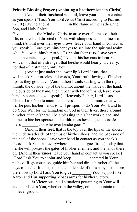# **Priestly Blessing Prayer (Anointing a brother/sister in Christ)**

(Anoint their **forehead** with oil, leave your hand in contact as you speak.) "I ask You Lord Jesus Christ according to Psalms 92:10 (KJV) to anoint in the Name of the Father, the Son, and Holy Spirit."

Give the Mind of Christ to arise over all areas of their life, ordered and directed of You, with sharpness and alertness of mind, (Anoint over their **eye**s brows, leave your hand in contact as you speak.) "Lord give him/her eyes to see into the spiritual realm what You want him/her to see." (Anoint their **ears,** leave your hand in contact as you speak.) "Anoint his/her ears to hear Your Voice, not that of a stranger, that he/she would hear you clearly, not that of a stranger, only You!"

(Anoint just under the lower lip.) Lord Jesus, that \_\_\_\_\_\_ will speak Your oracles and words, Your truth flowing off his/her lips as they go today. (Anoint their **hands** starting with the right thumb, the outside top of the thumb, anoint the inside of the hand, the outside of the hand, then repeat with the left hand, leave your hand in contact as you speak.) "Heavenly Father, Lord Jesus Christ, I ask You to anoint and bless \_\_\_\_\_\_\_\_'s **hands** that what he/she puts his/her hands to will prosper, to do Your Work and to do Your Will for the Kingdom of God in their lives, those around him/her, that he/she will be a blessing in his/her work place, and home, to his/ her spouse, and children, as he/she goes. Lord Jesus bless too, wherever he/she goes!"

(Anoint their **feet,** that is the top over the tips of the shoes, the underneath side of the tips of his/her shoes, and the backside of the heel of the shoes, leave your hand in contact as you speak.) "Lord I ask You that everywhere \_\_\_\_\_\_\_\_ goes(trods) today that he/she will possess the gates of his/her enemies, and the lands there of. (Anoint their **knees**, leave your hand in contact as you speak.) "Lord I ask You to anoint and keep \_\_\_\_\_\_\_\_ centered in Your paths of Righteousness, guide him/her and direct him/her all the days of his/her life." (Touch the underside of the **arms,** just before the elbows.) Lord I ask You to give Your support like Aaron and Hur supporting Moses arms for his/her victory.

is Victorious in all situations pertaining to Your will and their life in You, whether in the valley, on the mountain top, or on level ground!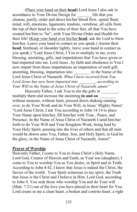(Place your hand on their **head**) Lord Jesus I also ask in accordance to Your Divine Design for life that you cleanse, purify, order and direct his/her blood flow, spinal fluid, mind, will, emotions, ligaments, tendons, vertebrae, all cells from the top of their head to the soles of their feet, all that You have created her/him to "be", with Your Divine Order and Health for their life! (Keep your hand over his/her **head**, ask the Lord to bless him/her. Leave your hand in contact as you speak.) Anoint their **head**, forehead, or shoulder lightly, leave your hand in contact as you speak.) "Lord Jesus Christ, I You to multiply in me, every blessing, anointing, gifts, and impartations that You have given or had imparted into me. Lord Jesus , by faith and obedience to You I now impart from those impartations an impartation of each gift, anointing, blessing, impartation into \_\_\_\_\_\_\_\_ in the Name of the Lord Jesus Christ of Nazareth. *What I have received from You Lord Jesus has now been imparted into \_\_\_\_\_\_\_\_, according to Your Will in the Name of Jesus Christ of Nazareth, amen!"*

Heavenly Father, I ask You to stir the gifts in \_\_\_\_\_\_\_, multiply them and increase the anointing **in and on** without measure, without limit, pressed down shaking running over, to do Your Work and do Your Will, in Jesus' Mighty Name! "Lord Jesus Christ, I ask You according to John 14:14 to place Your Name upon him/her, fill him/her with Your , Peace, and Presence. In the Name of Jesus Christ of Nazareth I send him/her forth to do Your Will and Your Kingdom Work, being lead by Your Holy Spirit, pouring into the lives of others and that all men would be drawn unto You, Father, Son, and Holy Spirit, to God be the glory, in the Name of Jesus Christ of Nazareth, Amen!"

#### **Prayer of Worship**

Heavenly Father, I come to You in Jesus Christ's Holy Name. Lord God, Creator of Heaven and Earth, as Your son (daughter), I come to You to worship You as You desire, in Spirit and in Truth. According to John 4:42, I know that Jesus is indeed the Christ, the Savior of the world. Your Spirit witnesses to my spirit, the Truth that Jesus is the Christ and I believe in Him. Lord God, according to John 9, You seek those who worship You and do Your will (Matt. 7:21) out of the love you have placed in their heart for You. Lord create in me a clean heart, a broken and contrite heart, a right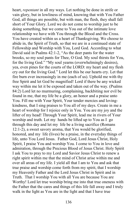heart, *repentant* in all my ways. Let nothing be done in strife or vain glory, but in lowliness of mind, knowing that with You Father God, all things are possible, but with man, the flesh, they shall fall short of Your Glory. Lord we do not come to worship just to be doing something, but we come to You out of the intimate love relationship we have with You through the Blood and the Cross. You have created within us a heart of Thanksgiving. We choose to abide in, the Spirit of Truth, so that we are in a continued state of Fellowship and Worship with You, Lord God. According to what David said in Psalms 42:1-2, "As the deer pants for the water brooks, so my soul pants for Thee, O God. My soul thirsts for You, for the living God." "My soul yearns (overwhelmingly desires), yea, even pines for the courts of the LORD: my heart and my flesh cry out for the living God." Lord let this be our hearts cry. Let that fire burn ever increasingly in me (each of us). Uphold me with thy free Spirit and let God be magnified! Lord if there be any wicked way within me let it be exposed and taken out of the way. (Psalms 84:2) Lord let no murmuring, complaining, backbiting nor evil be found in me, that my life be a glory, an honor and a praise unto You. Fill me with Your Spirit, Your tender mercies and lovingkindness, that I sing praises to You all of my days. Create in me a heart of worship for I rejoice only in You. You are my joy and the lifter of my head! Through Your Spirit, lead me in rivers of Your worship and truth. Let my hands be lifted up to You as I go through this day and let my life be a living sacrifice (Romans 12:1-2), a sweet savory aroma, that You would be glorified, honored, and my life (lives) be a praise, in the everyday things of life, unto You Lord Jesus. Father God, Lord Jesus Christ, Holy Spirit, I praise You and worship You. I come to You in love and admiration, through the Precious Blood of Jesus Christ. Holy Spirit I ask You to pray to my Lord and Savior Jesus Christ to renew a right spirit within me that the mind of Christ arise within me and over all areas of my life. I yield all that I am to You and ask that true praise and worship come forth from my spirit, that I worship my Heavenly Father and the Lord Jesus Christ in Spirit and in Truth. That I worship You with all You are because You are Worthy! Lord let true worship bring me into that true oneness with the Father that the cares and things of this life fall away and I truly walk in the light as You are in the light and that I have true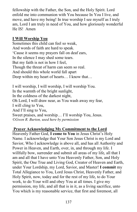fellowship with the Father, the Son, and the Holy Spirit. Lord enfold me into communion with You because In You I live, and move, and have my being! In true worship I see myself as I truly am, Lord I am truly in need of You, and how gloriously wonderful He IS! Amen

# **I Will Worship You**

Sometimes this child can feel so weak, And words of faith are hard to speak. 'Cause it seems my prayers fall on deaf ears, In the silence I may shed some tears. But my faith is not in how I feel, Though the threat of harm can seem so real. And should this whole world fall apart Deep within my heart of hearts… I know that…

I will worship, I will worship, I will worship You. In the warmth of the bright sunlight, In the coldness of the darkest night, Oh Lord, I will draw near, as You wash away my fear, I will cling to You, And I'll sing to You, Sweet praises, and worship… I'll worship You, Jesus. *©Gwen R. Burton, used here by permission* 

# **Prayer Acknowledging My Commitment to the Lord**

Heavenly Father God, **I come to You** in Jesus Christ's Holy Name. I acknowledge that Your Son Jesus Christ is my Lord and Savior, Who I acknowledge is above all, and has all Authority and Power in Heaven, and Earth, over, in, and through my life. I willfully bow, surrender and submit all areas of my life, all that I am and all that I have unto You Heavenly Father, Son, and Holy Spirit, the One True and Living God, Creator of Heaven and Earth, under Your Lordship, my Lord, Savior, and Master! **I commit** my Total Allegiance to You, Lord Jesus Christ, Heavenly Father, and Holy Spirit, now, today and for the rest of my life, to do Your work, to do Your will and obey You at all times. I give my permission, my life, and all that is in it, as a living sacrifice, unto You which is my reasonable service, that first and foremost, all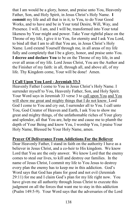that I am would be a glory, honor, and praise unto You, Heavenly Father, Son, and Holy Spirit, in Jesus Christ's Holy Name. **I commit** my life and all that is in it, to You, to do Your Good Works, and to have and be in Your total Desire, Will, Way, and Presence. I will, I am, and I will be, transformed into Your total likeness by Your might and power. Take Your rightful place on the Throne of my life, I give it to You, for eternity and I ask You Lord, to bind all that I am to all that You are, in Jesus Christ's Holy Name. Lord extend Yourself through me, in all areas of my life fully and completely that I be a glory, honor, and praise unto You. **I decree and declare You** to be on the Throne of my life, in and over all areas of my life. Lord Jesus Christ, You are the Author and the Finisher of my faith: in all, through all, and above all, of my life. Thy Kingdom come, Your will be done! Amen.

### **I Call Upon You Lord - Jeremiah 33:3**

Heavenly Father I come to You in Jesus Christ's Holy Name. I surrender myself to You, Heavenly Father, Son, and Holy Spirit. Your Word says in Jeremiah 33 verse 3 to call upon You and You will show me great and mighty things that I do not know. Lord God I come to You and cry out, I surrender all to You. I call unto You, God Creator of Heaven and Earth, I ask You to show me great and mighty things, of the unfathomable riches of Your glory and splendor, all that You are, help me and cause me to plumb the depth of Your Being and know You, I worship You, I praise Your Holy Name, Blessed be Your Holy Name, amen.

# **Prayer Of Deliverance From Addictions For the Believer**

Dear Heavenly Father, I stand in faith on the authority I have as a believer in Jesus Christ, and a co-heir to His kingdom. We know Lord that You are the only answer. We know Lord that the enemy comes to steal our lives, to kill and destroy our families. In the name of Jesus Christ, I commit my life to You Jesus to destroy every plan the enemy has to keep me in this addiction. God's Word says that God has plans for good and not evil (Jeremiah 29:11) for me and I claim God's plan for my life right now. You have given me all authority through Jesus Christ to execute this judgment on all the forces that want me to stay in this addiction (Psalm 149:5-9). Your Word says that the adversaries of the Lord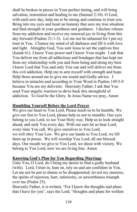shall be broken in pieces in Your perfect timing, and will bring salvation, restoration and healing to me (Samuel 2:10). O Lord, with each new day, help me to be strong and continue to trust you. Bring into my eyes and heart an honesty that sees my true situation and find strength in your goodness and guidance. I declare release from my addiction and receive my renewed joy in living from this day forward (Psalms 21:1-3). Let me not be ashamed for I put my trust in You. Cleanse my mind of all darkness and fill it with love and light. Almighty God, You sent Jesus to set the captives free (Isaiah 61). I know Your power and I know Your might. I ask that You deliver me from all addictions and bondages that has kept me from my relationship with you and from being and doing my best. I know Lord that You and only You can and will deliver me from this evil addiction. Help me to arm myself with strength and hope. Help those around me to give me sound and Godly advice. I believe in miracles and according to Your Word in Psalms 149:5-9 because You are my deliverer. Heavenly Father, I ask that You send Your angelic warriors to drive back this stronghold of addiction. To God be the Glory. In Jesus Name we pray, Amen

# **Humbling Yourself Before the Lord Prayer**

We give our heart to You Lord, Please teach us to be humble. We give our feet to You Lord, please help us not to stumble. Our eyes belong to you Lord, to see Your Holy way. Help us to look straight ahead, and seek You every day. With our ears let us hear Lord, every time You call. We give ourselves to You Lord, we will obey Your Law. We give our hands to You Lord, we lift them up in praise. We will worship You Lord, all our blessed days. Our mouth we give to You Lord, we shout with victory. We belong to You Lord, now we are living free. Amen

# **Knowing God's Plan for You Regarding Marriage**

Unto You, O Lord, do I bring my desire to find a godly husband (wife). Lord, I trust in, lean on, rely on and am confident in You. Let me not be put to shame or be disappointed; let not my enemies, the spirits of rejection, hurt, inferiority, or unworthiness triumph over me (Psalm 25).

Heavenly Father, it is written, "For I know the thoughts and plans that I have for you", says the Lord, "thoughts and plans for welfare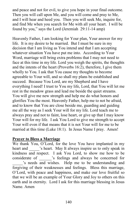and peace and not for evil, to give you hope in your final outcome. Then you will call upon Me, and you will come and pray to Me, and I will hear and heed you. Then you will seek Me, inquire for, and find Me when you search for Me with all your heart. I will be found by you," says the Lord (Jeremiah 29:11-14 amp)

Heavenly Father, I am looking for Your plan, Your answer for my life. It is my desire to be married. But I must be sure in my decision that I am living as You intend and that I am accepting whatever situation You have put me into. According to Your Word, marriage will bring extra problems that I may not need to face at this time in my life. Lord you weigh the spirits, the thoughts and the intents of the heart (Proverbs 16:2), therefore, I give them wholly to You. I ask that You cause my thoughts to become agreeable to Your will, and so shall my plans be established and succeed. Because You Lord, are my Shepherd and I have everything I need! I trust to You my life, Lord, that You will let me rest in the meadow grass and lead me beside the quiet streams. You will give me new strength and help me do what honors and glorifies You the most. Heavenly Father, help me to not be afraid, and to know that You are close beside me, guarding and guiding me all the way as I seek Your will for my life. Lord teach me to always pray and not to faint, lose heart, or give up that I may know Your will for my life. I ask You Lord to give me strength to accept Your will even if that means that it is not Your will for me to be married at this time (Luke 18:1). In Jesus Name I pray. Amen!

### **Prayer to Bless a Marriage**

We thank You, O'Lord, for the love You have implanted in my heart and  $\cdot$  's heart. May It always inspire us to only speak in kindness and respect. I ask You Lord, to show me how to be considerate of  $\cdot$  is feelings and always be concerned for \_\_\_\_\_'s needs and wishes. Help me to be understanding and forgiving of their weaknesses and feelings. Bless this marriage, O'Lord, with peace and happiness, and make our love fruitful so that we will be an example of Your Glory and Joy to others on this earth and in eternity. Lord I ask for this marriage blessing in Jesus Name. Amen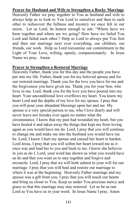### **Prayer for Husband and Wife to Strengthen a Rocky Marriage**

Heavenly Father we pray together to You as husband and wife to always help us to look to You Lord to ourselves and then to each other to rediscover the fullness and mystery we once felt in our union. Let us Lord, be honest enough to ask: "Where have we been together and where are we going? How have we failed You Lord and failed each other.? Help us Lord to always put You first and then our marriage next over everything, our children, our friends, our work. Help us Lord reexamine our commitment in the Light of Your Love, willing, openly, compassionately. In Jesus Name we pray. Amen

#### **Prayer to Strengthen a Restored Marriage**

Heavenly Father, thank you for this day and the people you have put into my life. Father, thank you for my beloved spouse and for our restored marriage. Thank you for the love you have for me and the forgiveness you have given me. Thank you for your Son, who lives in me. Lord, thank you for the love you have poured into my heart. Your unconditional love overflows my heart. You know my heart Lord and the depths of my love for my spouse. I pray that you will pour your abundant blessings upon her and me. My spouse is a very special person to me, who I love dearly and will never leave nor forsake ever again no matter what the circumstance. I know that my past had wounded my heart, but you have healed it and taken away the things that kept me from loving again as you would have me do. Lord, I pray that you will continue to change me and make me into the husband you would have me be. Lord, I know I hurt my spouse and caused her heart to harden. Lord Jesus, I pray that you will soften her heart toward me as it once was and lead her to you and back to me. I know she believes in you as do I. Lord, your word has shown us what you would have us do and that you want us to stay together and forgive and reconcile. Lord, I pray that we will both submit to your will for our marriage. I pray that you will heal and restore our marriage to where it was at the beginning. Heavenly Father marriage and my spouse was a gift from you. I pray that you will touch our hearts and bring us closer to You. Keep us under You precious mercy and grace so that this marriage may stay restored. Let us be as one Lord as You have us in your word. In Jesus Name I pray. Amen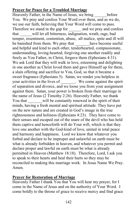# **Prayer for Peace for a Troubled Marriage**

Heavenly Father, in the Name of Jesus, we bring before You. We pray and confess Your Word over them, and as we do, we use our faith, believing that Your Word will come to pass. Therefore we stand in the gap for \_\_\_\_\_\_\_ and we pray and confess that \_\_\_\_\_\_will let all bitterness, indignation, wrath, rage, bad temper, resentment, contention, abuse, all malice, spite and ill will be banished from them. We pray that have become useful and helpful and kind to each other, tenderhearted, compassionate, understanding, loving-hearted, forgiving one another readily and freely as You Father, in Christ, forgave them (Ephesians 4:31). We ask Lord that they will walk in love, esteeming and delighting in one another as Christ loved them and gave Himself up for them, a slain offering and sacrifice to You, God, so that it became a sweet fragrance (Ephesians 5). Satan, we render you helpless in your activities in the lives of \_\_\_\_\_\_\_. We come against the spirit of separation and divorce, and we loose you from your assignment against them. Satan, your power is broken from their marriage in the name of Jesus (2 Timothy 2:26). Heavenly Father, we thank You that will be constantly renewed in the spirit of their minds, having a fresh mental and spiritual attitude. They have put on the new nature and are created in God's image in the true righteousness and holiness (Ephesians 4:23). They have come to their senses and escaped out of the snare of the devil who has held them captive and henceforth will do Your will, which is that they love one another with the God-kind of love, united in total peace and harmony and happiness. Lord we know that whatever you forbid and declare to be improper and unlawful on earth must be what is already forbidden in heaven, and whatever you permit and declare proper and lawful on earth must be what is already permitted in Heaven (Matthew 18:18). Therefore, Lord, I ask you to speak to their hearts and heal their hurts so they may be reconciled to making this marriage work. In Jesus Name We Pray. Amen.

# **Prayer for Restoration of Marriage**

Heavenly Father I thank You that You will hear my prayer, for I come in the Name of Jesus and on the authority of Your Word. I come boldly to the throne of grace to receive mercy and find grace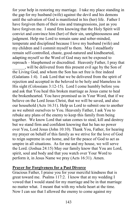for your help in restoring my marriage. I take my place standing in the gap for my husband (wife) against the devil and his demons until the salvation of God is manifested in his (her) life. Father I have forgiven them of their sins and transgressions, just as you have forgiven me. I stand firm knowing that the Holy Spirit will convict and convince him (her) of their sin, unrighteousness and judgment. Help me Lord to remain sane and sober-minded, temperate and disciplined because I love my husband (wife) and my children and I commit myself to them. May I steadfastly remain self-controlled, chaste, good-natured and kindhearted, adapting myself so the Word of God may not be exposed to reproach – blasphemed or discredited. Heavenly Father, I pray that

\_\_\_\_\_\_, will be delivered from this present evil age by the Son of the Living God, and whom the Son has set free is free indeed (Galatians 1:4). I ask Lord that we be delivered from the spirit of rejection and accepted in the beloved to be holy and blameless in His sight (Colossians 3:12-15). Lord I come humbly before you and ask that You heal this broken marriage as Jesus came to heal the brokenhearted. You have promised us in Your Word, that if we believe on the Lord Jesus Christ, that we will be saved, and also our household (Acts 16:31). Help us Lord to submit one to another as we submit ourselves to You. Heavenly Father, I ask You to rebuke any plans of the enemy to keep this family from being together. We know Lord that satan comes to steal, kill and destroy but we stand firm and confident knowing that he has no power over You, Lord Jesus (John 10:10). Thank You, Father, for hearing my prayer on behalf of this family as we strive for the love of God to reign supreme in our home, and for the peace of God to act as umpire in all situations. As for me and my house, we will serve the Lord. (Joshua 24:15) May our family know that You are Lord, spirit, soul and body and that you watch over Your Word to perform it, in Jesus Name we pray (Acts 16:31). Amen.

#### **Prayer for Forgiveness for a Past Divorce**

Gracious Father, I praise you for your merciful kindness that is great toward me. Psalms 117:2. I know that at my wedding I vowed that I would stand for my marriage and be in that marriage no matter what. I meant that with my whole heart at the time. Now I can see that I allowed the enemy to come against my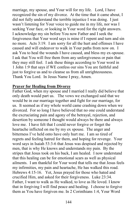marriage, my spouse, and Your will for my life. Lord, I have recognized the sin of my divorce. At the time that it came about, I did not fully understand the terrible injustice I was doing. I just wasn't listening for Your voice to guide me in my life, nor was I seeking Your face, or looking in Your word for the right answers. I acknowledge my sin before You now Father and I seek the forgiveness that Your word says is mine if I repent and turn and sin no more. Acts 3:19. I am sorry for all the hurt and offenses I have caused and will endeavor to walk in Your paths from now on. I ask You to heal the wounds I have caused, and bless my ex-spouse. I ask that You will free them from any unforgiveness or pain that they may still feel. I ask these things according to Your word in 1 John 1:9 that says if WE confess our sins You are faithful and just to forgive us and to cleanse us from all unrighteousness. Thank You Lord. In Jesus Name I pray, Amen.

#### **Prayer for Healing from Divorce**

Father God, when my spouse and I married I really did believe that only death would part us. The vows we exchanged said that we would be in our marriage together and fight for our marriage, for us. It seemed as if my whole world came crashing down when we divorced. For so long I have believed that no one could understand the excruciating pain and agony of the betrayal, rejection, and desertion by someone I thought would always be there and always love me. I have felt that I could never forgive or forget the heartache inflicted on me by my ex spouse. The anger and bitterness I've held onto have only hurt me. I am so tired of regrets and feeling hatred for them, and hoping for revenge. Your word says in Isaiah 53:3-6 that Jesus was despised and rejected by men, that is why He knows and understands my pain. By the stripes that Jesus took on his back, I am healed. I now understand that this healing can be for emotional scars as well as physical ailments. I am thankful for Your word that tells me that Jesus feels my infirmities, my pain and heartache, He has walked this road. Hebrews 4:15-16. Yet, Jesus prayed for those who hated and crucified Him, and asked for their forgiveness. Luke 23:34. Father, I want to walk as He walked, to love as He loved. I know that in forgiving I will find peace and healing. I choose to forgive them as You have forgiven me. In 2 Corinthians 1:4, Your Word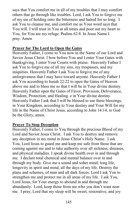says that You comfort me in all of my troubles that I may comfort others that go through like troubles. Lord, I ask You to forgive me of my sin of holding onto the bitterness and hatred for so long. I ask You to cleanse me, and comfort me as Your word says that You will. I will trust in You at all times and pour out my heart to You, for You are my refuge. Psalms 62:8. In Jesus Name I pray. Amen

### **Prayer for The Lord to Open the Gates**

Heavenly Father, I come to You now in the Name of our Lord and Savior Jesus Christ. I bow before You and I enter Your Gates with thanksgiving, I enter Your Courts with praise. Heavenly Father I ask You to forgive me of all my sins, my trespasses, and my iniquities. Heavenly Father I ask You to forgive me of any unforgiveness that I may have toward anyone. Heavenly Father I ask You according to Isaiah 22:22 to open the Gates of Heaven above me and to bless me so that I will be in Your divine destiny. Heavenly Father open the Gates of Favor, Provision, Deliverance, Wisdom, Protection, and Healing. e in Your divine destiny. Heavenly Father I ask that I will be blessed to use these blessings, in Your Kingdom, according to Your destiny and Your Will for my life in the Name of Christ Jesus, according to John 14:14, to God be the Glory, amen.

#### **Prayer To Stop Deception**

Heavenly Father, I come to You through the precious Blood of my Lord and Savior Jesus Christ. I ask You to destroy and remove any deception in my mind in Jesus Christ's Holy Name. I ask You, Lord Jesus to guard me and keep me safe from those that are coming against me and to take authority over all sickness, diseases, and physical maladies. I speak divine health over in and through me. I declare total chemical and mental balance over in and through my body. Give me a sound and sober mind; long life, longevity in spirit and mind, all the days of my life. Destroy the plans and schemes, of man and all dark forces. Lord I ask You to strengthen me and protect me in all areas of my life. I ask You, Lord Jesus, for Your energy to abound in and through me abundantly. Lord, keep those from me who you don't want near me. I pray, Lord that my sleep will be sweet, restorative, and joy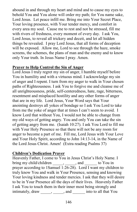abound in and through my heart and mind and to cause my eyes to behold You and You alone will order my path; for You name sake, Lord Jesus. Let peace infill me. Bring me into Your Secret Place, Your loving presence, with Your tender mercy, and comfort in every area my soul. Cause me to rest and not be stressed, fill me with rivers of freshness, every moment of every day. I ask You, Lord Jesus, to reveal all trickery and deceit, and let all hidden things be revealed. I pray Lord Jesus, that all forms of deception will be exposed. Allow me, Lord to see through the haze, smoke screens, the schemes, the plans of man and the enemy and to know only Your truth. In Jesus Name I pray. Amen.

### **Prayer to Help Control the Sin of Anger**

Lord Jesus I truly regret my sin of anger, I humble myself before You in humility and with a virtuous mind. I acknowledge my sin of anger and I repent. I turn from my anger to walk in Your chosen paths of Righteousness. I ask You to forgive me and cleanse me of all unrighteousness, pride, self-centeredness, hate, rage, bitterness, resentment and misplaced hostility and any other forms of anger that are in my life. Lord Jesus, Your Word says that Your anointing destroys all yokes of bondage so I ask You Lord to take from me the yoke of anger that at times I can't seem to avoid. I know Lord that without You, I would not be able to change from my old ways of getting angry. You and only You can take the sin of getting angry from me. (Isaiah 10:27). I ask You Lord to fill me with Your Holy Presence so that there will not be any room for anger to become a part of me. Fill me, Lord Jesus with Your Love and Your Holy Spirit, according to John 14:13-14, in the Name of the Lord Jesus Christ. Amen! (Extra reading Psalms 37)

# **Children's Dedication Prayer**

Heavenly Father, I come to You in Jesus Christ's Holv Name. I bring my child/children \_\_\_\_\_, \_\_\_\_\_, and \_\_\_\_\_\_ to You in prayer according to 1Samuel 1:26-28). Lord I want my children to truly know You and walk in Your Presence, sensing and knowing Your loving kindness and tender mercies. I ask that they will desire to be in Your Presence all the days of their lives. Heavenly Father I ask You to touch them in their inner most being strongly and intimately, draw \_\_\_\_\_, \_\_\_\_\_, and \_\_\_\_\_\_ into to all that You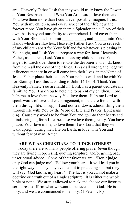are. Heavenly Father I ask that they would truly know the Power of Your Resurrection and Who You Are. Lord, I love them and You love them more than I could ever possibly imagine. I trust You with my children, and every aspect of their life now and forever more. You have given them a Splendor and a Glory of their own that is beyond our ability to comprehend. Lord cover them with Your Blood as I commit \_\_\_\_\_, \_\_\_\_\_, and \_\_\_\_\_\_ into Your Hands which are flawless. Heavenly Father I ask You to set each of my children apart for Your Self and for whatever is pleasing in Your sight, and I ask You to prepare a way for them. Heavenly Father, as a parent, I ask You to bless my children, send Your angels to watch over them to rebuke the devourer and all darkness from them all the days of their lives. Break all wrong and negative influences that are in or will come into their lives, in the Name of Jesus. Father place their feet on Your path to walk and be with You for Eternity, I ask this according to John 14:13-14. Thank You Heavenly Father, You are faithful! Lord, I as a parent dedicate my family to You. I ask You to help me to parent my children. Lord, help me to love them the way You love them! Help me Lord to speak words of love and encouragement, to be there for and with them through life, to support and not tear down, admonishing them through life with You by the Word of Life and Prayer (Ephesians 6:4). Cause my words to be from You and go into their hearts and minds bringing forth Life, because we love them greatly. You have placed Your love in me, to love them! I ask Lord that they will walk upright during their life on Earth, in love with You and without fear of man. Amen.

# **ARE WE AS CHRISTIANS TO JUDGE OTHERS?**

 Today there are so many people offering prayer (even though they are living in open sin), quoting scripture, and/or giving bad, unscriptural advice. Some of their favorites are: 'Don't judge, only God can judge me'; 'Follow your heart – it will lead you in the right way.' They may even admit to practicing sin, but they will say 'God knows my heart.' The fact is you cannot make a doctrine or a truth out of a single scripture. It is either the whole bible or none. We aren't allowed to pick and choose our favorite scriptures to affirm what we want to believe about God. He is holy, and we are commanded to be holy. (1 Peter 1:16)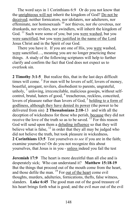The word says in 1 Corinthians 6:9 Or do you not know that the unrighteous will not inherit the kingdom of God? Do not be deceived; neither fornicators, nor idolaters, nor adulterers, nor effeminate, nor homosexuals <sup>10</sup> nor thieves, nor *the* covetous, nor drunkards, nor revilers, nor swindlers, will inherit the kingdom of God. <sup>11</sup> Such were some of you; but you were washed, but you were sanctified, but you were justified in the name of the Lord Jesus Christ and in the Spirit of our God.

 There you have it. If you are one of His, you were washed, were sanctified…, meaning you are no longer practicing these things. A study of the following scriptures will help to further clarify and confirm the fact that God does not expect us to overlook sin.

**2 Timothy 3:1-5** But realize this, that in the last days difficult times will come.  $2$  For men will be lovers of self, lovers of money, boastful, arrogant, revilers, disobedient to parents, ungrateful, unholy,  $3$  unloving, irreconcilable, malicious gossips, without selfcontrol, brutal, haters of good, <sup>4</sup> treacherous, reckless, conceited, lovers of pleasure rather than lovers of God, <sup>5</sup> holding to a form of godliness, although they have denied its power (the power to be delivered from sin) **2 Thessalonians 2:10-**13 and with all the deception of wickedness for those who perish, because they did not receive the love of the truth so as to be saved.  $^{11}$  For this reason God will send upon them a deluding influence so that they will believe what is false,  $^{12}$  in order that they all may be judged who did not believe the truth, but took pleasure in wickedness**. 2 Corinthians 13:5** Test yourselves *to see* if you are in the faith; examine yourselves! Or do you not recognize this about yourselves, that Jesus is in you - unless indeed you fail the test

**Jeremiah 17:9** The heart is more deceitful than all else and is desperately sick; Who can understand it? **Matthew 15:18-19** But the things that proceed out of the mouth come from the heart, and those defile the man. <sup>19</sup> For out of the heart come evil thoughts, murders, adulteries, fornications, thefts, false witness, slanders. **Luke 6:45** The good man out of the good treasure of his heart brings forth what is good; and the evil *man* out of the evil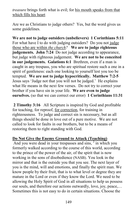*treasure* brings forth what is evil; for his mouth speaks from that which fills his heart

Are we as Christians to judge others? Yes, but the word gives us some guidelines.

**We are not to judge outsiders (unbelievers) 1 Corinthians 5:11**  For what have I to do with judging outsiders? Do you not judge those who are within *the church?* **We are to judge righteous judgements. John 7:24** Do not judge according to appearance, but judge with righteous judgement. **We are not to be conceited in our judgements. Galations 6:1** Brethren, even if a man is caught in any trespass, you who are spiritual restore such a one in a spirit of gentleness: each one looking to yourself lest you too be tempted. **We are not to judge hypocritically. Matthew 7:2-5** Jesus says 'Judge not that you will not be judged.' He explains what He means in the next few verses. Do not try to correct your brother if you have sin in your life. **We are even to judge ourselves.** (so that we can correct our error) **1 Corinthians 11:31** 

**[2](http://www.biblegateway.com/passage/?search=1%20COR%205:12&version=NASB#en-NASB-28467) Timothy 3:16** All Scripture is inspired by God and profitable for teaching, for reproof, for correction, for training in righteousness. To judge and correct sin is necessary, but as all things should be done in love out of a pure motive. We are not called to look for faults in our brothers, but to be a means of restoring them to right standing with God.

# **Do Not Give the Enemy Ground to Attack (Teaching)**

And you were dead in your trespasses and sins, <sup>2</sup> in which you formerly walked according to the course of this world, according to the prince of the power of the air, of the spirit that is now working in the sons of disobedience (NASB). You look in the mirror and that is the outside you that you see. The next layer of you is the mind, will and emotions, and finally the spirit man. We know people by their fruit, that is to what level or degree they are mature in the Lord or even if they know the Lord. We need to be allowing the Holy Spirit of God in all situations to help us possess our souls, and therefore our actions outwardly, love, joy, peace,… Sometimes this is not easy to do in certain situations. Choose the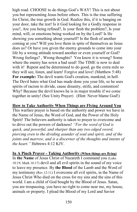high road. CHOOSE to do things God's WAY! This is not about you but representing Jesus before others. This is the true suffering for Christ, the true growth in God. Realize this, if it is banging on your door, take the test! Is it God looking for a Godly response in you?, Are you being refined?, Is your flesh the problem?, Is your mind, will, or emotions being worked on by the Lord? Is He showing you something about yourself? Is the flesh of another coming at you? Will you love them in spite of themselves as Jesus does us? Or have you given the enemy grounds to come into your life by a wrong attitude toward another or even yourself or God? Wrong feelings? , Wrong thoughts? You know it is wrong? Some where the enemy has sown a bad seed! The TIME is now to deal with it! Repent and be determined to do good, go the extra mile so they will see, listen, and learn! Forgive and love! (Matthew 5:48) **For example:** The devil wants God's creation, mankind, in hell. The Devil hates what God has made done you your life, so he uses spirits of racism to divide, cause disunity, strife, and contention! Why? Because the devil knows he is in major trouble if we come together in unity! (See Unity Prayer) (Hint: Never blame God!)

### **How to Take Authority When Things are Flying Around You**

This warfare prayer is based on the authority and power we have in the Name of Jesus, the Word of God, and the Power of the Holy Spirit! The believers authority is taken to prayer to overcome and to drive out the powers of darkness! *"For the word of God is quick, and powerful, and sharper than any two edged sword, piercing even to the dividing asunder of soul and spirit, and of the joints and marrow, and is a discerner of the thoughts and intents of the heart."* Hebrews 4:12 KJV.

#### **In A Pinch Prayer - Taking Authority (When things are flying)**

In **the Name** of Jesus Christ of Nazareth I command you (Luke 10:19, Mark 16:17) devil and all evil spirits in the sound of my voice to leave my presence. By **the Blood** of the Lamb and the Word of my testimony (Rev.12:11) I overcome all evil spirits, in the Name of Jesus Christ Who died on the cross for my sins and the sins of this world. I am a child of God bought by the Blood of Jesus. Satan, you are trespassing, you have no right to come near me, my house, animals or property. I plead the Blood of my Lord and Savior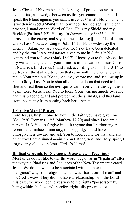Jesus Christ of Nazareth as a thick hedge of protection against all evil spirits , as a wedge between us that you cannot penetrate. I speak the Blood against you satan, in Jesus Christ's Holy Name. It is written in **God's Word** that no weapon formed against me can prosper, I stand on the Word of God, He is my Shield and my Buckler (Psalms 35:2). He says in *Deuteronomy 33:27* that He thrusts out the enemy and says to me ―destroy‖ them! Lord Jesus Christ I ask You according to John 14:13-14, to ―destroy the enemy‖. Satan, you are a defeated foe! You have been defeated and by the *authority and power* given to me in *Luke 10:19 I*  command you to leave (Mark 16:17), I loose you to the Abyss, the dry waste place, with all your minions in the Name of Jesus Christ of Nazareth. Lord Jesus Christ I ask according to John 14:13-14 to destroy all the dark destruction that came with the enemy, cleanse me in Your precious Blood, heal me, restore me, and seal me up in Your Glory. I ask You to shut all demonic doors that need to be shut and seal them so the evil spirits can never come through them again. Lord Jesus, I ask You to loose Your warring angels over me and this place to guard and protect me, the animals, and this land from the enemy from coming back here. Amen.

# **I Forgive Myself Prayer**

Lord Jesus Christ I come to You in the faith you have given me (Gal. 2:20, Romans. 12:3, Matthew 17:20) and since I too am a person, I ask You to forgive in faith anyone that I harbor anger, resentment, malice, animosity, dislike, judged, and have unforgiveness toward and ask You to forgive me for that, and any other way I have sinned against You Father, Son, and Holy Spirit, I forgive myself also in Jesus Christ's Name!

# **Biblical Grounds for Sickness, Disease, etc. (Teaching)**

Most of us do not like to use the word "legal" as in "legalism" after the way the Pharisees and Saducees of the New Testament treated Jesus. We do not want to be associated with them or their "religious" ways or "religion" which was "traditions of man" and not God's ways. They did not have a relationship with the Lord! In this case, the word legal gives way to the rights "possessed" by being within the law and therefore rightfully protected or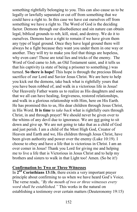something rightfully belonging to you. This can also cause us to be legally or lawfully separated or cut off from something that we could have a right to. In this case we have cut ourselves off from something we have a right to. The Word of God is the deciding factor. Demons through our disobedience and sin nature can obtain legal, biblical grounds to rob, kill, steal, and destroy. We do it to ourselves. Demons have a right to remain if we have given them any type of legal ground. Once they have legal ground there will always be a fight because they want you under them in one way or another. They will try to make you feel that things are hopeless, why even care! Those are total lies and tricks of the enemy. The Word of God came to Job, an Old Testament saint, and it tells us that his captivity (a state of being a prisoner to something.) was turned. **So there is hope!** This hope is through the precious Blood sacrifice of our Lord and Savior Jesus Christ. We are here to help you kick out the demons, take back what is rightfully yours that you have been robbed of, and walk in a victorious life in Jesus! Our Heavenly Father wants us to realize as His daughters and sons that we all can have healing, forgiveness, restored relationships, and walk in a glorious relationship with Him, here on His Earth. He has promised this to us, His dear children through Jesus Christ, in His Word. **It is time** to *take back* what is rightfully ours through Christ, in and through prayer! We should never be given over to the whims of any devil due to ignorance. We are not going to sit down and give up. We are not going to take that as a child of God and just perish. I am a child of the Most High God, Creator of Heaven and Earth and we, His children through Jesus Christ, have been given authority and power over the enemy (Luke 10:19). I choose to obey and have a life that is victorious in Christ. I am an over comer in Jesus! Thank you Lord for giving me and helping me to live a life that is Victorious in Jesus Christ and to help my brothers and sisters to walk in that Light too! Amen. (So be it!)

### **Confirmation by Two or Three Witnesses**

In 2<sup>nd</sup> Corinthians 13:1b, there exists a very important prayer principle about confirming to us when we have heard God's Voice. The verse reads, *"By the mouth of two or three witnesses every word shall be established."* This works in the natural on establishing a testimony over certain matters (Deuteronomy 19:15)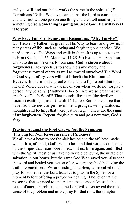and you will find out that it works the same in the spiritual  $(2<sup>nd</sup>$ Corinthians 13:1b). We have learned that the Lord is consistent and does not tell one person one thing and then tell another person something else. **Something is going on, seek God, He will reveal it to you!** 

**Why Pray For Forgiveness and Repentance (Why Forgive?)**  Our Heavenly Father has given us His Way to learn and grow in, in many areas of life, such as loving and forgiving one another. We need to receive His Ways and walk in them. It is up to us to come to Him (See Isaiah 55, Matthew. 11:28-30) He sent His Son Jesus Christ to die on the cross for our sins. **God is sincere about forgiveness.** He expects us to show the same mercy and forgiveness toward others as well as toward ourselves! The Word of God says **unforgivers will not inherit the Kingdom of Heaven.** It doesn't take a rocket scientist to figure out what that means! Where does that leave me or you when we do not forgive a person, any person?! (Matthew 6:14-15) Are we so great that we are above God's Word?! That sounds like satan (the devil or Lucifer) exalting himself (Isaiah 14:12-15). Sometimes I see that I have had bitterness, anger, resentment, grudges, wrong attitudes, thoughts, and feelings that were just not right! These are the **signs of unforgiveness**. Repent, forgive, turn and go a new way, God's Way!

# **Praying Against the Root Cause, Not the Symptom (Praying for Non Re-occurrence of Sickness)**

We all have a heart to see the sick healed and the afflicted made whole. It is, after all, God's will to heal and that was accomplished by the stripes that Jesus bore for each of us. Born again, and filled with the Spirit, most of us have no trouble believing the miracle of salvation in our hearts, but the same God Who saved you, also sent the word and healed you, yet so often we are troubled believing the truth presented here. We are finding that often, when called on to pray for someone, the Lord leads us to pray in the Spirit for a moment before offering a prayer for healing. I believe that the reason is, that we need to understand that some sickness is the result of another problem, and the Lord will often reveal the root cause of the problem and as we pray for that root, the symptom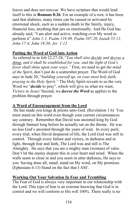leaves and does not reoccur. We have scripture that would lend itself to this in **Romans 8:26**. For an example of a root, it has been said that diabetes, many times can be caused or activated by emotional shock, such as a sudden death in the family, injury, financial loss, anything that jars us emotionally. And He God has already said, "I am alert and active, watching over My word to perform it" *John 1:1, Psalm 119:89, Psalm 107:20, Isaiah 55:11, John 17:4, John 19:30, Jer. 1:12* 

# **Putting the Word of God into Action**

As referred to in Job 22:27-28, "*You shall also decide and decree a thing, and it shall be established for you; and the light of God's favor shall shine upon your ways."* First, we need to get *the mind of the Spirit*, don't just do a scattershot prayer. The Word of God says in Jude 20, "*building yourself up, on your most holy faith, praying in the Holy Spirit."* The Holy Spirit reveals to us the very Word we "*decide* to pray", which will give us what we want, *Victory in Jesus!* Second, we *decree the Word* as applies to the problem through prayer.

# **A Word of Encouragement from the Lord**

 He has made you kings & priests unto God. (Revelation 1:6) You must stand on this word even though your current circumstances say contrary. Remember that David was anointed king by God through Samuel long before he actually sat on the throne. He was no less God's anointed through the years of wait. In every peril, every trial, when David despaired of life, the Lord God was still in control. Through every failure and victory, in darkness and in light, through fear and faith, The Lord was and still is The Almighty. He says that you are a mighty man (woman) of valor. Don't let the enemy dispute this in your heart and mind. When the walls seem to close in and you seem in utter darkness, He says to you 'having done all, stand; stand on My word, on My promises. (Ephesians 6:13) Stand on the fact that I AM'.

# **Working Out Your Salvation In Fear and Trembling**

The Fear of God is always very important in our relationship with the Lord. This type of fear is an extreme knowing that God is in control and we will conform to His will 100%. There really is no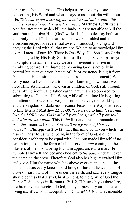other true choice to make. This helps us resolve any issues concerning His Word and what it says to us about His will in our life. *This fear is not a cowing down but a realization that "this" God is real and what He says He means!* **Matthew 10:28** states," And fear not them which kill the **body**, but are not able to kill the **soul**: but rather fear Him (God) which is able to destroy both **soul** and **body** in hell." This fear means to walk humbled and in awesome respect or reverential awe, continuously loving and obeying the Lord with all that we are. We are to acknowledge Him over all areas of our life. There is One Way, His Son Jesus Christ and being led by His Holy Spirit into all things. Several passages of scripture describe the way we are to reverentially live in trembling before Him (humbled, knowing God is not only in control but even our very breath of life or existence is a gift from God and at His desire it can be taken from us in a moment.) We really need to live moment to moment knowing how much we need Him. As humans, we, even as children of God, still through our sinful, prideful, and fallen carnal nature are so opposed to submitting to God and His Ways, while all the time He is getting our attention to save (deliver) us from ourselves, the world system, and the kingdom of darkness, because Jesus is the Way that leads to Life Eternal! **Matthew22:37-39**, "Jesus said to him, *'You shall love the LORD your God with all your heart, with all your soul, and with all your mind.* This is *the* first and great commandment. And *the* second *is* like it: *'You shall love your neighbor as yourself.'* **Philippians 2:5-12**, "Let this mind be in you which was also in Christ Jesus, who, being in the form of God, did not consider it robbery to be equal with God, but made Himself of no reputation, taking the form of a bondservant, *and* coming in the likeness of men. And being found in appearance as a man, He humbled Himself and became obedient to *the point of* death, even the death on the cross. Therefore God also has highly exalted Him and given Him the name which is above every name, that at the name of Jesus every knee should bow, of those in heaven, and of those on earth, and of those under the earth, and *that* every tongue should confess that Jesus Christ *is* Lord, to the glory of God the Father." As it says in **Romans 12: 1-2**, "I beseech you therefore, brethren, by the mercies of God, that you present your bodies a living sacrifice, holy, acceptable to God, *which is* your reasonable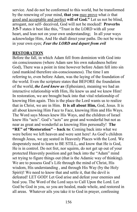service. And do not be conformed to this world, but be transformed by the renewing of your mind, **that you** may prove what *is* that good and acceptable and perfect **will of God."** Let us not be blind, arrogant, nor self- deceived, God will not be mocked! **Proverbs 3:5-7** states it best like this, "Trust in the LORD with all your heart, and lean not on your own understanding; In all your ways acknowledge Him, And He shall direct your paths. Do not be wise in your own eyes; *Fear the LORD and depart from evil*

# **RESTORATION**

Before the fall, in which Adam fell from dominion with God into sin consciousness (where Adam saw his own nakedness before God), There was a point in time however before Adam fell into sin (and mankind therefore sin-consciousness). The time I am referring to, even before Adam, was the laying of the foundation of the world. Even the scripture states that BEFORE the foundation of the world, *the Lord knew us* (Ephesians), meaning we had an interactive relationship with Him, He knew us and we knew Him! In restoration, we are brought back into that vital relationship of knowing Him again. This is the place the Lord wants us to realize that in Christ, we are in Him. **It is all about Him,** God, Jesus. It is all about knowing Him Face to Face, knowing Him and His Ways. The Word says Moses knew His Ways, and the children of Israel knew His "acts". God's "acts" are great and wonderful but not as near as great and wonderful as knowing Him personally! **The "RE" of "Restoration" – back to**: Coming back into what we were before we left heaven and were sent here! As God's children through Jesus, we are seated in Heavenly Places with the Lord. We desperately need to learn to BE STILL, and know that He is God, He is in control. Do not fret, nor squirm, do not get up out of your protected Heavenly position and get back into the "Adam" mind set trying to figure things out (that is the Adamic way of thinking). We are to possess God's Life through the mind of Christ, His wisdom, His understanding , and through His Way (by the Holy Spirit)! We need to know that and settle it, that the devil is defeated! LET GOD! Let God arise and defeat your enemies and heal you. The Word of the Lord says to Call Upon the Lord. Let God be God in you, so you are healed, made whole, and restored in all areas. Whatever ails you take it to God in prayer, confessing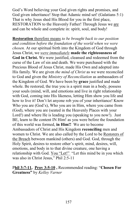God's Word believing your God given rights and promises, and God given inheritance! Stop that Adamic mind set! (Galatians 5:1) That is why Jesus shed His Blood for you in the first place, RESTORATION to the Heavenly Father! Through Jesus we are and can be whole and complete in: spirit, soul, and body!

**Restoration** therefore means *to be brought back to our position and condition before the foundation of the world when we were chosen.* At our spiritual birth into the Kingdom of God through Jesus Christ, we *were immediately* **made the righteousness of God in Christ.** We were justified, cleansed and redeemed from the curse of the Law of sin and death. We were purchased with the Precious Blood of Jesus Christ, made His Own and adopted into His family. We are given *the mind of Christ* as we were reconciled to God and given the *Ministry of Reconciliation* as ambassadors of the Kingdom of God. We have been by **grace** justified and made whole. Be restored, the true you is a spirit man in a body, possess your souls (mind, will, and emotions and live in right relationship with God, coming into His likeness, letting Him show you life and how to live it! Don't let anyone rob you of your inheritance! Know Who you are (God's), Who you are in Him, where you came from (God), where you are (seated in the Heavenly Places with your Lord!) and where He is leading you (speaking to you now!). Just BE, learn to Be content IN Him! as you were before the foundation of this world was formed, **in Him!!** We are to become Ambassadors of Christ and His Kingdom **reconciling** men and women to Christ. We are also called by the Lord to be Restorers of the Breach between mankind (others) and God. God, through the Holy Spirit, desires to restore other's spirit, mind, desires, will, emotions, and body in to that divine creature, one having a relationship with God. You "Let!" "Let this mind be in you which was also in Christ Jesus," Phil 2:5-11

P**hil 3:7-11, Prov 3:5-10 ,** Recommended reading: "**Chosen For Greatness"** by *Kelley Varner*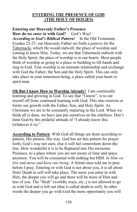### **ENTERING THE PRESENCE OF GOD (THE HOLY OF HOLIES)**

### **Entering our Heavenly Father's Presence**

**How do we** *enter in* **with God?** God's Way! *According to God's Biblical Pattern!* In the Old Testament, Exodus 25-27, our Heavenly Father set forth a *pattern* for the Tabernacle, which He would indwell, the place of worship and coming to know Him. Today, we are that Tabernacle indwelt with the Holy Spirit; the place of worship is in our hearts. Most people think of worship as going to a place or building to lift hands and sing to God. True worship is an intimate relationship and exchange with God the Father, the Son and the Holy Spirit. This can only take place in your innermost being, a place called your heart or spirit man.

**Oh But I know How to Worship Already!** I am continually learning and growing in God. To say that "I know", is to cut myself off from continued learning with God. This also restricts or limits our growth with the Father, Son, and Holy Spirit. As Christians we are to be constantly maturing in the Lord. When we think all is done, we have just put ourselves on the sidelines. Don't limit God by this prideful attitude of "I already know this (whatever it is)."

**According to Pattern** With God all things are done according to pattern, His pattern, His way. God has set this pattern for prayer forth, God's way not ours, else it will fail somewhere down the line. How wonderful it is to be Raptured into His awesome Presence, to a place where you are not aware of time and space anymore. You will be consumed with nothing but HIM. *In Him we live and move and have our being.* A friend once told me to pray before I pray. Entering in with God is not about you, it is all about Him! Death to self will take place. The more you enter in with Him, the deeper you will go and there will be more of Him and less of you. The "flesh" (worldly ways, etc.,) is not allowed to go in with God and is left out (that is called death to self). In other words the deeper you go with God the more opportunity you will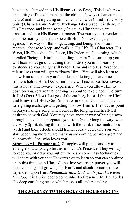have to be changed into His likeness (less flesh). This is where we are putting off the old man and the old man's ways (character and nature) and in turn putting on the new man with Christ's (the Holy Spirit) Character and Nature. Exchange takes place. It is there, in His Presence, and in the *secret place* with Him that we are transformed into His likeness (image). The more you surrender to God the more you desire to be with Him. You exchange your agenda, life, ways of thinking, acting, and being, and in turn receive, choose to keep, and walk in His Life, His Character, His Ways, His Thoughts, His Peace, His Order and His timing, which is called "being **in** Him!" or "abiding in Him." To sum it up you will learn to **let go** of anything that hinders you in this earthly existence so you can get still before Him and into His Presence. In this stillness you will get to "know Him". You will also learn to allow Him to position you for a deeper "letting go" and true stillness before Him. Deeper intimacy will occur. Realize however this is not a "microwave" experience. When you allow Him to position you, realize that learning is about to take place! **To Sum It Up! (Over View) Let go** (of the earthly)**, be still** (before Him)**, and know that He is God (**intimate time with God starts here, a Life giving exchange and getting to know Him!**).** Then at this point in prayer I sing a song which echoes the longing and heart-felt desire to be with God. You may have another way of being drawn through the veils that separate you from God. Along the way, with the Holy Spirit, during this time, with the Lord, these hindrances (veils) and their effects should tremendously decrease. You will start becoming more aware that you are coming before a great and all powerful God, who loves you!

**Struggles will Pursue you!** Struggles will pursue and try to entangle you as you go further into God's Presence. They will try to keep you or draw you out but there are some easy techniques I will share with you that He wants you to learn so you can continue on in this time, with Him. All the time you are in prayer you will be developing and growing "in Him", and should become more dependent upon Him. *Remember this: God wants you there with Him too!* It is a privilege to come into His Presence. In Him abides His deep enriching peace which passes all understanding.

# **THE JOURNEY TO THE HOLY OF HOLIES BEGINS**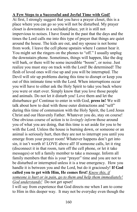# **A Few Steps to a Successful and Joyful Time with God!**

At first, I strongly suggest that you have a prayer closet, this is a place where you can go so you will not be disturbed. My prayer closet is downstairs in a secluded place, yet it is still not impervious to noises. I have found in the past that the days and the times the Lord calls me into this type of prayer that things are quiet around the house. The kids are out, and my spouse is not home from work. I leave the cell phone upstairs where I cannot hear it. You might set the ringers on the phones to "off." I usually unplug the downstairs phone. Sometimes, things will happen, like the dog will bark, or there will be some incredible "boom", or noise. Just realize you must stay on track with the Lord! Be determined! The flesh of loved ones will rise up and you will be interrupted. The Devil will stir up problems during this time to disrupt or keep you out of this intimate time with the Lord. When interruptions occur you will have to either ask the Holy Spirit to take you back where you were or start over. Simply know that you love those people and animals. Do not let it disturb you! Love them and let the disturbance go! Continue to enter in with God, **press in!** We will talk about how to deal with those outer distractions and "self" during this time of communion with the Holy Spirit, the Lord Jesus Christ and our Heavenly Father. Whatever you do, stay on course! One obvious course of action is to *lovingly inform* those around you of what you are doing, that this time is set aside for you to be with the Lord. Unless the house is burning down, or someone or an animal is seriously hurt, then they are not to interrupt you until you emerge from your prayer room! Whatever happens don't get into sin, it isn't worth it! LOVE above all! If someone calls, let it ring (disconnect it in that room, turn off the cell phone, or let it take messages) or tell a family member to take a message. Inform all family members that this is your "prayer" time and you are not to be disturbed or interrupted unless it is a true emergency. How you handle it is between you and the Lord, but do it graciously! **If God called you to get with Him, He comes first!** *Know this, if someone is hurt or in pain, go to them and help them immediately! God understands!* Do not get upset!

I will say from experience that God directs me when I am to come to Him in this deeper way. It may not be everyday even though the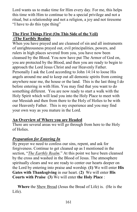Lord wants us to make time for Him every day. For me, this helps this time with Him to continue to be a special privilege and not a ritual, but a relationship and not a religion, a joy and not tiresome "I have to do this type thing"

# **The First Things First (On This Side of the Veil) (The Earthly Realm)**

When you have prayed and are cleansed of sin and all instruments of unrighteousness prayed out, evil principalities, powers, and rulers in high places severed from you, you have now been cleansed by the Blood. You now have put The Armor of God on, you are protected by the Blood, and then you are ready to begin to approach the Lord Jesus Christ and our Heavenly Father. Personally I ask the Lord according to John 14:14 to loose His angels around me and to keep out all demonic spirits from coming anywhere near me, the house or the land. This is the last thing I do before entering in with Him. You may find that you want to do something different. You are now ready to start a walk with the Holy Spirit which will lead you into the Holy Place to meet with our Messiah and then from there to the Holy of Holies to be with our Heavenly Father. This is my experience and you may find your own way as you mature in the Lord.

# **An Overview of Where you are Headed**

There are several areas we will go through from here to the Holy of Holies.

# *Preparation for Entering In*

By prayer we need to confess our sins, repent, and ask for forgiveness. Continue to get cleaned up as I mentioned in the section, "*The Earthly Realm*." At this point we have been cleansed by the cross and washed in the Blood of Jesus. The atmosphere spiritually clears and we are ready to center our hearts deeper on the Lord by entering into praise and worship. **(1)** We will enter **His Gates with Thanksgiving** in our heart. (**2)** We will enter **His Courts with Praise (3)** We will enter **the Holy Place** :

 **Where** the Shew Bread (Jesus the Bread of Life) is. (He is the Life).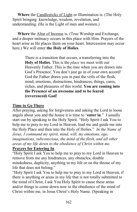**Where** the Candlesticks of Light or Illumination is. (The Holy Spirit bringing knowledge, wisdom, revelation, and understanding. (He is the Light of men and women.)

 **Where** the Altar of Incense is. (True Worship and Exchange, and a deeper intimacy occurs in this place with Him. Prayers of the heart arise as He places them on your heart. Intercession may occur here.) We will enter **the Holy of Holies**

> There is a transition that occurs, a transferring into the **Holy of Holies**. This is the *place* we meet with our Heavenly Father. This is the *time* when you are drawn into God's Presence. You don't just go in of your own accord! God the Father draws you in past the veils of the flesh, mind, emotions, distractions, hindrances, things, cares, riches, and pleasures of this world. **You are coming into the Presence of an awesome and to be feared (reverenced) God!**

### **Time to Go There**

After praying, asking for forgiveness and asking the Lord to loose angels about you and the house it is time to "**enter in**." I usually start out by speaking to the Holy Spirit. "Holy Spirit I ask You to help me to pray to my Lord in Heaven, lead me and guide me into the Holy Place and then into the Holy of Holies." *In the Name of Jesus, I command my spirit, mind, will, my emotions, ego, imaginations, subconscious, the mind of the flesh, and all other areas of my life down to the obedience of Christ within me.* 

# **Prayers for Entering In**

"Holy Spirit I ask You to help me to pray to my Lord in Heaven to remove from me any hindrances, any obstacles, double mindedness, duplicity, anything in my life or on the throne of my life that does not belong."

"Holy Spirit I ask You to help me to pray to my Lord in Heaven, if there is anything or areas in my life that is not totally submitted to the mind of Christ, I ask You Holy Spirit to cause these areas and/or things to come down now to the obedience of the mind of Christ within me, in Jesus Christ's Holy Name. (Speaking in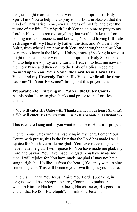tongues might manifest here or would be appropriate.) "Holy Spirit I ask You to help me to pray to my Lord in Heaven that the mind of Christ arise in me, over all areas of my life, and over the throne of my life. Holy Spirit I ask You to help me to pray to my Lord in Heaven, to remove anything that would hinder me from coming into total oneness, and knowing You, and having **intimate exchange** with My Heavenly Father, the Son, and You the Holy Spirit, from where I am now with You, and through the time You want me to have in the Holy of Holies, amen. (Speaking in tongues might manifest here or would be appropriate.) Holy Spirit I ask You to help me to pray to my Lord in Heaven, to lead me now into the Holy Place and then on into the Holy of Holies. Keep me **focused upon You, Your Voice, the Lord Jesus Christ, His Voice, and my Heavenly Father, His Voice, while all the time keep me "in Your Presence"** throughout this prayer, amen.

**Preparation for Entering in ("after" the Outer Court)**  At this point I start to give thanks and praise to the Lord Jesus Christ.

> We will enter **His Gates with Thanksgiving in our heart (thanks).** 

> We will enter **His Courts with Praise (His Wonderful attributes.)** 

This is where I sing and if you want to dance to Him, it is proper.

"I enter Your Gates with thanksgiving in my heart, I enter Your Courts with praise, this is the Day that the Lord has made I will rejoice for You have made me glad. You have made me glad, You have made me glad, I will rejoice for You have made me glad, my Lord and Savior. You have made me glad. You have made me glad, I will rejoice for You have made me glad (I may not have sung it right but He likes it from the heart!) You may want to sing something else. This will become your own thing as you mature.

Hallelujah. Thank You Jesus. Praise You Lord. (Speaking in tongues would be appropriate here.) Continue to praise and worship Him for His lovingkindness, His character, His goodness and all that He IS! "Hallelujah", "Thank You Jesus." . . .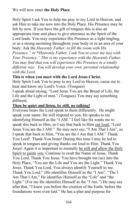# We will now enter **the Holy Place**.

Holy Spirit I ask You to help me pray to my Lord in Heaven, and ask Him to take me now into the Holy Place. His Presence may be felt by now. If you have the gift of tongues this is also an appropriate time and place to give utterance as the Spirit of the Lord leads. You may experience His Presence as a light tingling, or as a strong anointing throughout your body or in an area of your body. Ask the *Heavenly Father, to fill the room with His Presence." or* **"***Heavenly Father, I ask You to cover me (us) with Your Presence." This is my experience with the Heavenly Father. You may find that you will experience His Presence in a totally different way. You will develop your own personal relationship with the Lord.* 

### **This is when you meet with the Lord Jesus Christ.**

Holy Spirit I ask You to pray to my Lord in Heaven, cause me to hear and know my Lord's Voice. (Tongues)

I speak aloud saying, "Lord Jesus You are the Bread of Life, the Life and the Light of men." (Tongues) You may say something different.

#### **Then be quiet and listen, be still, no talking!**

Everyone hears the Lord speak to them differently. He might speak your name. He will respond to you. He speaks to me identifying Himself as the "I AM." I feel like He wants me to speak this back to Him, so I say that back to Him out loud, "Lord Jesus You are the I AM." He may next say, "I Am That I Am", so I speak that back to Him, "You are the I Am that I AM." Thank You Lord! Thank You Jesus! During this time I may be led to speak in tongues and giving thanks out loud to Him. Thank You Jesus! Again it is important to mentally be still and allow the Holy Spirit to guide you. Continue to exalt the Name of Jesus, Thank You Lord, Thank You Jesus. You have brought me (us) into the Holy Place, "You are the Life and You are the Light." Thank You Jesus. Thank You Lord, You always identify Yourself to me. Thank You Lord." (He identifies Himself as the "I Am", "The I Am That I Am." He identifies Himself as the "Life" and "the Light." (For me He identifies Himself as the "I Am.") He may say after that, "I knew you before the creation of the Earth, before the foundations were even laid." He has a plan and purpose for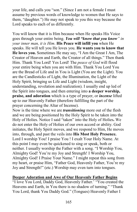your life, and calls you "son." (Since I am not a female I must assume by previous words of knowledge to women that He says to them, "daughter.") He may not speak to you this way because the Lord speaks to each of us differently.

You will know that it is Him because when He speaks His Voice goes through your entire being. *You will "know that you know" in your inner man, it is Him*. **His Peace will infill you** when He speaks. He will tell you He loves you. **He wants you to know that He loves you.** Sometimes He may say, "I Am the Great I Am, The Creator of Heaven and Earth, the Creator of all things." Then thank Him. Thank You Lord! Yes Lord! The *peace of God* will flood your entire being when you are with Him. Thank You Lord You are the Bread of Life and in You is Light (You are the Light). You are the Candlesticks of Light, the Illumination, the Light of the Holy Spirit, bringing us Life and Light (wisdom, insight, understanding, revelation and realization). I usually end up led of the Spirit into tongues, and then entering into **a deeper worship, praise, and adoration** which is a type of prayer, or *incense* lifted up to our Heavenly Father (therefore fulfilling the part of the prayer concerning the Altar of Incense).

Now is the time where we are *transitioning* more out of the flesh and we are being positioned by the Holy Spirit to be taken into the Holy of Holies. Notice I said "taken" into the Holy of Holies**.** We do not enter the Holy of Holies of our own accord or ability. God initiates, the Holy Spirit moves, and we respond to Him, He moves into, through, and past the veils into **His Most Holy Presence.** Lord I worship You! I praise You ! I exalt Your Holy Name. At this point I may even be quickened to sing or speak, both or neither. I usually worship the Father with a song. "I Worship You, Almighty God! You're my Joy and Strength! I Worship You, Almighty God! I Praise Your Name." I might repeat this song from my heart, or praise Him, "Father God, Heavenly Father, You're my Joy and Strength!" (etc.) Worship may even turn into tongues.

# **Deeper Adoration and Awe of Our Heavenly Father Begins**

"I love You Lord, Daddy God, Heavenly Father.' "You created the Heavens and Earth, in You there is no shadow of turning." "Thank You Lord, thank You Daddy God." (Tongues) Heavenly Father I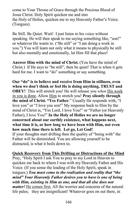come to Your Throne of Grace through the Precious Blood of Jesus Christ. Holy Spirit quicken me and into the Holy of Holies, quicken me to my Heavenly Father's Voice. (Tongues).

Be Still. Be Quiet. Wait! I just listen to his voice without speaking. He will then speak to me saying something like, "son!" or whatever He wants to. ("Be still" or "I am doing a work in you.") You will learn not only what it means to physically be still but also mentally and emotionally, let Him fill that place!

**Answer Him with the mind of Christ.** (You have the mind of Christ.) If He says to "be still", then be quiet! That is when it gets hard for me. I want to "do" something or say something.

**Our "do" is to believe and receive from Him in stillness, even when we don't think or feel He is doing anything, TRUST and OBEY!** This will stretch you! He will release you *when* His work in you is done. Allow Him to stretch you! **Pray silently through the mind of Christ. "Yes Father**." Usually He responds with, "I love you" or "I love you son!" My response back to Him by the mind of Christ is, "Yes Lord, I love You!" or "Father (or Heavenly Father), I love You!" **In the Holy of Holies we are no longer concerned about our earthly existence, what happens next, what time it is, or how long we have been with Him, not even how much time there is left. Let go, Let God!**  If your thoughts start drifting then the quality of "being with" the Father will be diminished. You are allowing yourself to be distracted, is what it boils down to.

# **Quick Recovery from This Drifting or Distractions of the Mind**

Pray, "Holy Spirit I ask You to pray to my Lord in Heaven to quicken me back to where I was with my Heavenly Father and His Voice. (If you sense the leading of the Holy Spirit, speak in tongues.) *You must come to the realization and reality that "the mind" Your Heavenly Father desires you to have is one of being with Him, existing in Him as one, and that all else does not matter!* He comes first. All the worries and concerns of the natural life pales; they are insignificant! Whatever goes on out there, in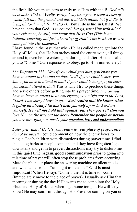the flesh life you must learn to truly trust Him with it all! *God tells us in John 12:24, "Verily, verily, I say unto you, Except a corn of wheat fall into the ground and die, it abideth alone: but if it die, it bringeth forth much fruit" (KJV).* **Your life is hid in Christ!** We have to learn that God, *is in control*. *Let go, trust Him with all of your existence, be still, and know that He is God (This is an intimate knowing, not just a knowing of Him! This is where we are changed into His Likeness!)*

I have found in the past, that when He has called me to get into the Holy of Holies, that He has orchestrated the entire event, all things around it, even before entering in, during, and after. He then calls you to "Come." Our response is to obey, go to Him immediately!

*\*\*\* Important \*\*\* Now if your child gets hurt, you know you have to attend to that and so does God! If your child is sick, you know you have to attend to that! If your child is hungry, you know you should attend to that!* This is why I try to preclude these things and serve others before getting into this prayer time. *In case you have to leave to attend to an emergency, you might say to the Lord, "Lord, I am sorry I have to go." Just realize that He knows what is going on already! So don't beat yourself up or be hard on yourself. He will not hold that against you. Then go! Tell Him you love Him on the way out the door! Remember the people or person you are now going to, needs your attention, love, and understanding!*

*Later pray and if He lets you, return to your place of prayer, else do not be upset!* I could comment on how the enemy loves to plague God's children with distractions during prayer time. I find that a dog barks or people come in, and they have forgotten I go downstairs and get in to prayer; distractions may try to disturb me in this quiet time. **Again, good communication** prior to going into this time of prayer will often stop those problems from occurring. Mute the phone or place the answering machine on silent mode, and when all else fails "unplug it as need be." **God is most important!** When He says "Come", then it is time to "come" (Immediately move to the place of prayer). I usually ask Him that morning or during the day if He wants me to come into the Holy Place and Holy of Holies when I get home tonight. He will let you know! He may confirm it through His Presence coming on you or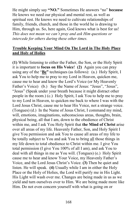He might simply say **"NO."** Sometimes He answers "no" **because** He knows we need our physical and mental rest, as well as spiritual rest. He knows we need to cultivate relationships of family, friends, church, and those in the world he is drawing to Him, through us. So, here again, God knows what is best for us! *This does not mean we can't pray and ask Him questions or intercede for others during these other times.*

# **Trouble Keeping Your Mind On The Lord in The Holy Place and Holy of Holies**

**(1)** While listening to either the Father, the Son, or the Holy Spirit it is important to **focus on His Voice**! **(2)** Again you can pray using any of the "**Be"** techniques (as follows): (a.) Holy Spirit, I ask You to help me to pray to my Lord in Heaven, quicken me, cause me to hear and know the Lord's Voice (or My Heavenly Father's Voice) (b.) Say the Name of Jesus: "Jesus", "Jesus", "Jesus" (Speak under your breath because it might distract other people in the room.) (c.) Holy Spirit, I ask You to help me to pray to my Lord in Heaven, to quicken me back to where I was with the Lord Jesus Christ, cause me to hear His Voice, not a strange voice. (Tongues) (d.) In the Name of Jesus Christ, I command my mind, will, emotions, imaginations, subconscious areas, thoughts, brain, physical being, all that I am, down to the obedience of Christ within me, and I ask You Holy Spirit that **the Mind of Christ** arise over all areas of my life. Heavenly Father, Son, and Holy Spirit I give You permission and ask You to cause all areas of my life to be totally subject to You and ask You to bring all those things in my life down to total obedience to Christ within me. I give You total permission (I give You 100% of all I am), and ask You to deal with all things in me as You will. (Tongues) (e.) Holy Spirit cause me to hear and know Your Voice, my Heavenly Father's Voice, and the Lord Jesus Christ's Voice. **(3)** Then be quiet and listen. He will speak. **(4)** Usually while I am in either the Holy Place or the Holy of Holies, the Lord will purify me in His Light. His Light will wash over me. Changes are being made in us as we yield and turn ourselves over to Him. We are being made more like Him. Do not even concern yourself with what is going on or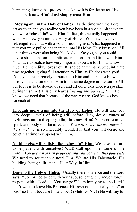happening during that process, just know it is for the better, His and ours, **Know Him! Just simply trust Him !** 

**"Moving on" in the Holy of Holies** As the time with the Lord draws to an end you realize you have been in a special place where you were **"closed in"** with Him. In fact, this actually happened when He drew you into the Holy of Holies. You may have even felt engulfed about with a void or nothingness. What happened is that you were pulled or separated into His Most Holy Presence! All other things were also being blocked out *for* you, so you could have a strong one-on-one intimate relationship and time with Him. You have to realize how very important you are to Him and how much He incredibly loves you! It is to be an uninterrupted, intimate time together, giving full attention to Him, as He does with you! (Yes, you are extremely important to Him and I am sure He wants us to value that time with Him to the same degree or measure.) All our focus is to be devoid of self and all other existence *except Him* during this time! This only leaves *hearing* and *knowing Him*. He knows we need that because of the way we are. God knows best for each of us!

**Through more trips into the Holy of Holies**, He will take you into deeper levels of **being still** before Him, deeper **times of exchange, and a deeper getting to know Him!** Your entire mind, spirit, and body will be affected. *You will never, never, never be the same!* It is so incredibly wonderful, that you will desire and covet that time you spend with Him.

**Nothing else will satisfy like being "in" Him!** We have to learn to be patient with ourselves! Wait! Call upon the Name of the Lord! *You are a work in progress and you can't do this yourself!* We need to see that we need Him. We are His Tabernacle, His building, being built up in a Holy Way, in Him.  $\setminus$ 

**Leaving the Holy of Holies** Usually there is silence and the Lord says, "Go" or "go to be with your spouse, daughter, and/or son." I respond with, "Lord did You say go?" I am implying to the Lord I don't want to leave His Presence. His response is usually "Yes" or "Go" so I will because I must obey! (Matthew 7:21) He will say to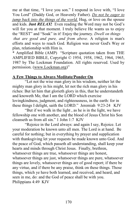me at that time, "I love you son." I respond in love with, "I love You Lord" (Daddy God, or Heavenly Father). *Do not be eager to jump back into the things of the world.* Hug, or love on the spouse and kids. **Just** *RELAX***!** Even reading the Word may not be God's will for you at that moment. I truly believe He wants us to enjoy the "REST" and "Soak" in it! Enjoy the journey. *Dwell on things that are good and pure, and from above.* A religion is man's efforts and ways to reach God. Religion was never God's Way or

plan, relationship with Him is.

\* Amplified Bible (AMP) "Scripture quotation taken from THE AMPLIFIED BIBLE, Copyright © 1954, 1958, 1962, 1964, 1965, 1987 by The Lockman Foundation. All rights reserved. Used by permission. [\(www.Lockman.org\)](http://www.lockman.org/)"

# **A Few Things to Always Meditate/Ponder On**

"Let not the wise man glory in his wisdom, neither let the mighty man glory in his might, let not the rich man glory in his riches: But let him that glorieth glory in this, that he understandeth and knoweth Me, that I am the LORD which exercise lovingkindness, judgment, and righteousness, in the earth: for in these things I delight, saith the LORD." Jeremiah 9:23-24 KJV

 "But if we walk in the light , as he is in the light, we have fellowship one with another, and the blood of Jesus Christ his Son cleanseth us from all sin." 1 John 1:7 KJV

 "Rejoice in the Lord always: and again I say, Rejoice. Let your moderation be known unto all men. The Lord is at hand. Be careful for nothing; but in everything by prayer and supplication with thanksgiving let your requests be made known unto God. And the peace of God, which passeth all understanding, shall keep your hearts and minds through Christ Jesus. Finally, brethren, whatsoever things are true, whatsoever things are honest, whatsoever things are just, whatsoever things are pure, whatsoever things are lovely, whatsoever things are of good report; if there be any virtue, and if there be any praise, think on these things. Those things, which ye have both learned, and received, and heard, and seen in me, do: and the God of peace shall be with you. Philippians 4:49 KJV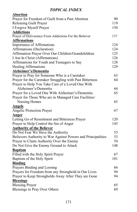# *TOPICAL INDEX*

| <b>Abortion</b>                                              |     |
|--------------------------------------------------------------|-----|
| Prayer for Freedom of Guilt from a Past Abortion             | 90  |
| <b>Releasing Guilt Prayer</b>                                | 119 |
| I Forgive Myself Prayer                                      | 150 |
| <b>Addictions</b>                                            |     |
| Prayer of Deliverance From Addictions For the Believer       | 137 |
| <b>Affirmations</b>                                          |     |
| <b>Importance of Affirmations</b>                            | 124 |
| Affirmations (Declaration)                                   | 124 |
| Affirmation Prayer Over Our Children/Grandchildren           | 125 |
| I Am In Christ (Affirmations)                                | 126 |
| Affirmations for Youth and Teenagers to Say                  | 128 |
| <b>Healing Affirmations</b>                                  | 129 |
| Alzheimer's/Dementia                                         |     |
| Prayer to Pray for Someone Who is a Caretaker                | 63  |
| Prayer for the Caretaker Struggling with Past Bitterness     | 64  |
| Prayer to Help You Take Care of a Loved One With             |     |
| Alzheimer's/Dementia                                         | 64  |
| Prayer for a Loved One With Alzheimer's/Dementia             | 65  |
| Prayer for Those Who are in Managed Care Facilities/         |     |
| Nursing Homes                                                | 65  |
| <b>Angels</b>                                                |     |
| Angelic Protection Prayer                                    | 67  |
| Anger                                                        |     |
| Letting Go of Resentment and Bitterness Prayer               | 120 |
| Prayer to Help Control the Sin of Anger                      | 145 |
| <b>Authority of the Believer</b>                             |     |
| Do Not Fear We Have the Authority                            | 53  |
| Believers Authority to War Against Powers and Principalities | 53  |
| Prayer to Claim Authority Over the Enemy                     | 54  |
| Do Not Give the Enemy Ground to Attack                       | 148 |
| <b>Baptism</b>                                               |     |
| Filled with the Holy Spirit Prayer                           | 67  |
| Baptism of the Holy Spirit                                   | 101 |
| <b>Binding</b>                                               |     |
| Prayers Binding and Loosing                                  | 66  |
| Prayers for Freedom from any Stronghold in Our Lives         | 94  |
| Prayer to Keep Strongholds Away After They are Gone          | 94  |
| <b>Blessings</b>                                             |     |
| <b>Blessing Prayer</b>                                       | 65  |
| Blessings to Pray Over Others                                | 69  |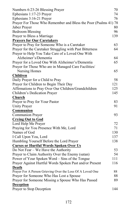| Numbers 6:23-26 Blessing Prayer                                 | 70  |
|-----------------------------------------------------------------|-----|
| Ephesians 1:17-23 Prayer                                        | 74  |
| Ephesians 3:16-21 Prayer                                        | 76  |
| Prayer For Those Who Remember and Bless the Poor (Psalms 41) 78 |     |
| Jabez Prayer                                                    | 80  |
| <b>Bedroom Blessing</b>                                         | 96  |
| Prayer to Bless a Marriage                                      | 139 |
| <b>Prayers for Our Caretakers</b>                               |     |
| Prayer to Pray for Someone Who is a Caretaker                   | 63  |
| Prayer for the Caretaker Struggling with Past Bitterness        | 64  |
| Prayer to Help You Take Care of a Loved One With                |     |
| Alzheimer's/Dementia                                            | 64  |
| Prayer for a Loved One With Alzheimer's/Dementia                | 65  |
| Prayer for Those Who are in Managed Care Facilities/            |     |
| Nursing Homes                                                   | 65  |
| <b>Children</b>                                                 |     |
| Daily Prayer for a Child to Pray                                | 58  |
| Prayer for Children to Begin Their Day                          | 121 |
| Affirmations to Pray Over Our Children/Grandchildren            | 125 |
| Children's Dedication Prayer                                    | 145 |
| Church                                                          |     |
| Prayer to Pray for Your Pastor                                  | 83  |
| <b>Unity Prayer</b>                                             | 91  |
| Communion                                                       |     |
| <b>Communion Prayer</b>                                         | 93  |
| <b>Crying Out to God</b>                                        |     |
| Lord Help Me Prayer                                             | 72  |
| Praying for You Presence With Me, Lord                          | 71  |
| Names of God                                                    | 130 |
| I Call Upon You, Lord                                           | 137 |
| Humbling Yourself Before the Lord Prayer                        | 138 |
| <b>Curses or Hurtful Words Spoken Over Us</b>                   |     |
| Do Not Fear – We Have the Authority                             | 53  |
| Prayer to Claim Authority Over the Enemy (satan)                | 54  |
| Power of Your Spoken Word – Sins of the Tongue                  | 111 |
| Prayer Against Hurtful Words Spoken Past and/or Present         | 116 |
| Death                                                           |     |
| Prayer For A Person Grieving Over the Loss Of A Loved One       | 88  |
| Prayer for Someone Who Has Lost a Spouse                        | 88  |
| Prayer for Someone Missing a Spouse Who Has Passed              | 89  |
| <b>Deception</b>                                                |     |
| Prayer to Stop Deception                                        | 144 |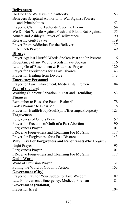| <b>Deliverance</b>                                            |     |
|---------------------------------------------------------------|-----|
| Do Not Fear We Have the Authority                             | 53  |
| Believers Scriptural Authority to War Against Powers          |     |
| and Principalities                                            | 53  |
| Prayer to Claim the Authority Over the Enemy                  | 54  |
| We Do Not Wrestle Against Flesh and Blood But Against.        | 55  |
| Anna's and Ashley's Prayer of Deliverance                     | 90  |
| <b>Releasing Guilt Prayer</b>                                 | 119 |
| Prayer From Addiction For the Believer                        | 137 |
| In A Pinch Prayer                                             | 149 |
| <b>Divorce</b>                                                |     |
| Prayer Against Hurtful Words Spoken Past and/or Present       | 116 |
| Repentance of any Wrong Words I have Spoken                   | 116 |
| Letting Go of Resentment & Bitterness Prayer                  | 120 |
| Prayer for Forgiveness for a Past Divorce                     | 143 |
| Prayer for Healing from Divorce                               | 143 |
| <b>Emergency Personnel</b>                                    |     |
| Prayer for Law Enforcement, Medical, & Firemen                | 84  |
| Fear of the Lord                                              |     |
| Working Out Your Salvation in Fear and Trembling              | 153 |
| <b>Finances</b>                                               |     |
| Remember to Bless the Poor - Psalm 41                         | 78  |
| God's Promise to Bless Me                                     | 118 |
| Prayer for Health/Body/Soul/Spirit/Blessings/Prosperity       | 123 |
| <b>Forgiveness</b>                                            |     |
| Forgiveness of Others Prayer                                  | 52  |
| Prayer for Freedom of Guilt of a Past Abortion                | 90  |
| Forgiveness Prayer                                            | 101 |
| I Receive Forgiveness and Cleansing For My Sins               | 117 |
| Prayer for Forgiveness for a Past Divorce                     | 143 |
| <b>Why Pray For Forgiveness and Repentance (Why Forgive?)</b> |     |
| Night Prayer                                                  | 95  |
| Forgiveness Prayer                                            | 101 |
| I Receive Forgiveness and Cleansing For My Sins               | 117 |
| <b>God's Word</b>                                             |     |
| Word of Provision Prayer                                      | 131 |
| Putting the Word of God Into Action                           | 153 |
| <b>Government (City)</b>                                      |     |
| Prayer to Pray for Your Judges to Have Wisdom                 | 82  |
| Law Enforcement, Emergency, Medical, Fireman                  | 84  |
| <b>Government (National)</b>                                  |     |
| Prayer for Israel                                             | 104 |
|                                                               |     |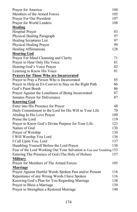| Prayer for America                                                    | 104 |
|-----------------------------------------------------------------------|-----|
| Members of the Armed Forces                                           | 105 |
| Prayer For Our President                                              | 107 |
| Prayer for World Leaders                                              | 108 |
| <b>Healing</b>                                                        |     |
| <b>Hospital Prayer</b>                                                | 83  |
| Physical Healing Paragraph                                            | 97  |
| <b>Healing Scriptures List</b>                                        | 97  |
| Physical Healing Prayer                                               | 99  |
| <b>Healing Affirmations</b>                                           | 128 |
| <b>Hearing God</b>                                                    |     |
| Prayer For Mind Cleansing and Clarity                                 | 71  |
| Prayer to Hear Only His Voice                                         | 81  |
| Hearing God's Voice Prayer                                            | 82  |
| Learning to Know His Voice                                            | 81  |
| <b>Prayers for Those Who are Incarcerated</b>                         |     |
| Prayer to Pray a Person Who is Incarcerated                           | 85  |
| Prayer to Help an Ex-Convict to Stay on the Right Path                | 86  |
| God's Paint Brush                                                     | 86  |
| Prayer Against the Loneliness of Being Incarcerated                   | 87  |
| <b>Inmates Prayer for Deliverance</b>                                 | 87  |
| <b>Knowing God</b>                                                    |     |
| Enter into His Presence for Prayer                                    | 48  |
| Daily Commitment to the Lord for His Will in Your Life                | 70  |
| Abiding In His Love Prayer                                            | 109 |
| Praise the Lord                                                       | 119 |
| Prayer to Know God's Divine Purpose for Your Life                     | 123 |
| Names of God                                                          | 130 |
| Prayer of Worship                                                     | 134 |
| I Will Worship You Lord                                               | 136 |
| I Call Upon You, Lord                                                 | 137 |
| Humbling Yourself Before the Lord Prayer                              | 138 |
| Fear of the Lord Working Out Your Salvation In Fear and Trembling 153 |     |
| Entering The Presence of God (The Holy of Holies)                     | 157 |
| <b>Military</b>                                                       |     |
| Prayer for Members of The Armed Forces                                | 105 |
| <b>Marriage</b>                                                       |     |
| Prayer Against Hurtful Words Spoken Past and/or Present               | 116 |
| Repentance of any Wrong Words I have Spoken                           | 116 |
| Knowing God's Plan for You Regarding Marriage                         | 138 |
| Prayer to Bless a Marriage                                            | 139 |
| Prayer to Strengthen a Restored Marriage                              | 140 |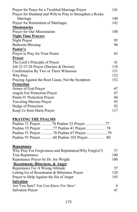| Prayer for Peace for a Troubled Marriage Prayer           | 141 |
|-----------------------------------------------------------|-----|
| Prayer for Husband and Wife to Pray to Strengthen a Rocky |     |
| Marriage                                                  | 140 |
| Prayer for Restoration of Marriages                       | 142 |
| <b>Missionaries</b>                                       |     |
| Prayer for Our Missionaries                               | 108 |
| <b>Night Time Prayers</b>                                 |     |
| Night Prayer                                              | 95  |
| <b>Bedroom Blessing</b>                                   | 96  |
| Pastor's                                                  |     |
| Prayer to Pray for Your Pastor                            | 83  |
| Prayer                                                    |     |
| The Lord's Principle of Prayer                            | 41  |
| Job 22:27-28 Prayer (Declare & Decree)                    | 110 |
| Confirmation By Two or Three Witnesses                    | 151 |
| Why Pray                                                  | 152 |
| Praying Against the Root Cause, Not the Symptom           | 152 |
| <b>Protection</b>                                         |     |
| Armor of God Prayer                                       | 67  |
| <b>Angels For Protection Prayer</b>                       | 67  |
| Psalm 91 Protection Prayer                                | 68  |
| <b>Traveling Mercies Prayer</b>                           | 92  |
| Hedge of Protection                                       | 92  |
| Keep Us from Harm Prayer                                  | 117 |
| <b>PRAYING THE PSALMS</b>                                 |     |
| Psalms 31 Prayer76 Psalms 32 Prayer77                     |     |
|                                                           |     |
| Psalms 51 Prayer78 Psalms 67 Prayer                       |     |
| Psalms 91 Prayer 68 Psalms 103 Prayer  80                 |     |
|                                                           |     |

### **Repentance**

| Why Pray For Forgiveness and Repentance (Why Forgive?) | 37  |
|--------------------------------------------------------|-----|
| True Repentance                                        | 100 |
| Repentance Prayer by Dr. Joe Wright                    | 100 |
| Resentment, Bitterness, & Anger                        |     |
| Repentance For A Wrong Attitude                        | 57  |
| Letting Go of Resentment & Bitterness Prayer           | 120 |
| Prayer to Help Against the Sin of Anger                | 145 |
| <b>Salvation</b>                                       |     |
| Are You Sure? You Can Know For Sure!                   | 6   |
| <b>Salvation Prayer</b>                                | 41  |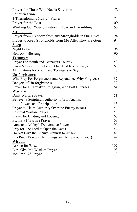| Prayer for Those Who Needs Salvation                   | 52  |
|--------------------------------------------------------|-----|
| Sanctification                                         |     |
| 1 Thessalonians 5:23-24 Prayer                         | 74  |
| Prayer for the Lost                                    | 109 |
| Working Out Your Salvation in Fear and Trembling       | 153 |
| <b>Strongholds</b>                                     |     |
| Prayer from Freedom from any Strongholds in Our Lives  | 94  |
| Prayer to Keep Strongholds from Me After They are Gone | 94  |
| <b>Sleep</b>                                           |     |
| Night Prayer                                           | 95  |
| <b>Bedroom Blessing</b>                                | 96  |
| <b>Teenagers</b>                                       |     |
| Prayer For Youth and Teenagers To Pray                 | 59  |
| Parent's Prayer For a Loved One That Is a Teenager     | 60  |
| Affirmations for Youth and Teenagers to Say            | 128 |
| <b>Un-forgiveness</b>                                  |     |
| Why Pray For Forgiveness and Repentance(Why Forgive?)  | 37  |
| Dangers of Un-forgiveness                              | 39  |
| Prayer for a Caretaker Struggling with Past Bitterness | 64  |
| Warfare                                                |     |
| Daily Warfare Prayer                                   | 51  |
| Believer's Scriptural Authority to War Against         |     |
| Powers and Principalities                              | 53  |
| Prayer to Claim Authority Over the Enemy (satan)       | 54  |
| Spiritual Warfare Prayer                               | 56  |
| Prayer for Binding and Loosing                         | 67  |
| Psalms 91 Warfare Prayer                               | 68  |
| Anna and Ashley's Deliverance Prayer                   | 90  |
| Pray for The Lord to Open the Gates                    | 144 |
| Do Not Give the Enemy Grounds to Attack                | 148 |
| In a Pinch Prayer (when things are flying around you!) | 149 |
| Wisdom                                                 |     |
| Asking for Wisdom                                      | 102 |
| Lord Give Me Wisdom Prayer                             | 103 |
| Job 22:27-28 Prayer                                    | 110 |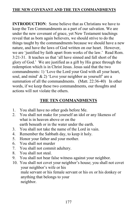**INTRODUCTION**: Some believe that as Christians we have to keep the Ten Commandments as a part of our salvation. We are under the new covenant of grace, yet New Testament teachings reveal that as born again believers, we should strive to do the things taught by the commandments because we should have a new nature, and have the laws of God written on our heart. However, we are 'justified by faith apart from works of the law.' Read Rom. 3:21-31. It teaches us that 'all have sinned and fall short of the glory of God.' We are justified as a gift by His grace through the redemption which is in Christ Jesus. Jesus said that the two commandments: 1) 'Love the Lord your God with all your heart, soul, and mind' & 2) 'Love your neighbor as yourself' are a summation of all the commandments. (Matt. 22:36-40) In other words, if we keep these two commandments, our thoughts and actions will not violate the others.

# **THE TEN COMMANDMENTS**

- 1. You shall have no other gods before Me.
- 2. You shall not make for yourself an idol or any likeness of what is in heaven above or on the earth beneath or in the water under the earth.
- 3. You shall not take the name of the Lord in vain.
- 4. Remember the Sabbath day, to keep it holy.
- 5. Honor your father and your mother.
- 6. You shall not murder
- 7. You shall not commit adultery.
- 8. You shall not steal.
- 9. You shall not bear false witness against your neighbor.
- 10. You shall not covet your neighbor's house; you shall not covet your neighbor's wife or his male servant or his female servant or his ox or his donkey or anything that belongs to your neighbor.